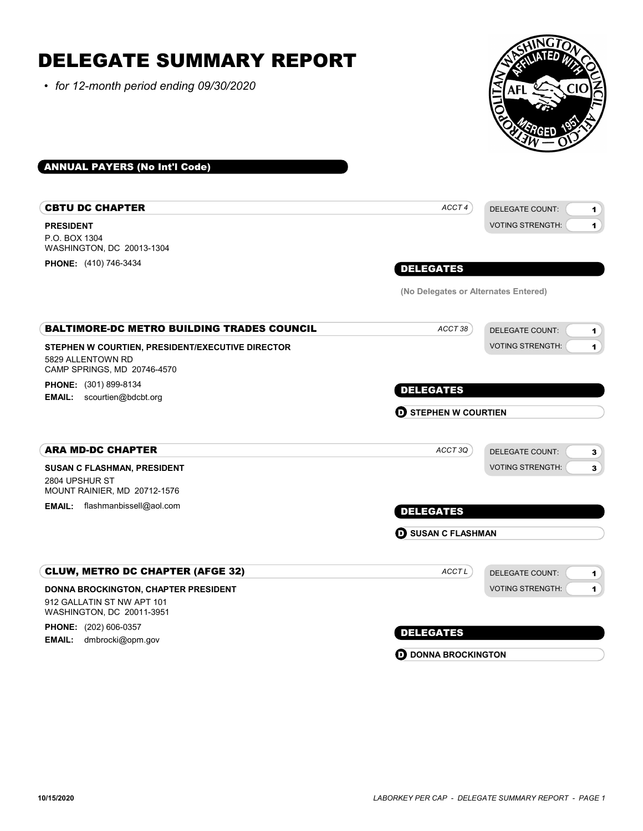#### DELEGATE SUMMARY REPORT • for 12-month period ending 09/30/2020 ANNUAL PAYERS (No Int'l Code) PRESIDENT CBTU DC CHAPTER P.O. BOX 1304 WASHINGTON, DC 20013-1304 PHONE: (410) 746-3434 DELEGATE COUNT: VOTING STRENGTH: 1 1 DELEGATES ACCT 4 (No Delegates or Alternates Entered) STEPHEN W COURTIEN, PRESIDENT/EXECUTIVE DIRECTOR BALTIMORE-DC METRO BUILDING TRADES COUNCIL 5829 ALLENTOWN RD CAMP SPRINGS, MD 20746-4570 PHONE: (301) 899-8134 **EMAIL:** scourtien@bdcbt.org DELEGATE COUNT: VOTING STRENGTH: 1 1 DELEGATES ACCT 38 **D** STEPHEN W COURTIEN SUSAN C FLASHMAN, PRESIDENT ARA MD-DC CHAPTER 2804 UPSHUR ST MOUNT RAINIER, MD 20712-1576 DELEGATE COUNT: VOTING STRENGTH: 3 3 **EMAIL:** flashmanbissell@aol.com **EMAIL: flashmanbissell@aol.com** ACCT 3Q **D** SUSAN C FLASHMAN DONNA BROCKINGTON, CHAPTER PRESIDENT CLUW, METRO DC CHAPTER (AFGE 32) 912 GALLATIN ST NW APT 101 WASHINGTON, DC 20011-3951 **PHONE:** (202) 606-0357 EMAIL: dmbrocki@opm.gov DELEGATE COUNT: VOTING STRENGTH: 1 1 DELEGATES ACCT<sub>L</sub>

**D** DONNA BROCKINGTON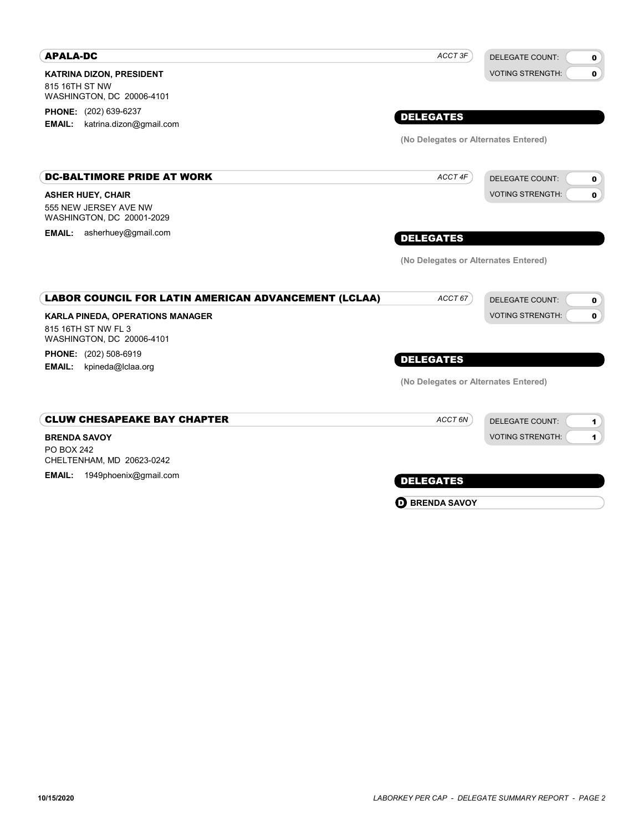| <b>APALA-DC</b>                                                                             | ACCT 3F                              | <b>DELEGATE COUNT:</b><br>0                     |
|---------------------------------------------------------------------------------------------|--------------------------------------|-------------------------------------------------|
| <b>KATRINA DIZON, PRESIDENT</b><br>815 16TH ST NW<br>WASHINGTON, DC 20006-4101              |                                      | <b>VOTING STRENGTH:</b><br>$\mathbf 0$          |
| <b>PHONE:</b> (202) 639-6237<br>katrina.dizon@gmail.com<br><b>EMAIL:</b>                    | <b>DELEGATES</b>                     |                                                 |
|                                                                                             | (No Delegates or Alternates Entered) |                                                 |
| <b>DC-BALTIMORE PRIDE AT WORK</b>                                                           | ACCT 4F                              | <b>DELEGATE COUNT:</b><br>0                     |
| <b>ASHER HUEY, CHAIR</b><br>555 NEW JERSEY AVE NW<br>WASHINGTON, DC 20001-2029              |                                      | <b>VOTING STRENGTH:</b><br>0                    |
| asherhuey@gmail.com<br><b>EMAIL:</b>                                                        | <b>DELEGATES</b>                     |                                                 |
|                                                                                             | (No Delegates or Alternates Entered) |                                                 |
| LABOR COUNCIL FOR LATIN AMERICAN ADVANCEMENT (LCLAA)                                        | ACCT 67                              | <b>DELEGATE COUNT:</b><br>0                     |
| <b>KARLA PINEDA, OPERATIONS MANAGER</b><br>815 16TH ST NW FL 3<br>WASHINGTON, DC 20006-4101 |                                      | <b>VOTING STRENGTH:</b><br>0                    |
| PHONE: (202) 508-6919<br>kpineda@Iclaa.org<br><b>EMAIL:</b>                                 | <b>DELEGATES</b>                     |                                                 |
|                                                                                             | (No Delegates or Alternates Entered) |                                                 |
| <b>CLUW CHESAPEAKE BAY CHAPTER</b>                                                          | ACCT 6N                              | <b>DELEGATE COUNT:</b><br>1                     |
| <b>BRENDA SAVOY</b><br><b>PO BOX 242</b><br>CHELTENHAM, MD 20623-0242                       |                                      | <b>VOTING STRENGTH:</b><br>$\blacktriangleleft$ |
| <b>EMAIL:</b><br>1949phoenix@gmail.com                                                      | <b>DELEGATES</b>                     |                                                 |
|                                                                                             | $\mathbf \Theta$ BRENDA SAVOY        |                                                 |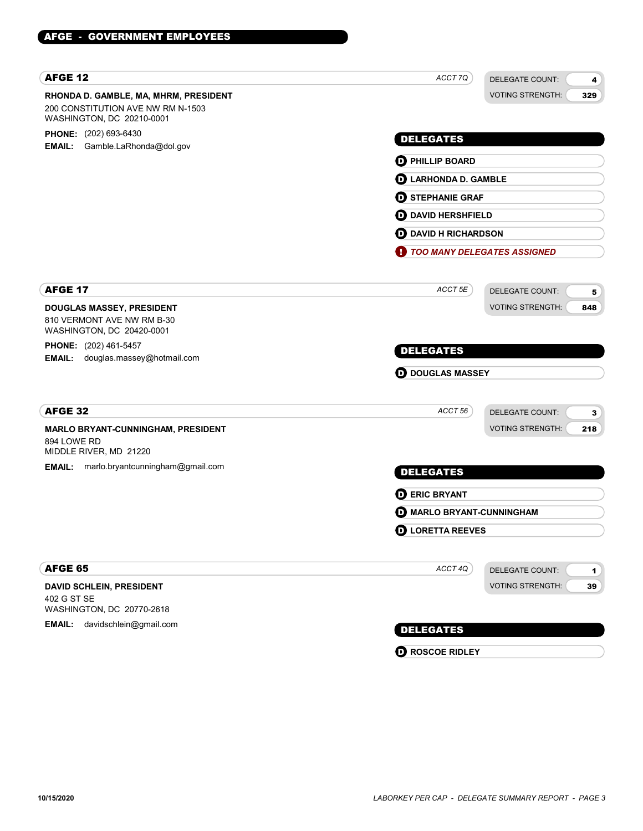| <b>AFGE 12</b>                                                                                          | ACCT 7Q                              | DELEGATE COUNT:<br>4               |
|---------------------------------------------------------------------------------------------------------|--------------------------------------|------------------------------------|
| RHONDA D. GAMBLE, MA, MHRM, PRESIDENT<br>200 CONSTITUTION AVE NW RM N-1503<br>WASHINGTON, DC 20210-0001 |                                      | <b>VOTING STRENGTH:</b><br>329     |
| PHONE: (202) 693-6430                                                                                   | <b>DELEGATES</b>                     |                                    |
| Gamble.LaRhonda@dol.gov<br>EMAIL:                                                                       | <b>D</b> PHILLIP BOARD               |                                    |
|                                                                                                         | <b>D</b> LARHONDA D. GAMBLE          |                                    |
|                                                                                                         | <b>D</b> STEPHANIE GRAF              |                                    |
|                                                                                                         | <b>OD</b> DAVID HERSHFIELD           |                                    |
|                                                                                                         | <b>D</b> DAVID H RICHARDSON          |                                    |
|                                                                                                         | TOO MANY DELEGATES ASSIGNED          |                                    |
|                                                                                                         |                                      |                                    |
| <b>AFGE 17</b>                                                                                          | ACCT 5E                              | <b>DELEGATE COUNT:</b><br>5        |
| DOUGLAS MASSEY, PRESIDENT                                                                               |                                      | <b>VOTING STRENGTH:</b><br>848     |
| 810 VERMONT AVE NW RM B-30<br>WASHINGTON, DC 20420-0001                                                 |                                      |                                    |
| PHONE: (202) 461-5457                                                                                   |                                      |                                    |
| douglas.massey@hotmail.com<br><b>EMAIL:</b>                                                             | <b>DELEGATES</b>                     |                                    |
|                                                                                                         | <b>OD</b> DOUGLAS MASSEY             |                                    |
| <b>AFGE 32</b>                                                                                          | ACCT <sub>56</sub>                   |                                    |
|                                                                                                         |                                      | <b>DELEGATE COUNT:</b><br>3        |
| MARLO BRYANT-CUNNINGHAM, PRESIDENT<br>894 LOWE RD<br>MIDDLE RIVER, MD 21220                             |                                      | <b>VOTING STRENGTH:</b><br>218     |
| EMAIL:<br>marlo.bryantcunningham@gmail.com                                                              | <b>DELEGATES</b>                     |                                    |
|                                                                                                         | <b>DERIC BRYANT</b>                  |                                    |
|                                                                                                         | <b>O MARLO BRYANT-CUNNINGHAM</b>     |                                    |
|                                                                                                         | $\boldsymbol{\Theta}$ LORETTA REEVES |                                    |
| AFGE 65                                                                                                 | ACCT 4Q                              | DELEGATE COUNT:                    |
| DAVID SCHLEIN, PRESIDENT                                                                                |                                      | 1<br><b>VOTING STRENGTH:</b><br>39 |
| 402 G ST SE<br>WASHINGTON, DC 20770-2618                                                                |                                      |                                    |
| davidschlein@gmail.com<br><b>EMAIL:</b>                                                                 |                                      |                                    |

**O** ROSCOE RIDLEY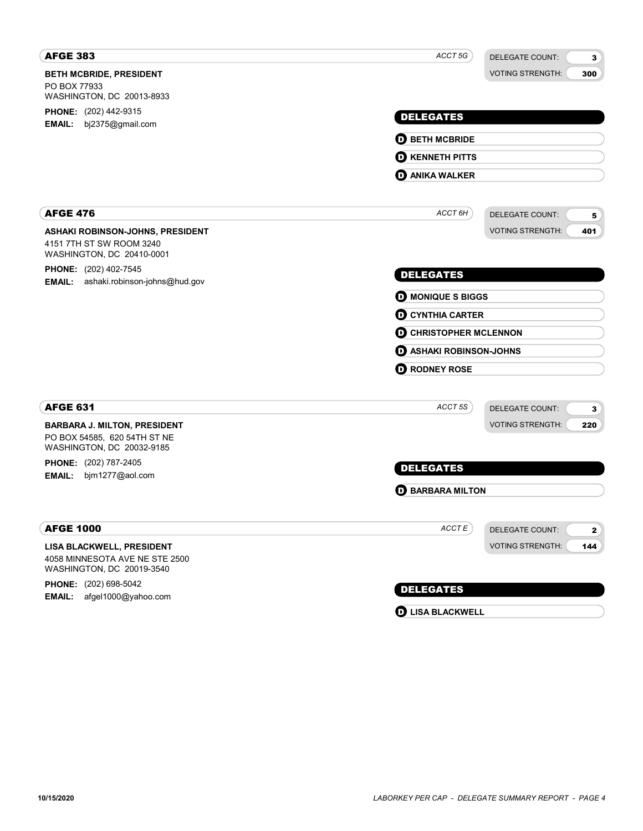| <b>AFGE 383</b>                                                                          | ACCT 5G<br><b>DELEGATE COUNT:</b><br>3            |  |  |
|------------------------------------------------------------------------------------------|---------------------------------------------------|--|--|
| <b>BETH MCBRIDE, PRESIDENT</b>                                                           | <b>VOTING STRENGTH:</b><br>300                    |  |  |
| PO BOX 77933<br>WASHINGTON, DC 20013-8933                                                |                                                   |  |  |
| PHONE: (202) 442-9315                                                                    | <b>DELEGATES</b>                                  |  |  |
| <b>EMAIL:</b><br>bj2375@gmail.com                                                        |                                                   |  |  |
|                                                                                          | <b>D BETH MCBRIDE</b>                             |  |  |
|                                                                                          | <b>O KENNETH PITTS</b>                            |  |  |
|                                                                                          | <b>D</b> ANIKA WALKER                             |  |  |
| <b>AFGE 476</b>                                                                          | ACCT 6H<br><b>DELEGATE COUNT:</b><br>5            |  |  |
| ASHAKI ROBINSON-JOHNS, PRESIDENT                                                         | <b>VOTING STRENGTH:</b><br>401                    |  |  |
| 4151 7TH ST SW ROOM 3240<br>WASHINGTON, DC 20410-0001                                    |                                                   |  |  |
| PHONE: (202) 402-7545<br><b>EMAIL:</b><br>ashaki.robinson-johns@hud.gov                  | <b>DELEGATES</b>                                  |  |  |
|                                                                                          | <b>D</b> MONIQUE S BIGGS                          |  |  |
|                                                                                          | <b>O CYNTHIA CARTER</b>                           |  |  |
|                                                                                          | <b>O CHRISTOPHER MCLENNON</b>                     |  |  |
|                                                                                          | <b>D</b> ASHAKI ROBINSON-JOHNS                    |  |  |
|                                                                                          | <b>O RODNEY ROSE</b>                              |  |  |
| <b>AFGE 631</b>                                                                          | ACCT 5S<br><b>DELEGATE COUNT:</b><br>3            |  |  |
| <b>BARBARA J. MILTON, PRESIDENT</b>                                                      | <b>VOTING STRENGTH:</b><br>220                    |  |  |
| PO BOX 54585, 620 54TH ST NE<br>WASHINGTON, DC 20032-9185                                |                                                   |  |  |
| PHONE: (202) 787-2405                                                                    | <b>DELEGATES</b>                                  |  |  |
| bjm1277@aol.com<br><b>EMAIL:</b>                                                         |                                                   |  |  |
|                                                                                          | <b>D</b> BARBARA MILTON                           |  |  |
| <b>AFGE 1000</b>                                                                         | $ACCTE$<br><b>DELEGATE COUNT:</b><br>$\mathbf{2}$ |  |  |
| LISA BLACKWELL, PRESIDENT<br>4058 MINNESOTA AVE NE STE 2500<br>WASHINGTON, DC 20019-3540 | <b>VOTING STRENGTH:</b><br>144                    |  |  |
| PHONE: (202) 698-5042                                                                    | <b>DELEGATES</b>                                  |  |  |
| afgel1000@yahoo.com<br>EMAIL:                                                            | <b>D</b> LISA BLACKWELL                           |  |  |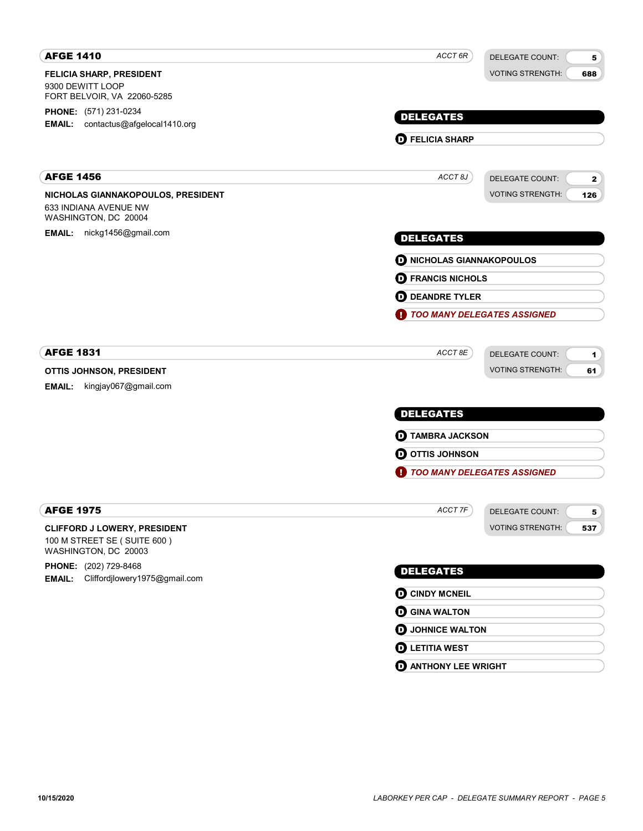| <b>AFGE 1410</b>                                                                    | ACCT 6R<br><b>DELEGATE COUNT:</b><br>5            |
|-------------------------------------------------------------------------------------|---------------------------------------------------|
| <b>FELICIA SHARP, PRESIDENT</b>                                                     | <b>VOTING STRENGTH:</b><br>688                    |
| 9300 DEWITT LOOP<br>FORT BELVOIR, VA 22060-5285                                     |                                                   |
| <b>PHONE:</b> (571) 231-0234                                                        |                                                   |
| <b>EMAIL:</b> contactus@afgelocal1410.org                                           | <b>DELEGATES</b>                                  |
|                                                                                     | <b>O</b> FELICIA SHARP                            |
| <b>AFGE 1456</b>                                                                    | ACCT 8J<br><b>DELEGATE COUNT:</b><br>$\mathbf{2}$ |
| NICHOLAS GIANNAKOPOULOS, PRESIDENT<br>633 INDIANA AVENUE NW<br>WASHINGTON, DC 20004 | <b>VOTING STRENGTH:</b><br>126                    |
| EMAIL: nickg1456@gmail.com                                                          | <b>DELEGATES</b>                                  |
|                                                                                     | <b>D</b> NICHOLAS GIANNAKOPOULOS                  |
|                                                                                     | <b>D</b> FRANCIS NICHOLS                          |
|                                                                                     | <b>D</b> DEANDRE TYLER                            |
|                                                                                     | <b>TOO MANY DELEGATES ASSIGNED</b>                |
| <b>AFGE 1831</b>                                                                    | ACCT 8E<br><b>DELEGATE COUNT:</b><br>1            |
| OTTIS JOHNSON, PRESIDENT                                                            | <b>VOTING STRENGTH:</b><br>61                     |
| kingjay067@gmail.com<br><b>EMAIL:</b>                                               |                                                   |
|                                                                                     | <b>DELEGATES</b>                                  |
|                                                                                     | <b>D</b> TAMBRA JACKSON                           |
|                                                                                     | <b>O OTTIS JOHNSON</b>                            |
|                                                                                     | TOO MANY DELEGATES ASSIGNED                       |
| <b>AFGE 1975</b>                                                                    | ACCT 7F<br>DELEGATE COUNT:<br>5                   |
| <b>CLIFFORD J LOWERY, PRESIDENT</b>                                                 | <b>VOTING STRENGTH:</b><br>537                    |
| 100 M STREET SE (SUITE 600)<br>WASHINGTON, DC 20003                                 |                                                   |
| PHONE: (202) 729-8468                                                               | <b>DELEGATES</b>                                  |
| EMAIL: Cliffordjlowery1975@gmail.com                                                |                                                   |
|                                                                                     | <b>O CINDY MCNEIL</b>                             |
|                                                                                     | <b>O</b> GINA WALTON                              |
|                                                                                     | <b>D</b> JOHNICE WALTON                           |
|                                                                                     | <b>O LETITIA WEST</b>                             |
|                                                                                     | <b>O ANTHONY LEE WRIGHT</b>                       |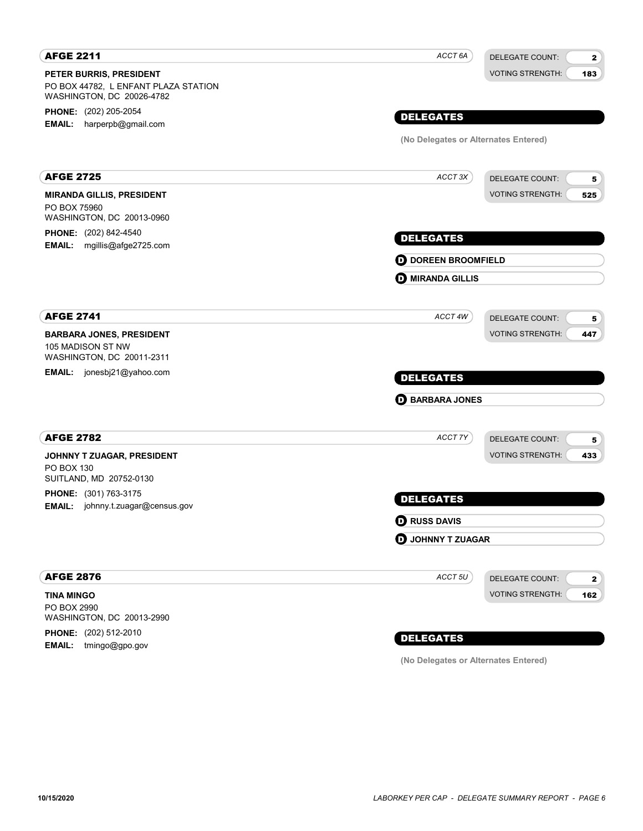| <b>AFGE 2211</b>                                                  | ACCT 6A                              | DELEGATE COUNT:         | $\mathbf{2}$ |
|-------------------------------------------------------------------|--------------------------------------|-------------------------|--------------|
| PETER BURRIS, PRESIDENT                                           |                                      | <b>VOTING STRENGTH:</b> | 183          |
| PO BOX 44782, L ENFANT PLAZA STATION<br>WASHINGTON, DC 20026-4782 |                                      |                         |              |
| PHONE: (202) 205-2054                                             |                                      |                         |              |
| harperpb@gmail.com<br><b>EMAIL:</b>                               | <b>DELEGATES</b>                     |                         |              |
|                                                                   | (No Delegates or Alternates Entered) |                         |              |
| <b>AFGE 2725</b>                                                  | ACCT 3X                              | <b>DELEGATE COUNT:</b>  | 5            |
| <b>MIRANDA GILLIS, PRESIDENT</b>                                  |                                      | <b>VOTING STRENGTH:</b> | 525          |
| PO BOX 75960<br>WASHINGTON, DC 20013-0960                         |                                      |                         |              |
| PHONE: (202) 842-4540<br>EMAIL: mgillis@afge2725.com              | <b>DELEGATES</b>                     |                         |              |
|                                                                   | <b>D</b> DOREEN BROOMFIELD           |                         |              |
|                                                                   | <b>O MIRANDA GILLIS</b>              |                         |              |
| <b>AFGE 2741</b>                                                  | ACCT 4W                              | DELEGATE COUNT:         | 5            |
| <b>BARBARA JONES, PRESIDENT</b>                                   |                                      | <b>VOTING STRENGTH:</b> | 447          |
| 105 MADISON ST NW<br>WASHINGTON, DC 20011-2311                    |                                      |                         |              |
| <b>EMAIL:</b> jonesbj21@yahoo.com                                 | <b>DELEGATES</b>                     |                         |              |
|                                                                   | <b>D</b> BARBARA JONES               |                         |              |
| <b>AFGE 2782</b>                                                  | ACCT 7Y                              | DELEGATE COUNT:         | 5            |
| JOHNNY T ZUAGAR, PRESIDENT                                        |                                      | <b>VOTING STRENGTH:</b> | 433          |
| <b>PO BOX 130</b>                                                 |                                      |                         |              |
| SUITLAND, MD 20752-0130                                           |                                      |                         |              |
| <b>PHONE:</b> (301) 763-3175<br>EMAIL: johnny.t.zuagar@census.gov | <b>DELEGATES</b>                     |                         |              |
|                                                                   | <b>O RUSS DAVIS</b>                  |                         |              |
|                                                                   | <b>D</b> JOHNNY T ZUAGAR             |                         |              |
| <b>AFGE 2876</b>                                                  | ACCT <sub>5U</sub>                   | <b>DELEGATE COUNT:</b>  | $\mathbf{2}$ |
| <b>TINA MINGO</b>                                                 |                                      | <b>VOTING STRENGTH:</b> | 162          |
| PO BOX 2990                                                       |                                      |                         |              |
| WASHINGTON, DC 20013-2990                                         |                                      |                         |              |
| PHONE: (202) 512-2010<br>EMAIL: tmingo@gpo.gov                    | <b>DELEGATES</b>                     |                         |              |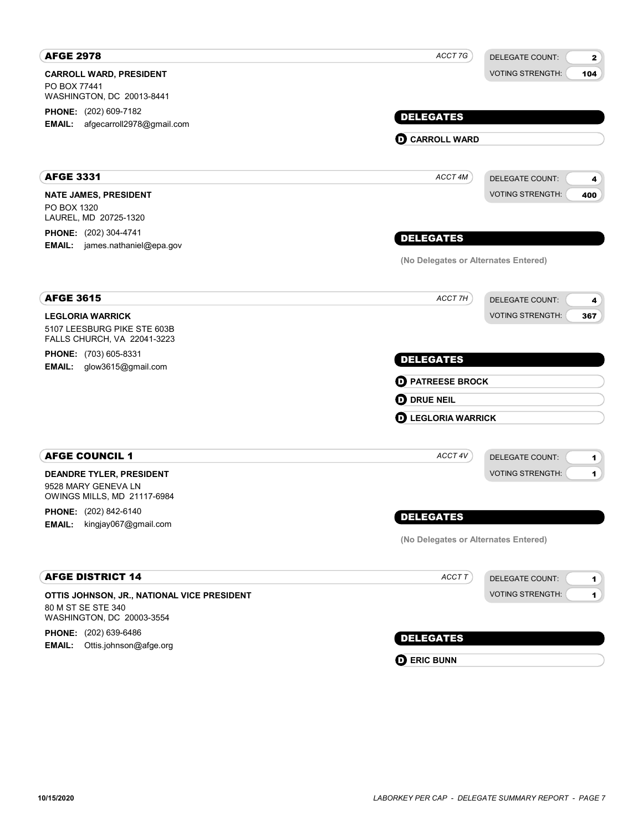| <b>AFGE 2978</b>                                               | ACCT 7G                              | <b>DELEGATE COUNT:</b>  | $\mathbf{2}$   |
|----------------------------------------------------------------|--------------------------------------|-------------------------|----------------|
| <b>CARROLL WARD, PRESIDENT</b>                                 |                                      | <b>VOTING STRENGTH:</b> | 104            |
| PO BOX 77441<br>WASHINGTON, DC 20013-8441                      |                                      |                         |                |
| <b>PHONE:</b> (202) 609-7182                                   |                                      |                         |                |
| afgecarroll2978@gmail.com<br><b>EMAIL:</b>                     | <b>DELEGATES</b>                     |                         |                |
|                                                                | <b>O CARROLL WARD</b>                |                         |                |
|                                                                |                                      |                         |                |
| <b>AFGE 3331</b>                                               | ACCT 4M                              | <b>DELEGATE COUNT:</b>  | 4              |
| <b>NATE JAMES, PRESIDENT</b>                                   |                                      | <b>VOTING STRENGTH:</b> | 400            |
| PO BOX 1320                                                    |                                      |                         |                |
| LAUREL, MD 20725-1320                                          |                                      |                         |                |
| PHONE: (202) 304-4741<br><b>EMAIL:</b> james.nathaniel@epa.gov | <b>DELEGATES</b>                     |                         |                |
|                                                                | (No Delegates or Alternates Entered) |                         |                |
|                                                                |                                      |                         |                |
| <b>AFGE 3615</b>                                               | ACCT 7H                              |                         |                |
|                                                                |                                      | <b>DELEGATE COUNT:</b>  | 4              |
| <b>LEGLORIA WARRICK</b><br>5107 LEESBURG PIKE STE 603B         |                                      | <b>VOTING STRENGTH:</b> | 367            |
| FALLS CHURCH, VA 22041-3223                                    |                                      |                         |                |
| <b>PHONE:</b> (703) 605-8331                                   | <b>DELEGATES</b>                     |                         |                |
| EMAIL: glow3615@gmail.com                                      |                                      |                         |                |
|                                                                | <b>D</b> PATREESE BROCK              |                         |                |
|                                                                | <b>OD</b> DRUE NEIL                  |                         |                |
|                                                                | <b>D</b> LEGLORIA WARRICK            |                         |                |
|                                                                |                                      |                         |                |
| <b>AFGE COUNCIL 1</b>                                          | ACCT 4V                              | <b>DELEGATE COUNT:</b>  | $\mathbf{1}$   |
| <b>DEANDRE TYLER, PRESIDENT</b>                                |                                      | <b>VOTING STRENGTH:</b> | $\blacksquare$ |
| 9528 MARY GENEVA LN<br>OWINGS MILLS, MD 21117-6984             |                                      |                         |                |
| PHONE: (202) 842-6140                                          |                                      |                         |                |
| <b>EMAIL:</b><br>kingjay067@gmail.com                          | <b>DELEGATES</b>                     |                         |                |
|                                                                | (No Delegates or Alternates Entered) |                         |                |
|                                                                |                                      |                         |                |
| <b>AFGE DISTRICT 14</b>                                        | ACCT T                               | DELEGATE COUNT:         | $\mathbf 1$    |
| OTTIS JOHNSON, JR., NATIONAL VICE PRESIDENT                    |                                      | <b>VOTING STRENGTH:</b> | $\mathbf{1}$   |
| 80 M ST SE STE 340                                             |                                      |                         |                |
| WASHINGTON, DC 20003-3554                                      |                                      |                         |                |
| PHONE: (202) 639-6486<br>EMAIL: Ottis.johnson@afge.org         | <b>DELEGATES</b>                     |                         |                |
|                                                                | <b>O ERIC BUNN</b>                   |                         |                |
|                                                                |                                      |                         |                |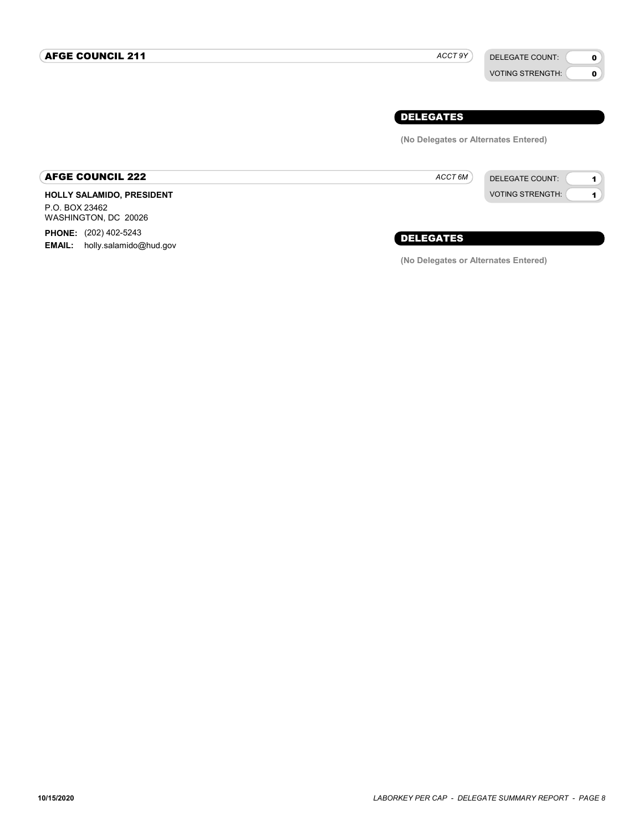ACCT 9Y

VOTING STRENGTH:

## 0 0

## DELEGATES

(No Delegates or Alternates Entered)

ACCT<sub>6M</sub>



AFGE COUNCIL 222

HOLLY SALAMIDO, PRESIDENT P.O. BOX 23462 WASHINGTON, DC 20026 PHONE: (202) 402-5243 EMAIL: holly.salamido@hud.gov

DELEGATES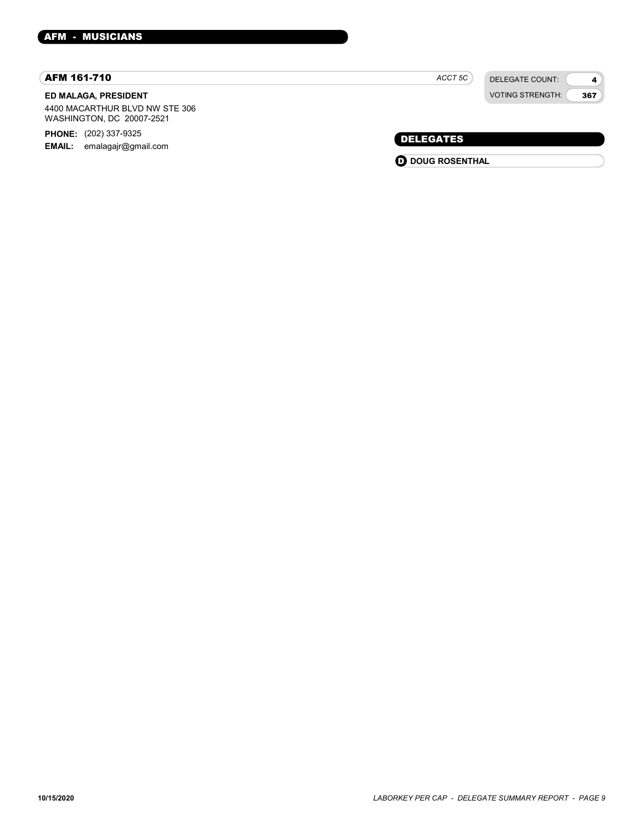#### AFM 161-710

#### ED MALAGA, PRESIDENT

4400 MACARTHUR BLVD NW STE 306 WASHINGTON, DC 20007-2521

PHONE: (202) 337-9325

EMAIL: emalagajr@gmail.com

DELEGATE COUNT: ACCT<sub>5C</sub>

VOTING STRENGTH: 4 367

## DELEGATES

**O** DOUG ROSENTHAL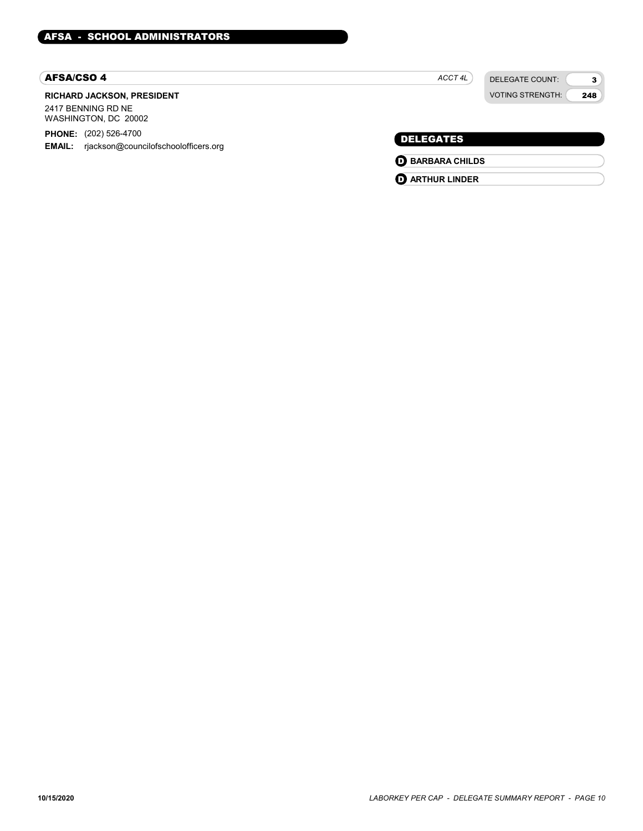#### AFSA/CSO 4

#### RICHARD JACKSON, PRESIDENT 2417 BENNING RD NE

WASHINGTON, DC 20002

PHONE: (202) 526-4700

EMAIL: rjackson@councilofschoolofficers.org

# ACCT 4L

DELEGATE COUNT: VOTING STRENGTH:

3 248

## DELEGATES

- **O** BARBARA CHILDS
- **O** ARTHUR LINDER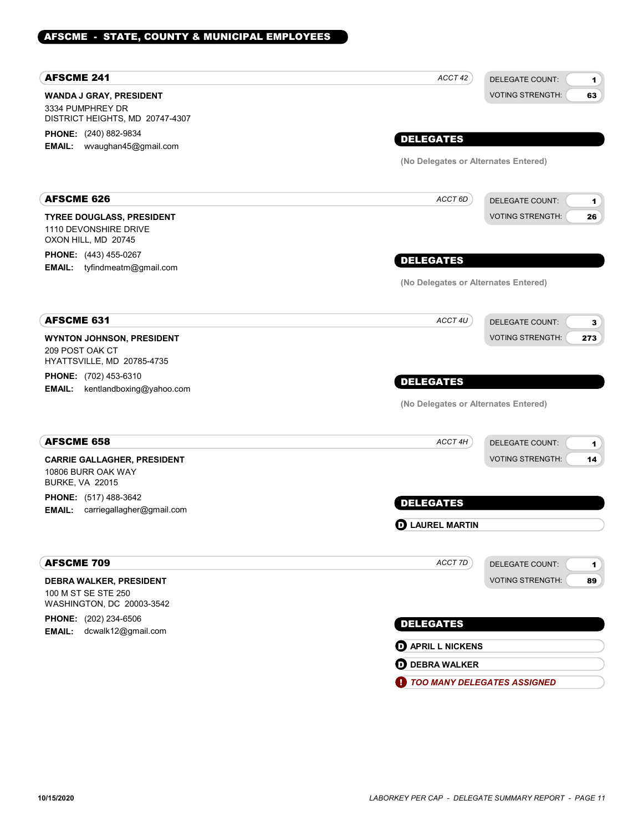## AFSCME - STATE, COUNTY & MUNICIPAL EMPLOYEES

| <b>AFSCME 241</b>                                                | ACCT 42<br><b>DELEGATE COUNT:</b><br>$\mathbf{1}$ |
|------------------------------------------------------------------|---------------------------------------------------|
| WANDA J GRAY, PRESIDENT                                          | <b>VOTING STRENGTH:</b><br>63                     |
| 3334 PUMPHREY DR                                                 |                                                   |
| DISTRICT HEIGHTS, MD 20747-4307                                  |                                                   |
| PHONE: (240) 882-9834<br>EMAIL: wvaughan45@gmail.com             | <b>DELEGATES</b>                                  |
|                                                                  | (No Delegates or Alternates Entered)              |
|                                                                  |                                                   |
| AFSCME 626                                                       | ACCT 6D<br><b>DELEGATE COUNT:</b><br>$\mathbf{1}$ |
| <b>TYREE DOUGLASS, PRESIDENT</b>                                 | <b>VOTING STRENGTH:</b><br>26                     |
| 1110 DEVONSHIRE DRIVE                                            |                                                   |
| OXON HILL, MD 20745                                              |                                                   |
| <b>PHONE:</b> (443) 455-0267<br>tyfindmeatm@gmail.com<br>EMAIL:  | <b>DELEGATES</b>                                  |
|                                                                  | (No Delegates or Alternates Entered)              |
|                                                                  |                                                   |
| <b>AFSCME 631</b>                                                | ACCT 4U<br><b>DELEGATE COUNT:</b><br>3            |
| <b>WYNTON JOHNSON, PRESIDENT</b>                                 | <b>VOTING STRENGTH:</b><br>273                    |
| 209 POST OAK CT<br>HYATTSVILLE, MD 20785-4735                    |                                                   |
| PHONE: (702) 453-6310                                            | <b>DELEGATES</b>                                  |
| <b>EMAIL:</b><br>kentlandboxing@yahoo.com                        |                                                   |
|                                                                  | (No Delegates or Alternates Entered)              |
| <b>AFSCME 658</b>                                                | ACCT 4H<br><b>DELEGATE COUNT:</b><br>$\mathbf{1}$ |
| <b>CARRIE GALLAGHER, PRESIDENT</b>                               | <b>VOTING STRENGTH:</b><br>14                     |
| 10806 BURR OAK WAY                                               |                                                   |
| <b>BURKE, VA 22015</b>                                           |                                                   |
| PHONE: (517) 488-3642<br><b>EMAIL:</b> carriegallagher@gmail.com | <b>DELEGATES</b>                                  |
|                                                                  | <b>D</b> LAUREL MARTIN                            |
|                                                                  |                                                   |
| <b>AFSCME 709</b>                                                | ACCT 7D<br><b>DELEGATE COUNT:</b><br>$\mathbf{1}$ |
| DEBRA WALKER, PRESIDENT                                          | 89<br><b>VOTING STRENGTH:</b>                     |
| 100 M ST SE STE 250                                              |                                                   |
| WASHINGTON, DC 20003-3542                                        |                                                   |
| PHONE: (202) 234-6506<br>dcwalk12@gmail.com<br><b>EMAIL:</b>     | <b>DELEGATES</b>                                  |
|                                                                  | <b>O</b> APRIL L NICKENS                          |
|                                                                  | <b>OD</b> DEBRA WALKER                            |
|                                                                  | TOO MANY DELEGATES ASSIGNED                       |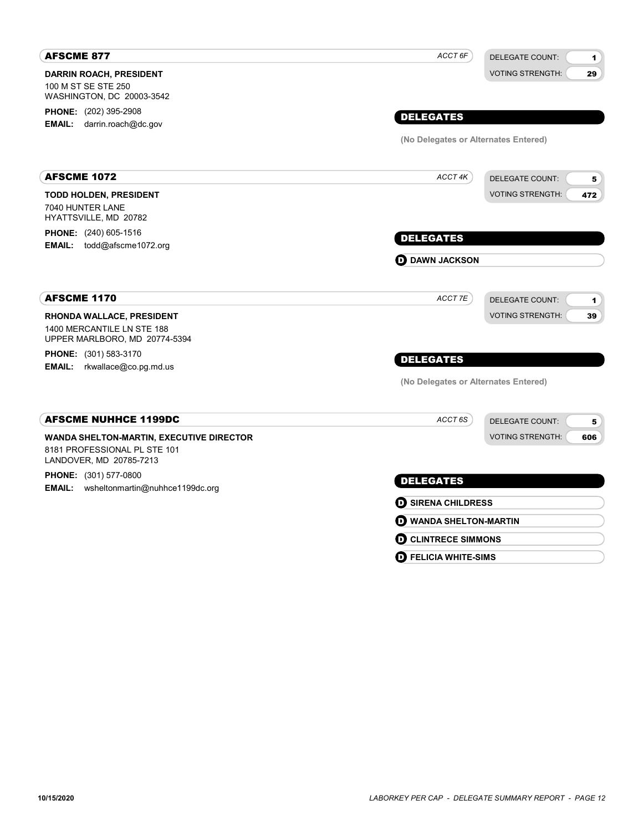| <b>AFSCME 877</b>                                           | ACCT 6F                                  | <b>DELEGATE COUNT:</b><br>$\blacksquare$ |
|-------------------------------------------------------------|------------------------------------------|------------------------------------------|
| <b>DARRIN ROACH, PRESIDENT</b>                              |                                          | <b>VOTING STRENGTH:</b><br>29            |
| 100 M ST SE STE 250<br>WASHINGTON, DC 20003-3542            |                                          |                                          |
| PHONE: (202) 395-2908                                       |                                          |                                          |
| <b>EMAIL:</b> darrin.roach@dc.gov                           | <b>DELEGATES</b>                         |                                          |
|                                                             | (No Delegates or Alternates Entered)     |                                          |
| <b>AFSCME 1072</b>                                          | ACCT 4K                                  | <b>DELEGATE COUNT:</b><br>5              |
| <b>TODD HOLDEN, PRESIDENT</b>                               |                                          | <b>VOTING STRENGTH:</b><br>472           |
| 7040 HUNTER LANE                                            |                                          |                                          |
| HYATTSVILLE, MD 20782                                       |                                          |                                          |
| PHONE: (240) 605-1516<br>EMAIL: todd@afscme1072.org         | <b>DELEGATES</b>                         |                                          |
|                                                             | <b>O</b> DAWN JACKSON                    |                                          |
|                                                             |                                          |                                          |
| <b>AFSCME 1170</b>                                          | ACCT 7E                                  | <b>DELEGATE COUNT:</b><br>$\blacksquare$ |
| RHONDA WALLACE, PRESIDENT                                   |                                          | <b>VOTING STRENGTH:</b><br>39            |
| 1400 MERCANTILE LN STE 188<br>UPPER MARLBORO, MD 20774-5394 |                                          |                                          |
| <b>PHONE:</b> (301) 583-3170                                | <b>DELEGATES</b>                         |                                          |
| rkwallace@co.pg.md.us<br><b>EMAIL:</b>                      |                                          |                                          |
|                                                             | (No Delegates or Alternates Entered)     |                                          |
| <b>AFSCME NUHHCE 1199DC</b>                                 | ACCT <sub>6S</sub>                       | <b>DELEGATE COUNT:</b><br>5              |
| <b>WANDA SHELTON-MARTIN, EXECUTIVE DIRECTOR</b>             |                                          | <b>VOTING STRENGTH:</b><br>606           |
| 8181 PROFESSIONAL PL STE 101<br>LANDOVER, MD 20785-7213     |                                          |                                          |
| PHONE: (301) 577-0800                                       | <b>DELEGATES</b>                         |                                          |
| EMAIL: wsheltonmartin@nuhhce1199dc.org                      |                                          |                                          |
|                                                             | <b>O SIRENA CHILDRESS</b>                |                                          |
|                                                             | <b>O WANDA SHELTON-MARTIN</b>            |                                          |
|                                                             | <b>D</b> CLINTRECE SIMMONS               |                                          |
|                                                             | $\boldsymbol{\Theta}$ FELICIA WHITE-SIMS |                                          |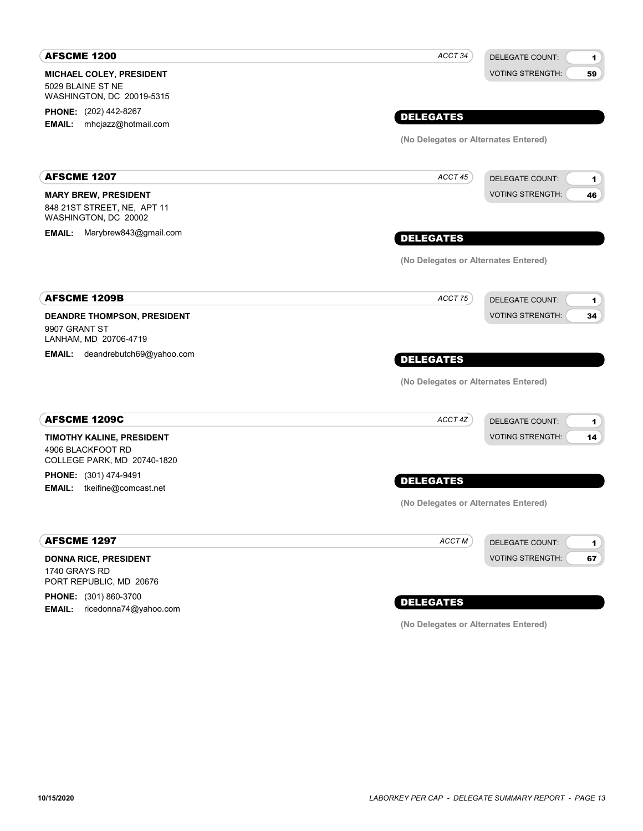| <b>AFSCME 1200</b>                                                                 | ACCT <sub>34</sub><br><b>DELEGATE COUNT:</b> | 1  |
|------------------------------------------------------------------------------------|----------------------------------------------|----|
| <b>MICHAEL COLEY, PRESIDENT</b><br>5029 BLAINE ST NE                               | <b>VOTING STRENGTH:</b>                      | 59 |
| WASHINGTON, DC 20019-5315                                                          |                                              |    |
| <b>PHONE:</b> (202) 442-8267<br>mhcjazz@hotmail.com<br><b>EMAIL:</b>               | <b>DELEGATES</b>                             |    |
|                                                                                    | (No Delegates or Alternates Entered)         |    |
| <b>AFSCME 1207</b>                                                                 | ACCT 45<br><b>DELEGATE COUNT:</b>            |    |
|                                                                                    | <b>VOTING STRENGTH:</b>                      | 1  |
| <b>MARY BREW, PRESIDENT</b><br>848 21ST STREET, NE, APT 11<br>WASHINGTON, DC 20002 |                                              | 46 |
| EMAIL: Marybrew843@gmail.com                                                       | <b>DELEGATES</b>                             |    |
|                                                                                    | (No Delegates or Alternates Entered)         |    |
| <b>AFSCME 1209B</b>                                                                | ACCT 75<br><b>DELEGATE COUNT:</b>            | 1  |
| DEANDRE THOMPSON, PRESIDENT<br>9907 GRANT ST<br>LANHAM, MD 20706-4719              | <b>VOTING STRENGTH:</b>                      | 34 |
| <b>EMAIL:</b> deandrebutch69@yahoo.com                                             | <b>DELEGATES</b>                             |    |
|                                                                                    | (No Delegates or Alternates Entered)         |    |
| <b>AFSCME 1209C</b>                                                                | ACCT 4Z<br><b>DELEGATE COUNT:</b>            | 1  |
| TIMOTHY KALINE, PRESIDENT<br>4906 BLACKFOOT RD<br>COLLEGE PARK, MD 20740-1820      | <b>VOTING STRENGTH:</b>                      | 14 |
| PHONE: (301) 474-9491                                                              |                                              |    |
| <b>EMAIL:</b><br>tkeifine@comcast.net                                              | <b>DELEGATES</b>                             |    |
|                                                                                    | (No Delegates or Alternates Entered)         |    |
| <b>AFSCME 1297</b>                                                                 | ACCT M<br><b>DELEGATE COUNT:</b>             | 1  |
| <b>DONNA RICE, PRESIDENT</b><br>1740 GRAYS RD<br>PORT REPUBLIC, MD 20676           | <b>VOTING STRENGTH:</b>                      | 67 |
| PHONE: (301) 860-3700                                                              | <b>DELEGATES</b>                             |    |
|                                                                                    |                                              |    |

PHONE: (301) 860-3700 EMAIL: ricedonna74@yahoo.com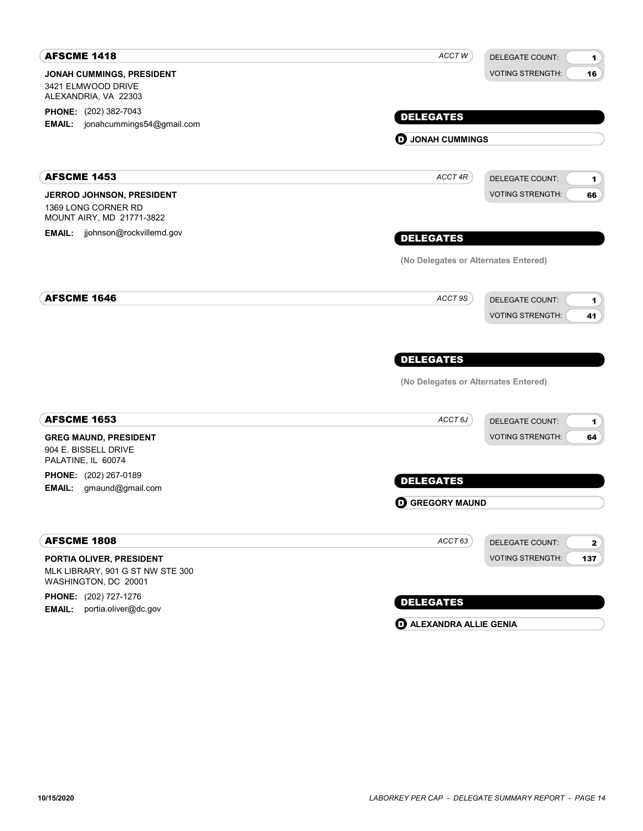| <b>AFSCME 1418</b>                                                                   | ACCT W                               | <b>DELEGATE COUNT:</b><br>1                                  |
|--------------------------------------------------------------------------------------|--------------------------------------|--------------------------------------------------------------|
| JONAH CUMMINGS, PRESIDENT<br>3421 ELMWOOD DRIVE<br>ALEXANDRIA, VA 22303              |                                      | <b>VOTING STRENGTH:</b><br>16                                |
| PHONE: (202) 382-7043                                                                | <b>DELEGATES</b>                     |                                                              |
| EMAIL: jonahcummings54@gmail.com                                                     |                                      |                                                              |
|                                                                                      | <b>O</b> JONAH CUMMINGS              |                                                              |
| <b>AFSCME 1453</b>                                                                   | ACCT 4R                              | <b>DELEGATE COUNT:</b><br>1                                  |
| JERROD JOHNSON, PRESIDENT<br>1369 LONG CORNER RD<br>MOUNT AIRY, MD 21771-3822        |                                      | <b>VOTING STRENGTH:</b><br>66                                |
| EMAIL: jjohnson@rockvillemd.gov                                                      | <b>DELEGATES</b>                     |                                                              |
|                                                                                      | (No Delegates or Alternates Entered) |                                                              |
| <b>AFSCME 1646</b>                                                                   | ACCT 9S                              | <b>DELEGATE COUNT:</b><br>1<br><b>VOTING STRENGTH:</b><br>41 |
|                                                                                      | <b>DELEGATES</b>                     |                                                              |
|                                                                                      | (No Delegates or Alternates Entered) |                                                              |
| <b>AFSCME 1653</b>                                                                   | ACCT 6J                              | <b>DELEGATE COUNT:</b><br>1                                  |
| <b>GREG MAUND, PRESIDENT</b><br>904 E. BISSELL DRIVE<br>PALATINE, IL 60074           |                                      | <b>VOTING STRENGTH:</b><br>64                                |
| <b>PHONE:</b> (202) 267-0189                                                         | <b>DELEGATES</b>                     |                                                              |
| EMAIL: gmaund@gmail.com                                                              |                                      |                                                              |
|                                                                                      | <b>O GREGORY MAUND</b>               |                                                              |
| <b>AFSCME 1808</b>                                                                   | ACCT 63                              | <b>DELEGATE COUNT:</b><br>$\mathbf{2}$                       |
| PORTIA OLIVER, PRESIDENT<br>MLK LIBRARY, 901 G ST NW STE 300<br>WASHINGTON, DC 20001 |                                      | <b>VOTING STRENGTH:</b><br>137                               |
| PHONE: (202) 727-1276                                                                | <b>DELEGATES</b>                     |                                                              |
| <b>EMAIL:</b><br>portia.oliver@dc.gov                                                |                                      |                                                              |

**D** ALEXANDRA ALLIE GENIA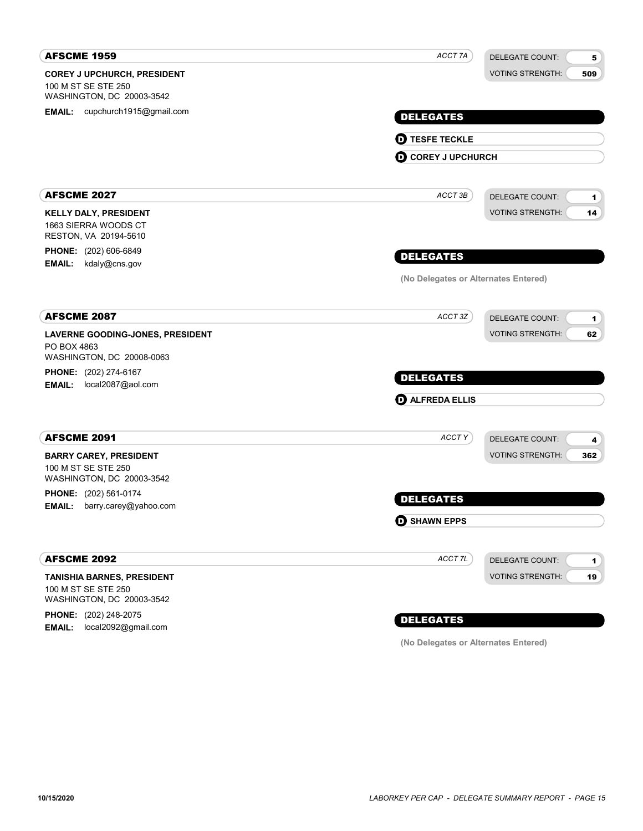| <b>AFSCME 1959</b>                               | ACCT 7A<br><b>DELEGATE COUNT:</b>            | 5   |
|--------------------------------------------------|----------------------------------------------|-----|
| <b>COREY J UPCHURCH, PRESIDENT</b>               | <b>VOTING STRENGTH:</b>                      | 509 |
| 100 M ST SE STE 250<br>WASHINGTON, DC 20003-3542 |                                              |     |
| EMAIL: cupchurch1915@gmail.com                   | <b>DELEGATES</b>                             |     |
|                                                  |                                              |     |
|                                                  | <b>O TESFE TECKLE</b>                        |     |
|                                                  | <b>O COREY J UPCHURCH</b>                    |     |
| <b>AFSCME 2027</b>                               | ACCT 3B<br><b>DELEGATE COUNT:</b>            | 1   |
| <b>KELLY DALY, PRESIDENT</b>                     | <b>VOTING STRENGTH:</b>                      | 14  |
| 1663 SIERRA WOODS CT<br>RESTON, VA 20194-5610    |                                              |     |
| PHONE: (202) 606-6849                            | <b>DELEGATES</b>                             |     |
| kdaly@cns.gov<br><b>EMAIL:</b>                   |                                              |     |
|                                                  | (No Delegates or Alternates Entered)         |     |
| <b>AFSCME 2087</b>                               | ACCT 3Z<br><b>DELEGATE COUNT:</b>            | 1   |
| LAVERNE GOODING-JONES, PRESIDENT                 | <b>VOTING STRENGTH:</b>                      | 62  |
| PO BOX 4863<br>WASHINGTON, DC 20008-0063         |                                              |     |
| <b>PHONE:</b> (202) 274-6167                     | <b>DELEGATES</b>                             |     |
| EMAIL: local2087@aol.com                         |                                              |     |
|                                                  | <b>O ALFREDA ELLIS</b>                       |     |
| <b>AFSCME 2091</b>                               | ACCTY<br><b>DELEGATE COUNT:</b>              | 4   |
| <b>BARRY CAREY, PRESIDENT</b>                    | <b>VOTING STRENGTH:</b>                      | 362 |
| 100 M ST SE STE 250<br>WASHINGTON, DC 20003-3542 |                                              |     |
| <b>PHONE:</b> (202) 561-0174                     | <b>DELEGATES</b>                             |     |
| <b>EMAIL:</b><br>barry.carey@yahoo.com           |                                              |     |
|                                                  | <b>O SHAWN EPPS</b>                          |     |
| <b>AFSCME 2092</b>                               | ACCT <sub>7L</sub><br><b>DELEGATE COUNT:</b> | 1   |
| <b>TANISHIA BARNES, PRESIDENT</b>                | <b>VOTING STRENGTH:</b>                      | 19  |
| 100 M ST SE STE 250<br>WASHINGTON, DC 20003-3542 |                                              |     |
| <b>PHONE:</b> (202) 248-2075                     |                                              |     |
| local2092@gmail.com<br><b>EMAIL:</b>             | <b>DELEGATES</b>                             |     |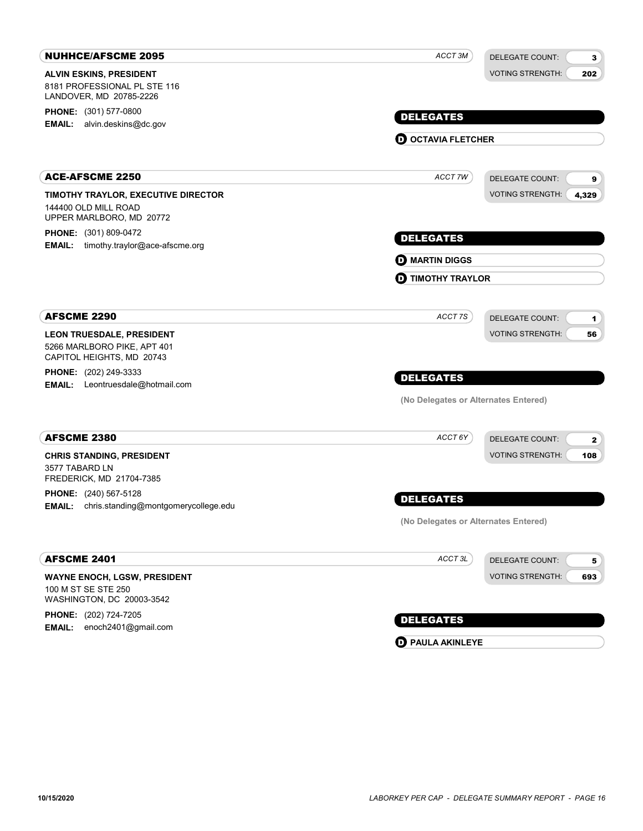| <b>NUHHCE/AFSCME 2095</b>                                                               | ACCT 3M                              | <b>DELEGATE COUNT:</b><br>$\mathbf{3}$ |
|-----------------------------------------------------------------------------------------|--------------------------------------|----------------------------------------|
| <b>ALVIN ESKINS, PRESIDENT</b>                                                          |                                      | <b>VOTING STRENGTH:</b><br>202         |
| 8181 PROFESSIONAL PL STE 116<br>LANDOVER, MD 20785-2226                                 |                                      |                                        |
| <b>PHONE:</b> (301) 577-0800                                                            | <b>DELEGATES</b>                     |                                        |
| alvin.deskins@dc.gov<br>EMAIL:                                                          |                                      |                                        |
|                                                                                         | <b>O OCTAVIA FLETCHER</b>            |                                        |
| <b>ACE-AFSCME 2250</b>                                                                  | ACCT 7W                              | <b>DELEGATE COUNT:</b><br>9            |
| TIMOTHY TRAYLOR, EXECUTIVE DIRECTOR<br>144400 OLD MILL ROAD<br>UPPER MARLBORO, MD 20772 |                                      | <b>VOTING STRENGTH:</b><br>4,329       |
| PHONE: (301) 809-0472<br>timothy.traylor@ace-afscme.org<br>EMAIL:                       | <b>DELEGATES</b>                     |                                        |
|                                                                                         | <b>D</b> MARTIN DIGGS                |                                        |
|                                                                                         | <b>D</b> TIMOTHY TRAYLOR             |                                        |
| <b>AFSCME 2290</b>                                                                      | ACCT7S                               | <b>DELEGATE COUNT:</b>                 |
| <b>LEON TRUESDALE, PRESIDENT</b>                                                        |                                      | 1<br><b>VOTING STRENGTH:</b><br>56     |
| 5266 MARLBORO PIKE, APT 401<br>CAPITOL HEIGHTS, MD 20743                                |                                      |                                        |
| <b>PHONE:</b> (202) 249-3333                                                            | <b>DELEGATES</b>                     |                                        |
| <b>EMAIL:</b> Leontruesdale@hotmail.com                                                 | (No Delegates or Alternates Entered) |                                        |
| <b>AFSCME 2380</b>                                                                      | ACCT 6Y                              |                                        |
|                                                                                         |                                      | <b>DELEGATE COUNT:</b><br>2            |
| <b>CHRIS STANDING, PRESIDENT</b><br>3577 TABARD LN<br>FREDERICK, MD 21704-7385          |                                      | <b>VOTING STRENGTH:</b><br>108         |
| PHONE: (240) 567-5128                                                                   | <b>DELEGATES</b>                     |                                        |
| chris.standing@montgomerycollege.edu<br><b>EMAIL:</b>                                   |                                      |                                        |
|                                                                                         | (No Delegates or Alternates Entered) |                                        |
| <b>AFSCME 2401</b>                                                                      | ACCT3L                               | <b>DELEGATE COUNT:</b><br>5            |
| <b>WAYNE ENOCH, LGSW, PRESIDENT</b><br>100 M ST SE STE 250<br>WASHINGTON, DC 20003-3542 |                                      | <b>VOTING STRENGTH:</b><br>693         |
| PHONE: (202) 724-7205                                                                   | <b>DELEGATES</b>                     |                                        |
| enoch2401@gmail.com<br>EMAIL:                                                           |                                      |                                        |

**D** PAULA AKINLEYE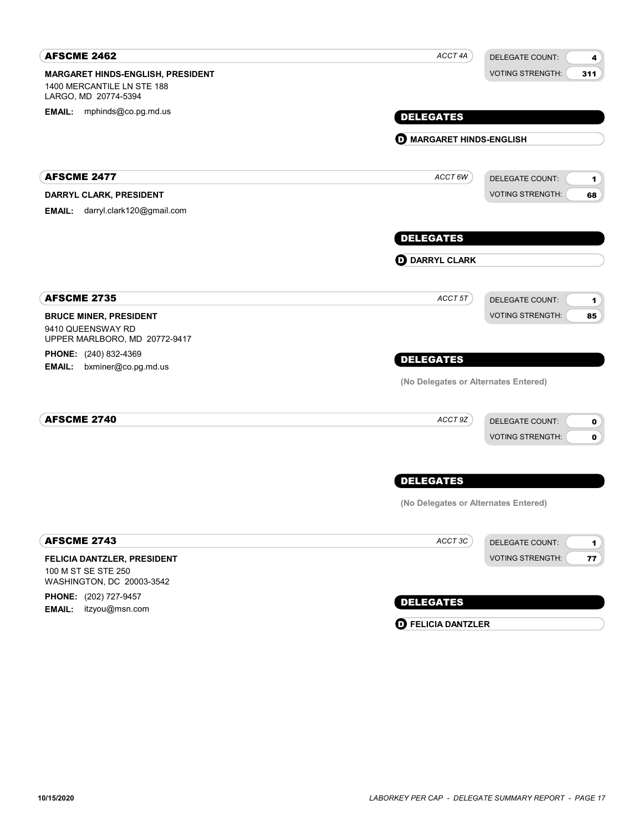| <b>AFSCME 2462</b>                                                                      | ACCT 4A                              | <b>DELEGATE COUNT:</b><br>4                    |
|-----------------------------------------------------------------------------------------|--------------------------------------|------------------------------------------------|
| MARGARET HINDS-ENGLISH, PRESIDENT<br>1400 MERCANTILE LN STE 188<br>LARGO, MD 20774-5394 |                                      | <b>VOTING STRENGTH:</b><br>311                 |
| EMAIL: mphinds@co.pg.md.us                                                              | <b>DELEGATES</b>                     |                                                |
|                                                                                         | <b>O MARGARET HINDS-ENGLISH</b>      |                                                |
|                                                                                         |                                      |                                                |
| <b>AFSCME 2477</b>                                                                      | ACCT 6W                              | <b>DELEGATE COUNT:</b><br>1                    |
| DARRYL CLARK, PRESIDENT                                                                 |                                      | <b>VOTING STRENGTH:</b><br>68                  |
| darryl.clark120@gmail.com<br><b>EMAIL:</b>                                              |                                      |                                                |
|                                                                                         | <b>DELEGATES</b>                     |                                                |
|                                                                                         | <b>OD</b> DARRYL CLARK               |                                                |
|                                                                                         |                                      |                                                |
| <b>AFSCME 2735</b>                                                                      | ACCT 5T                              | <b>DELEGATE COUNT:</b><br>1                    |
| <b>BRUCE MINER, PRESIDENT</b><br>9410 QUEENSWAY RD                                      |                                      | <b>VOTING STRENGTH:</b><br>85                  |
| UPPER MARLBORO, MD 20772-9417                                                           |                                      |                                                |
| <b>PHONE:</b> (240) 832-4369                                                            | <b>DELEGATES</b>                     |                                                |
| <b>EMAIL:</b><br>bxminer@co.pg.md.us                                                    | (No Delegates or Alternates Entered) |                                                |
|                                                                                         |                                      |                                                |
| <b>AFSCME 2740</b>                                                                      | ACCT 9Z                              | <b>DELEGATE COUNT:</b><br>$\mathbf 0$          |
|                                                                                         |                                      | <b>VOTING STRENGTH:</b><br>$\mathbf 0$         |
|                                                                                         | <b>DELEGATES</b>                     |                                                |
|                                                                                         |                                      |                                                |
|                                                                                         | (No Delegates or Alternates Entered) |                                                |
| <b>AFSCME 2743</b>                                                                      | ACCT 3C                              | <b>DELEGATE COUNT:</b><br>$\blacktriangleleft$ |
| FELICIA DANTZLER, PRESIDENT                                                             |                                      | <b>VOTING STRENGTH:</b><br>77                  |
| 100 M ST SE STE 250<br>WASHINGTON, DC 20003-3542                                        |                                      |                                                |
| PHONE: (202) 727-9457                                                                   |                                      |                                                |
| <b>EMAIL:</b><br>itzyou@msn.com                                                         | <b>DELEGATES</b>                     |                                                |
|                                                                                         | <b>O</b> FELICIA DANTZLER            |                                                |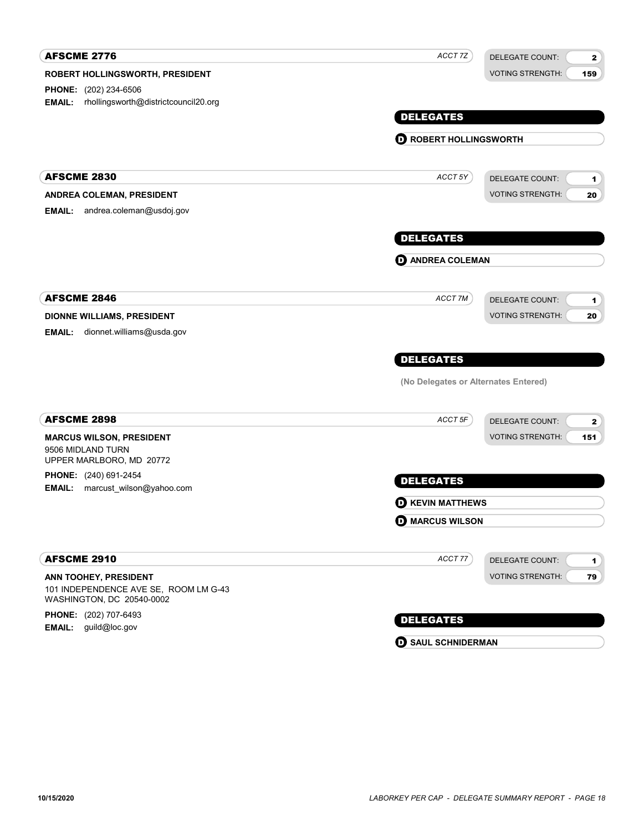| <b>AFSCME 2776</b>                                                 | ACCT 7Z                              | <b>DELEGATE COUNT:</b><br>$\mathbf{2}$ |
|--------------------------------------------------------------------|--------------------------------------|----------------------------------------|
| ROBERT HOLLINGSWORTH, PRESIDENT                                    |                                      | <b>VOTING STRENGTH:</b><br>159         |
| PHONE: (202) 234-6506                                              |                                      |                                        |
| rhollingsworth@districtcouncil20.org<br><b>EMAIL:</b>              |                                      |                                        |
|                                                                    | <b>DELEGATES</b>                     |                                        |
|                                                                    | <b>O ROBERT HOLLINGSWORTH</b>        |                                        |
|                                                                    |                                      |                                        |
| <b>AFSCME 2830</b>                                                 | ACCT 5Y                              | <b>DELEGATE COUNT:</b><br>1            |
| ANDREA COLEMAN, PRESIDENT                                          |                                      | <b>VOTING STRENGTH:</b><br>20          |
| andrea.coleman@usdoj.gov<br><b>EMAIL:</b>                          |                                      |                                        |
|                                                                    | <b>DELEGATES</b>                     |                                        |
|                                                                    | <b>O ANDREA COLEMAN</b>              |                                        |
| <b>AFSCME 2846</b>                                                 | ACCT 7M                              | <b>DELEGATE COUNT:</b>                 |
| <b>DIONNE WILLIAMS, PRESIDENT</b>                                  |                                      | 1<br><b>VOTING STRENGTH:</b><br>20     |
| <b>EMAIL:</b><br>dionnet.williams@usda.gov                         |                                      |                                        |
|                                                                    |                                      |                                        |
|                                                                    | <b>DELEGATES</b>                     |                                        |
|                                                                    | (No Delegates or Alternates Entered) |                                        |
| <b>AFSCME 2898</b>                                                 | ACCT 5F                              | <b>DELEGATE COUNT:</b><br>2            |
| <b>MARCUS WILSON, PRESIDENT</b>                                    |                                      | <b>VOTING STRENGTH:</b><br>151         |
| 9506 MIDLAND TURN<br>UPPER MARLBORO, MD 20772                      |                                      |                                        |
| PHONE: (240) 691-2454                                              | <b>DELEGATES</b>                     |                                        |
| <b>EMAIL:</b><br>marcust_wilson@yahoo.com                          | <b>D</b> KEVIN MATTHEWS              |                                        |
|                                                                    | <b>O</b> MARCUS WILSON               |                                        |
|                                                                    |                                      |                                        |
| <b>AFSCME 2910</b>                                                 | ACCT77                               | <b>DELEGATE COUNT:</b><br>1            |
| ANN TOOHEY, PRESIDENT                                              |                                      | <b>VOTING STRENGTH:</b><br>79          |
| 101 INDEPENDENCE AVE SE, ROOM LM G-43<br>WASHINGTON, DC 20540-0002 |                                      |                                        |
| PHONE: (202) 707-6493                                              | <b>DELEGATES</b>                     |                                        |
| guild@loc.gov<br><b>EMAIL:</b>                                     |                                      |                                        |

**D** SAUL SCHNIDERMAN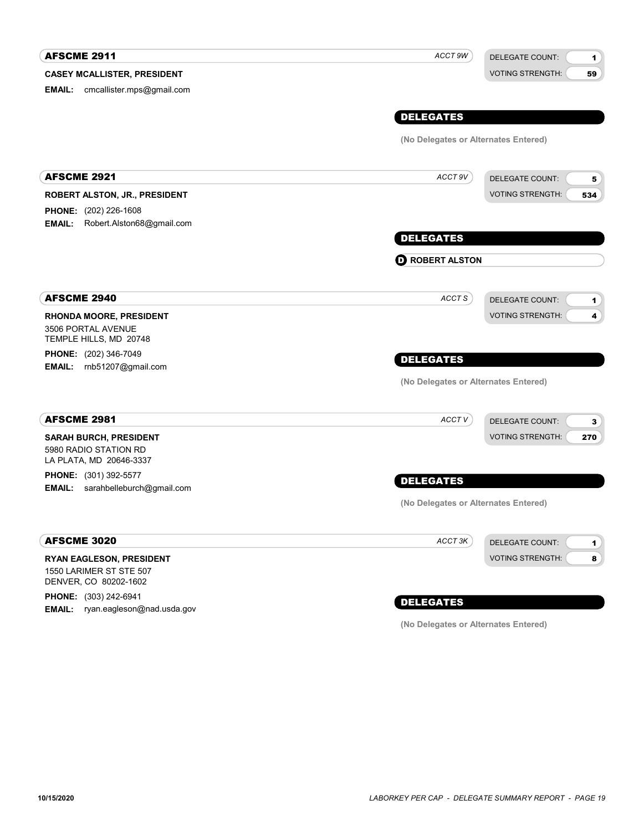#### CASEY MCALLISTER, PRESIDENT **AFSCME 2911** DELEGATE COUNT: VOTING STRENGTH: 1 59 DELEGATES EMAIL: cmcallister.mps@gmail.com ACCT 9W (No Delegates or Alternates Entered) ROBERT ALSTON, JR., PRESIDENT **AFSCME 2921** DELEGATE COUNT: VOTING STRENGTH: 5 534 DELEGATES PHONE: (202) 226-1608 EMAIL: Robert.Alston68@gmail.com ACCT 9V **O** ROBERT ALSTON RHONDA MOORE, PRESIDENT AFSCME 2940 3506 PORTAL AVENUE TEMPLE HILLS, MD 20748 PHONE: (202) 346-7049 EMAIL: rnb51207@gmail.com DELEGATE COUNT: VOTING STRENGTH: 1 4 DELEGATES ACCT<sub>S</sub> (No Delegates or Alternates Entered) SARAH BURCH, PRESIDENT AFSCME 2981 5980 RADIO STATION RD LA PLATA, MD 20646-3337 **PHONE:** (301) 392-5577 **EMAIL:** sarahbelleburch@gmail.com DELEGATE COUNT: VOTING STRENGTH: 3 270 DELEGATES ACCT V (No Delegates or Alternates Entered) RYAN EAGLESON, PRESIDENT AFSCME 3020 1550 LARIMER ST STE 507 DENVER, CO 80202-1602 DELEGATE COUNT: VOTING STRENGTH: 1 8 ACCT<sub>3K</sub>

PHONE: (303) 242-6941 EMAIL: ryan.eagleson@nad.usda.gov

## DELEGATES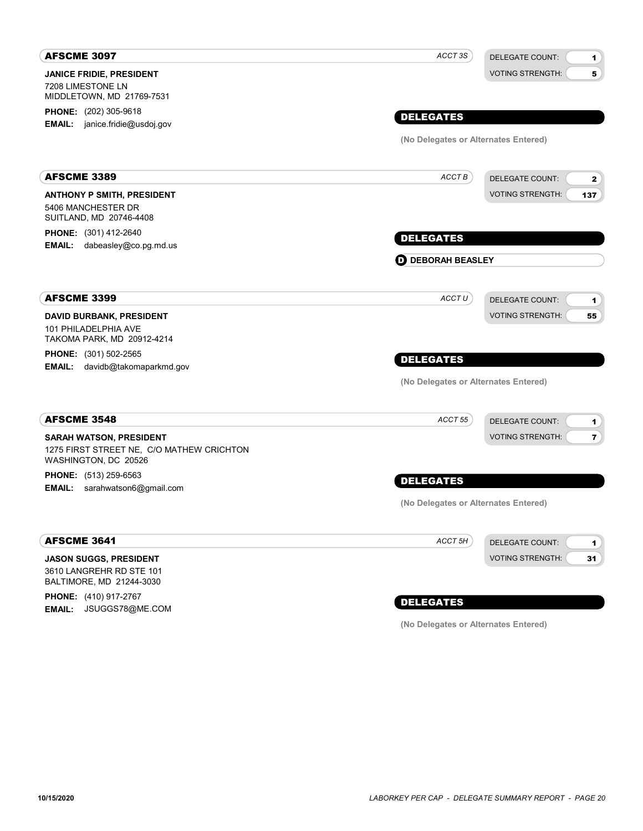| <b>AFSCME 3097</b>                                                                | ACCT 3S                              | DELEGATE COUNT:<br>$\mathbf{1}$         |
|-----------------------------------------------------------------------------------|--------------------------------------|-----------------------------------------|
| <b>JANICE FRIDIE, PRESIDENT</b><br>7208 LIMESTONE LN<br>MIDDLETOWN, MD 21769-7531 |                                      | <b>VOTING STRENGTH:</b><br>5            |
| <b>PHONE:</b> (202) 305-9618                                                      | <b>DELEGATES</b>                     |                                         |
| <b>EMAIL:</b> janice.fridie@usdoj.gov                                             |                                      |                                         |
|                                                                                   | (No Delegates or Alternates Entered) |                                         |
| <b>AFSCME 3389</b>                                                                | ACCT B                               | <b>DELEGATE COUNT:</b><br>$\mathbf{z}$  |
| <b>ANTHONY P SMITH, PRESIDENT</b>                                                 |                                      | <b>VOTING STRENGTH:</b><br>137          |
| 5406 MANCHESTER DR<br>SUITLAND, MD 20746-4408                                     |                                      |                                         |
| <b>PHONE:</b> (301) 412-2640                                                      | <b>DELEGATES</b>                     |                                         |
| EMAIL: dabeasley@co.pg.md.us                                                      |                                      |                                         |
|                                                                                   | <b>D</b> DEBORAH BEASLEY             |                                         |
| <b>AFSCME 3399</b>                                                                | ACCT U                               | DELEGATE COUNT:<br>1                    |
| <b>DAVID BURBANK, PRESIDENT</b>                                                   |                                      | <b>VOTING STRENGTH:</b><br>55           |
| 101 PHILADELPHIA AVE<br>TAKOMA PARK, MD 20912-4214                                |                                      |                                         |
| <b>PHONE:</b> (301) 502-2565                                                      |                                      |                                         |
| EMAIL: davidb@takomaparkmd.gov                                                    | <b>DELEGATES</b>                     |                                         |
|                                                                                   | (No Delegates or Alternates Entered) |                                         |
| <b>AFSCME 3548</b>                                                                | ACCT 55                              | <b>DELEGATE COUNT:</b><br>1             |
| <b>SARAH WATSON, PRESIDENT</b>                                                    |                                      | <b>VOTING STRENGTH:</b><br>$\mathbf{7}$ |
| 1275 FIRST STREET NE, C/O MATHEW CRICHTON<br>WASHINGTON, DC 20526                 |                                      |                                         |
| <b>PHONE:</b> (513) 259-6563                                                      | <b>DELEGATES</b>                     |                                         |
| EMAIL: sarahwatson6@gmail.com                                                     |                                      |                                         |
|                                                                                   | (No Delegates or Alternates Entered) |                                         |
| <b>AFSCME 3641</b>                                                                | ACCT 5H                              | <b>DELEGATE COUNT:</b><br>1             |
| <b>JASON SUGGS, PRESIDENT</b>                                                     |                                      | <b>VOTING STRENGTH:</b><br>31           |
| 3610 LANGREHR RD STE 101<br>BALTIMORE, MD 21244-3030                              |                                      |                                         |

PHONE: (410) 917-2767 EMAIL: JSUGGS78@ME.COM

## DELEGATES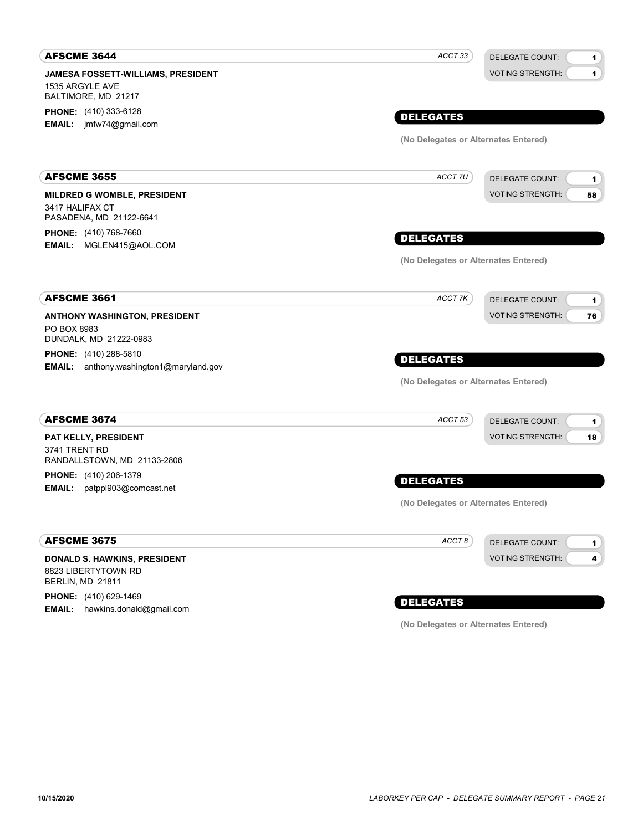| <b>AFSCME 3644</b>                                                            | ACCT 33                              | <b>DELEGATE COUNT:</b><br>1                        |
|-------------------------------------------------------------------------------|--------------------------------------|----------------------------------------------------|
| JAMESA FOSSETT-WILLIAMS, PRESIDENT<br>1535 ARGYLE AVE<br>BALTIMORE, MD 21217  |                                      | $\blacksquare$<br><b>VOTING STRENGTH:</b>          |
| <b>PHONE:</b> (410) 333-6128                                                  | <b>DELEGATES</b>                     |                                                    |
| <b>EMAIL:</b> jmfw74@gmail.com                                                |                                      |                                                    |
|                                                                               | (No Delegates or Alternates Entered) |                                                    |
| <b>AFSCME 3655</b>                                                            | ACCT 7U                              | <b>DELEGATE COUNT:</b><br>1                        |
| MILDRED G WOMBLE, PRESIDENT<br>3417 HALIFAX CT<br>PASADENA, MD 21122-6641     |                                      | <b>VOTING STRENGTH:</b><br>58                      |
| PHONE: (410) 768-7660<br>EMAIL: MGLEN415@AOL.COM                              | <b>DELEGATES</b>                     |                                                    |
|                                                                               | (No Delegates or Alternates Entered) |                                                    |
| <b>AFSCME 3661</b>                                                            | ACCT 7K                              | <b>DELEGATE COUNT:</b><br>1                        |
| <b>ANTHONY WASHINGTON, PRESIDENT</b><br>PO BOX 8983<br>DUNDALK, MD 21222-0983 |                                      | <b>VOTING STRENGTH:</b><br>76                      |
| <b>PHONE:</b> (410) 288-5810                                                  | <b>DELEGATES</b>                     |                                                    |
| <b>EMAIL:</b> anthony.washington1@maryland.gov                                | (No Delegates or Alternates Entered) |                                                    |
| <b>AFSCME 3674</b>                                                            |                                      |                                                    |
|                                                                               | ACCT 53                              | <b>DELEGATE COUNT:</b><br>1                        |
| PAT KELLY, PRESIDENT<br>3741 TRENT RD<br>RANDALLSTOWN, MD 21133-2806          |                                      | <b>VOTING STRENGTH:</b><br>18                      |
| PHONE: (410) 206-1379<br><b>EMAIL:</b><br>patppl903@comcast.net               | <b>DELEGATES</b>                     |                                                    |
|                                                                               | (No Delegates or Alternates Entered) |                                                    |
| <b>AFSCME 3675</b>                                                            | ACCT8                                | DELEGATE COUNT:<br>$\mathbf{1}$                    |
| DONALD S. HAWKINS, PRESIDENT<br>8823 LIBERTYTOWN RD<br>BERLIN, MD 21811       |                                      | <b>VOTING STRENGTH:</b><br>$\overline{\mathbf{4}}$ |

PHONE: (410) 629-1469 **EMAIL:** hawkins.donald@gmail.com

## DELEGATES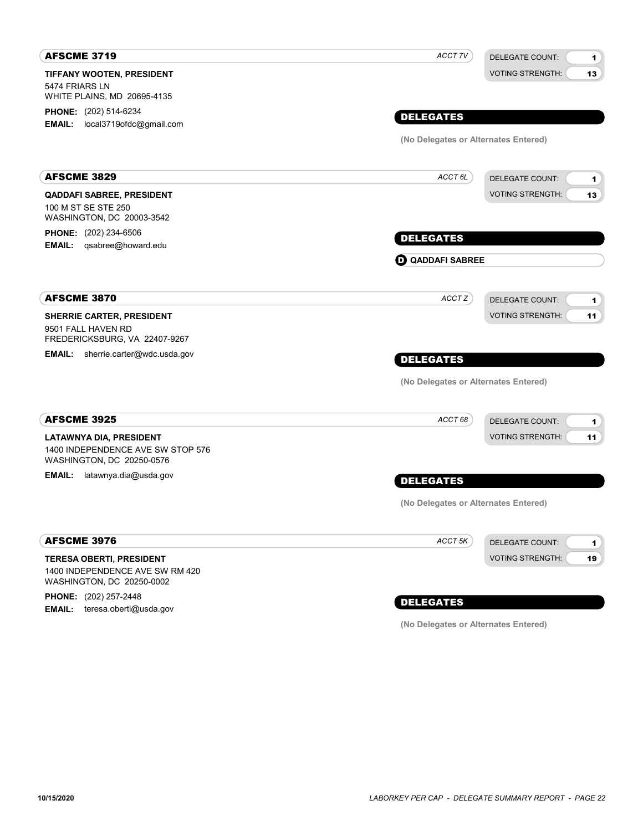| <b>DELEGATES</b>        | <b>DELEGATE COUNT:</b><br>1<br><b>VOTING STRENGTH:</b><br>13 |
|-------------------------|--------------------------------------------------------------|
|                         |                                                              |
|                         |                                                              |
|                         | (No Delegates or Alternates Entered)                         |
| ACCT <sub>6L</sub>      | <b>DELEGATE COUNT:</b><br>1                                  |
|                         | <b>VOTING STRENGTH:</b><br>13                                |
| <b>DELEGATES</b>        |                                                              |
| <b>O QADDAFI SABREE</b> |                                                              |
| ACCT Z                  | <b>DELEGATE COUNT:</b><br>1                                  |
|                         | <b>VOTING STRENGTH:</b><br>11                                |
| <b>DELEGATES</b>        |                                                              |
|                         | (No Delegates or Alternates Entered)                         |
| ACCT 68                 | <b>DELEGATE COUNT:</b><br>1                                  |
|                         | <b>VOTING STRENGTH:</b><br>11                                |
| <b>DELEGATES</b>        |                                                              |
|                         | (No Delegates or Alternates Entered)                         |
| ACCT <sub>5K</sub>      | <b>DELEGATE COUNT:</b><br>$\mathbf{1}$                       |
|                         | <b>VOTING STRENGTH:</b><br>19                                |
|                         |                                                              |

PHONE: (202) 257-2448 EMAIL: teresa.oberti@usda.gov

## DELEGATES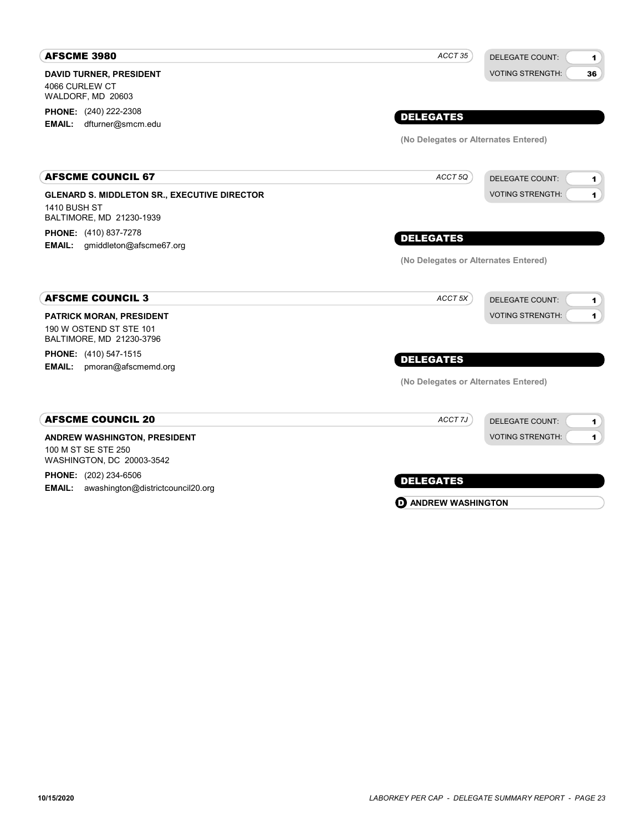| <b>AFSCME 3980</b>                                                                 | ACCT 35                              | <b>DELEGATE COUNT:</b><br>$\blacktriangleleft$ |
|------------------------------------------------------------------------------------|--------------------------------------|------------------------------------------------|
| <b>DAVID TURNER, PRESIDENT</b><br>4066 CURLEW CT                                   |                                      | <b>VOTING STRENGTH:</b><br>36                  |
| WALDORF, MD 20603                                                                  |                                      |                                                |
| <b>PHONE:</b> (240) 222-2308                                                       | <b>DELEGATES</b>                     |                                                |
| dfturner@smcm.edu<br><b>EMAIL:</b>                                                 |                                      |                                                |
|                                                                                    | (No Delegates or Alternates Entered) |                                                |
| <b>AFSCME COUNCIL 67</b>                                                           | ACCT 5Q                              | DELEGATE COUNT:<br>1                           |
| <b>GLENARD S. MIDDLETON SR., EXECUTIVE DIRECTOR</b><br><b>1410 BUSH ST</b>         |                                      | <b>VOTING STRENGTH:</b><br>$\blacksquare$      |
| BALTIMORE, MD 21230-1939                                                           |                                      |                                                |
| PHONE: (410) 837-7278<br>gmiddleton@afscme67.org<br><b>EMAIL:</b>                  | <b>DELEGATES</b>                     |                                                |
|                                                                                    | (No Delegates or Alternates Entered) |                                                |
|                                                                                    |                                      |                                                |
| <b>AFSCME COUNCIL 3</b>                                                            | ACCT 5X                              | <b>DELEGATE COUNT:</b><br>1                    |
| <b>PATRICK MORAN, PRESIDENT</b>                                                    |                                      | <b>VOTING STRENGTH:</b><br>1                   |
| 190 W OSTEND ST STE 101<br>BALTIMORE, MD 21230-3796                                |                                      |                                                |
| <b>PHONE:</b> (410) 547-1515                                                       | <b>DELEGATES</b>                     |                                                |
| <b>EMAIL:</b><br>pmoran@afscmemd.org                                               |                                      |                                                |
|                                                                                    | (No Delegates or Alternates Entered) |                                                |
| <b>AFSCME COUNCIL 20</b>                                                           | ACCT 7J                              | <b>DELEGATE COUNT:</b><br>1                    |
| ANDREW WASHINGTON, PRESIDENT                                                       |                                      | <b>VOTING STRENGTH:</b><br>1                   |
| 100 M ST SE STE 250                                                                |                                      |                                                |
| WASHINGTON, DC 20003-3542                                                          |                                      |                                                |
| <b>PHONE:</b> (202) 234-6506<br><b>EMAIL:</b><br>awashington@districtcouncil20.org | <b>DELEGATES</b>                     |                                                |
|                                                                                    | <b>D</b> ANDREW WASHINGTON           |                                                |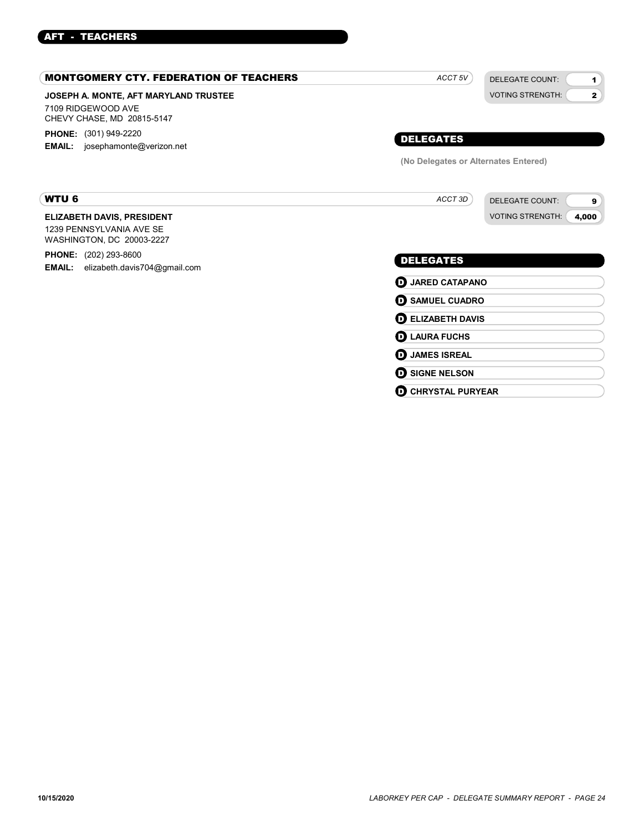## AFT - TEACHERS

| <b>MONTGOMERY CTY. FEDERATION OF TEACHERS</b>                                             | ACCT <sub>5V</sub>                   | <b>DELEGATE COUNT:</b><br>$\mathbf 1$   |
|-------------------------------------------------------------------------------------------|--------------------------------------|-----------------------------------------|
| JOSEPH A. MONTE, AFT MARYLAND TRUSTEE<br>7109 RIDGEWOOD AVE<br>CHEVY CHASE, MD 20815-5147 |                                      | <b>VOTING STRENGTH:</b><br>$\mathbf{2}$ |
| <b>PHONE:</b> (301) 949-2220<br><b>EMAIL:</b> josephamonte@verizon.net                    | <b>DELEGATES</b>                     |                                         |
|                                                                                           | (No Delegates or Alternates Entered) |                                         |
| <b>WTU 6</b>                                                                              | ACCT 3D                              | <b>DELEGATE COUNT:</b><br>9             |
| <b>ELIZABETH DAVIS, PRESIDENT</b>                                                         |                                      | <b>VOTING STRENGTH:</b><br>4,000        |
| 1239 PENNSYLVANIA AVE SE<br>WASHINGTON, DC 20003-2227                                     |                                      |                                         |
| <b>PHONE:</b> (202) 293-8600<br>elizabeth.davis704@gmail.com<br><b>EMAIL:</b>             | <b>DELEGATES</b>                     |                                         |
|                                                                                           | <b>D</b> JARED CATAPANO              |                                         |
|                                                                                           | <b>O SAMUEL CUADRO</b>               |                                         |
|                                                                                           | <b>DELIZABETH DAVIS</b>              |                                         |
|                                                                                           | <b>D</b> LAURA FUCHS                 |                                         |
|                                                                                           | <b>JAMES ISREAL</b><br>o             |                                         |
|                                                                                           | <b>D</b> SIGNE NELSON                |                                         |

**O CHRYSTAL PURYEAR**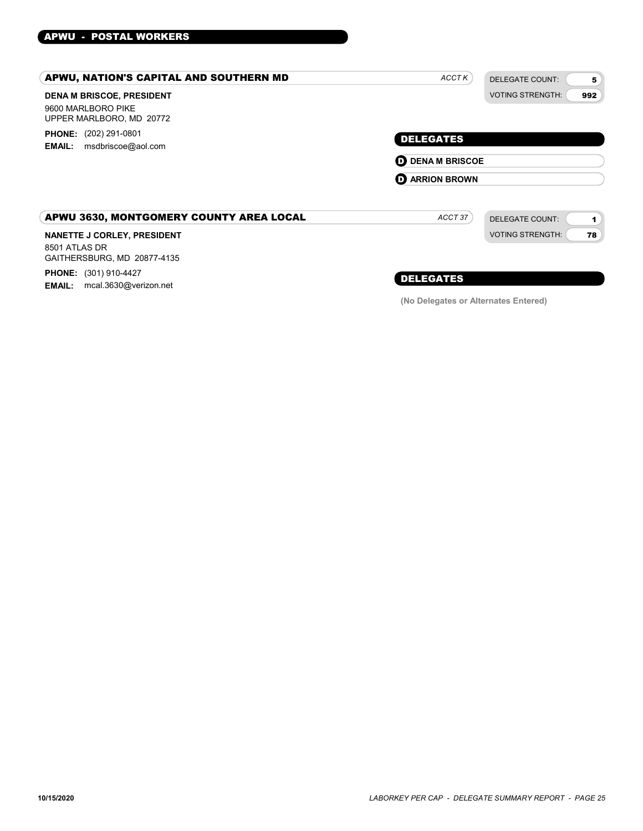## APWU - POSTAL WORKERS

| APWU, NATION'S CAPITAL AND SOUTHERN MD                                             | ACCTK                                       | <b>DELEGATE COUNT:</b><br>5    |
|------------------------------------------------------------------------------------|---------------------------------------------|--------------------------------|
| <b>DENA M BRISCOE, PRESIDENT</b><br>9600 MARLBORO PIKE<br>UPPER MARLBORO, MD 20772 |                                             | <b>VOTING STRENGTH:</b><br>992 |
| <b>PHONE:</b> (202) 291-0801<br>msdbriscoe@aol.com<br><b>EMAIL:</b>                | <b>DELEGATES</b><br><b>D</b> DENA M BRISCOE |                                |
|                                                                                    | <b>D</b> ARRION BROWN                       |                                |
| APWU 3630, MONTGOMERY COUNTY AREA LOCAL                                            | ACCT 37                                     | <b>DELEGATE COUNT:</b><br>1    |
| <b>NANETTE J CORLEY, PRESIDENT</b><br>8501 ATLAS DR<br>GAITHERSBURG, MD 20877-4135 |                                             | <b>VOTING STRENGTH:</b><br>78  |

PHONE: (301) 910-4427 EMAIL: mcal.3630@verizon.net

## DELEGATES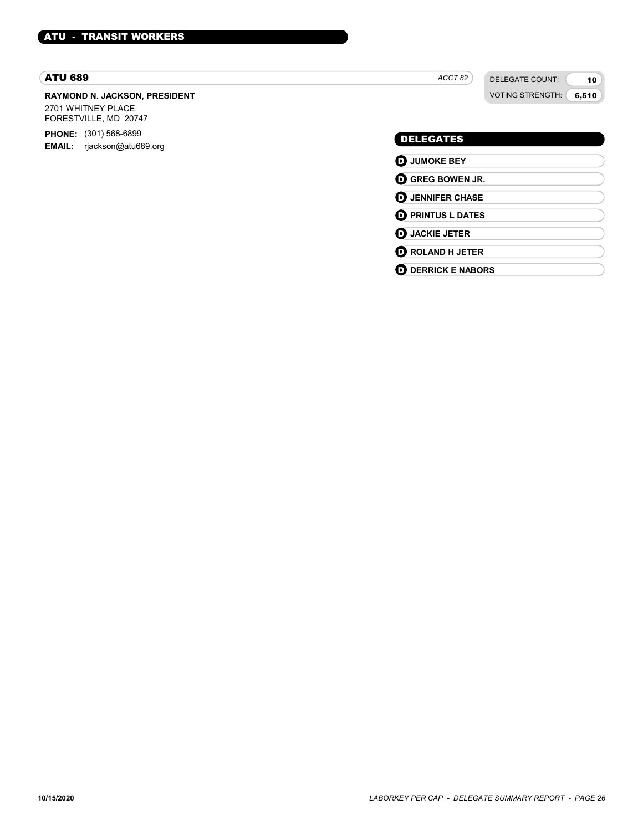#### ATU 689

#### RAYMOND N. JACKSON, PRESIDENT

2701 WHITNEY PLACE FORESTVILLE, MD 20747

PHONE: (301) 568-6899 EMAIL: rjackson@atu689.org ACCT<sub>82</sub>

DELEGATE COUNT: VOTING STRENGTH:

10 6,510

#### DELEGATES

**D** JUMOKE BEY **D** GREG BOWEN JR. **D** JENNIFER CHASE **D** PRINTUS L DATES **D** JACKIE JETER **D** ROLAND H JETER **O** DERRICK E NABORS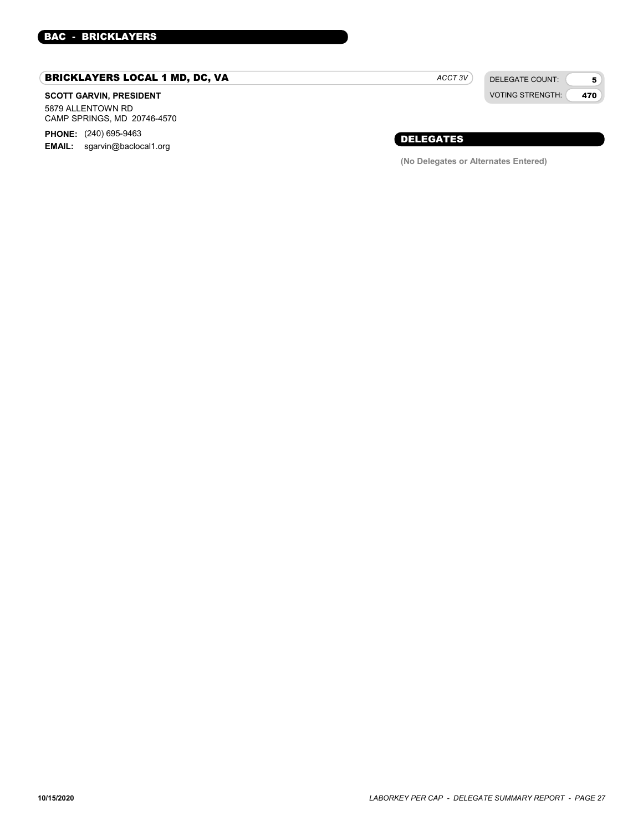## BRICKLAYERS LOCAL 1 MD, DC, VA

#### SCOTT GARVIN, PRESIDENT

5879 ALLENTOWN RD CAMP SPRINGS, MD 20746-4570

**PHONE:** (240) 695-9463 EMAIL: sgarvin@baclocal1.org ACCT 3V

DELEGATE COUNT: VOTING STRENGTH:

5 470

### DELEGATES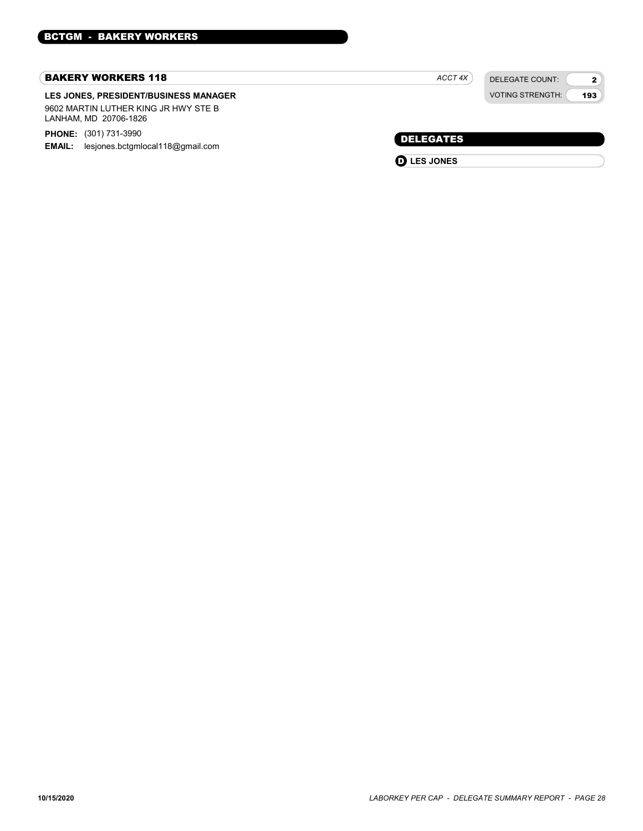#### BAKERY WORKERS 118

#### LES JONES, PRESIDENT/BUSINESS MANAGER 9602 MARTIN LUTHER KING JR HWY STE B LANHAM, MD 20706-1826

PHONE: (301) 731-3990

**EMAIL:** lesjones.bctgmlocal118@gmail.com

DELEGATE COUNT: ACCT 4X

VOTING STRENGTH: 2 193

DELEGATES

**D** LES JONES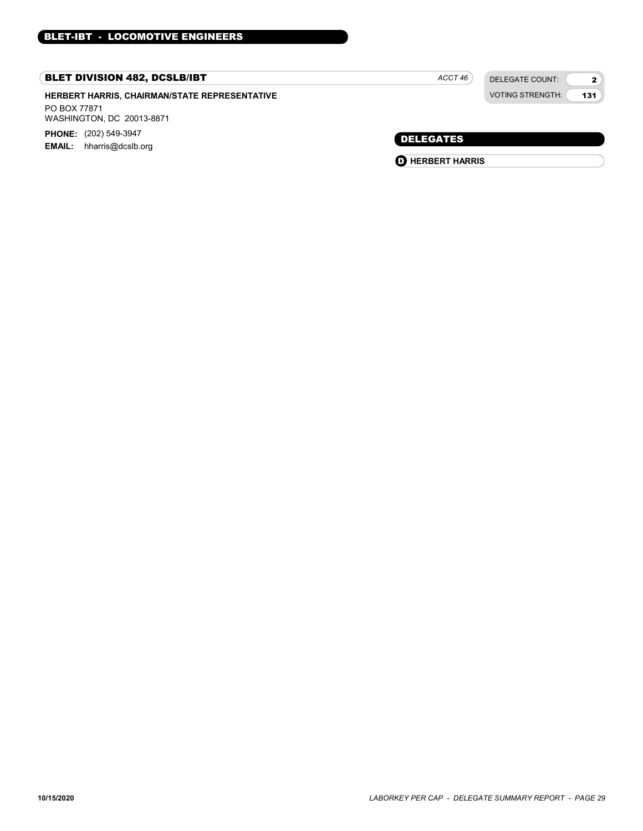## BLET DIVISION 482, DCSLB/IBT

HERBERT HARRIS, CHAIRMAN/STATE REPRESENTATIVE PO BOX 77871 WASHINGTON, DC 20013-8871 PHONE: (202) 549-3947

EMAIL: hharris@dcslb.org

| ACCT 46 |  |
|---------|--|
|         |  |

DELEGATE COUNT: VOTING STRENGTH:

131

2

DELEGATES

**O** HERBERT HARRIS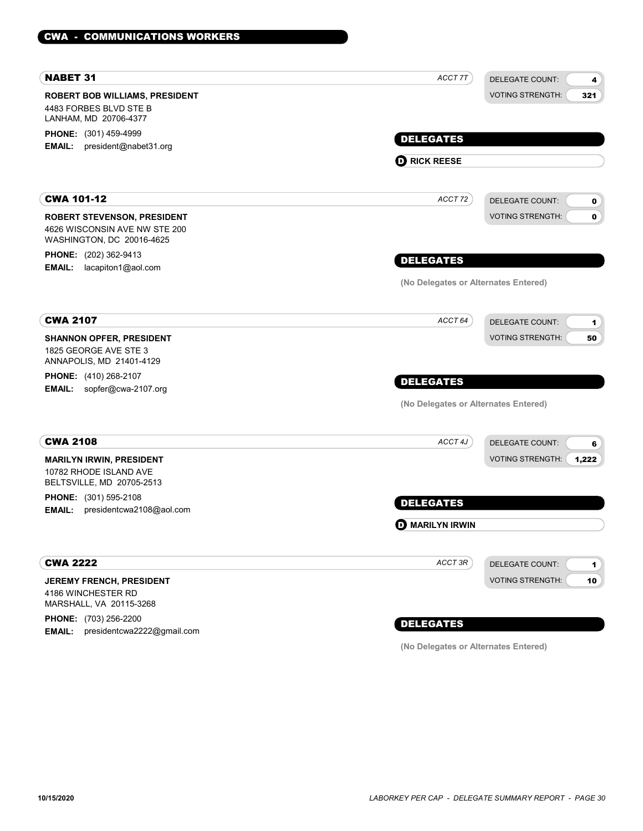| <b>NABET 31</b>                                                                                  | ACCT 7T                              | <b>DELEGATE COUNT:</b><br>4            |
|--------------------------------------------------------------------------------------------------|--------------------------------------|----------------------------------------|
| <b>ROBERT BOB WILLIAMS, PRESIDENT</b>                                                            |                                      | <b>VOTING STRENGTH:</b><br>321         |
| 4483 FORBES BLVD STE B<br>LANHAM, MD 20706-4377                                                  |                                      |                                        |
| PHONE: (301) 459-4999                                                                            |                                      |                                        |
| president@nabet31.org<br>EMAIL:                                                                  | <b>DELEGATES</b>                     |                                        |
|                                                                                                  | <b>D</b> RICK REESE                  |                                        |
| <b>CWA 101-12</b>                                                                                | ACCT 72                              | <b>DELEGATE COUNT:</b><br>0            |
|                                                                                                  |                                      | <b>VOTING STRENGTH:</b><br>$\mathbf 0$ |
| <b>ROBERT STEVENSON, PRESIDENT</b><br>4626 WISCONSIN AVE NW STE 200<br>WASHINGTON, DC 20016-4625 |                                      |                                        |
| <b>PHONE:</b> (202) 362-9413                                                                     |                                      |                                        |
| lacapiton1@aol.com<br><b>EMAIL:</b>                                                              | <b>DELEGATES</b>                     |                                        |
|                                                                                                  | (No Delegates or Alternates Entered) |                                        |
| <b>CWA 2107</b>                                                                                  | ACCT <sub>64</sub>                   | <b>DELEGATE COUNT:</b>                 |
| <b>SHANNON OPFER, PRESIDENT</b>                                                                  |                                      | 1<br><b>VOTING STRENGTH:</b><br>50     |
| 1825 GEORGE AVE STE 3<br>ANNAPOLIS, MD 21401-4129                                                |                                      |                                        |
| <b>PHONE:</b> (410) 268-2107<br>sopfer@cwa-2107.org<br><b>EMAIL:</b>                             | <b>DELEGATES</b>                     |                                        |
|                                                                                                  | (No Delegates or Alternates Entered) |                                        |
|                                                                                                  |                                      |                                        |
| <b>CWA 2108</b>                                                                                  | ACCT 4J                              | <b>DELEGATE COUNT:</b><br>6            |
| <b>MARILYN IRWIN, PRESIDENT</b><br>10782 RHODE ISLAND AVE<br>BELTSVILLE, MD 20705-2513           |                                      | <b>VOTING STRENGTH:</b><br>1,222       |
| <b>PHONE:</b> (301) 595-2108                                                                     | <b>DELEGATES</b>                     |                                        |
| presidentcwa2108@aol.com<br><b>EMAIL:</b>                                                        |                                      |                                        |
|                                                                                                  | <b>D</b> MARILYN IRWIN               |                                        |
| <b>CWA 2222</b>                                                                                  | ACCT 3R                              | <b>DELEGATE COUNT:</b><br>1            |
| JEREMY FRENCH, PRESIDENT                                                                         |                                      | <b>VOTING STRENGTH:</b><br>10          |
| 4186 WINCHESTER RD<br>MARSHALL, VA 20115-3268                                                    |                                      |                                        |
| PHONE: (703) 256-2200                                                                            | <b>DELEGATES</b>                     |                                        |
| EMAIL: presidentcwa2222@gmail.com                                                                |                                      |                                        |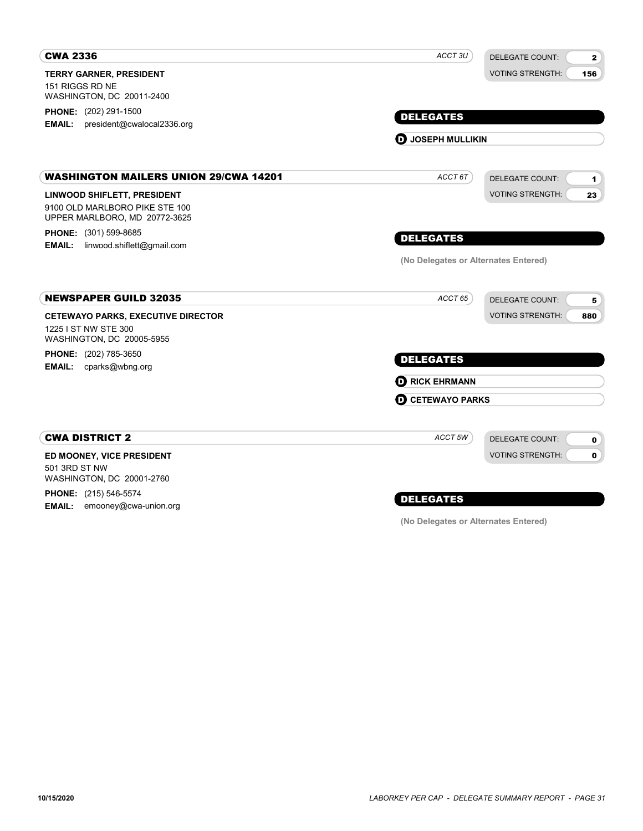| <b>CWA 2336</b>                                                                                | ACCT <sub>3U</sub>                   | <b>DELEGATE COUNT:</b><br>$\mathbf{2}$   |
|------------------------------------------------------------------------------------------------|--------------------------------------|------------------------------------------|
| <b>TERRY GARNER, PRESIDENT</b><br>151 RIGGS RD NE                                              |                                      | <b>VOTING STRENGTH:</b><br>156           |
| WASHINGTON, DC 20011-2400                                                                      |                                      |                                          |
| <b>PHONE:</b> (202) 291-1500                                                                   | <b>DELEGATES</b>                     |                                          |
| president@cwalocal2336.org<br><b>EMAIL:</b>                                                    |                                      |                                          |
|                                                                                                | <b>D</b> JOSEPH MULLIKIN             |                                          |
| <b>WASHINGTON MAILERS UNION 29/CWA 14201</b>                                                   | ACCT 6T                              | <b>DELEGATE COUNT:</b><br>$\blacksquare$ |
| LINWOOD SHIFLETT, PRESIDENT<br>9100 OLD MARLBORO PIKE STE 100<br>UPPER MARLBORO, MD 20772-3625 |                                      | <b>VOTING STRENGTH:</b><br>23            |
| PHONE: (301) 599-8685                                                                          | <b>DELEGATES</b>                     |                                          |
| linwood.shiflett@gmail.com<br><b>EMAIL:</b>                                                    |                                      |                                          |
|                                                                                                | (No Delegates or Alternates Entered) |                                          |
| <b>NEWSPAPER GUILD 32035</b>                                                                   | ACCT 65                              | <b>DELEGATE COUNT:</b><br>5              |
| <b>CETEWAYO PARKS, EXECUTIVE DIRECTOR</b>                                                      |                                      | <b>VOTING STRENGTH:</b><br>880           |
| 1225 I ST NW STE 300<br>WASHINGTON, DC 20005-5955                                              |                                      |                                          |
| PHONE: (202) 785-3650<br><b>EMAIL:</b><br>cparks@wbng.org                                      | <b>DELEGATES</b>                     |                                          |
|                                                                                                | <b>D</b> RICK EHRMANN                |                                          |
|                                                                                                | <b>O CETEWAYO PARKS</b>              |                                          |
| <b>CWA DISTRICT 2</b>                                                                          | ACCT 5W                              | <b>DELEGATE COUNT:</b><br>0              |
| ED MOONEY, VICE PRESIDENT                                                                      |                                      | $\mathbf{0}$<br><b>VOTING STRENGTH:</b>  |
| 501 3RD ST NW<br>WASHINGTON, DC 20001-2760                                                     |                                      |                                          |
| <b>PHONE:</b> (215) 546-5574                                                                   | <b>DELEGATES</b>                     |                                          |
| <b>EMAIL:</b><br>emooney@cwa-union.org                                                         |                                      |                                          |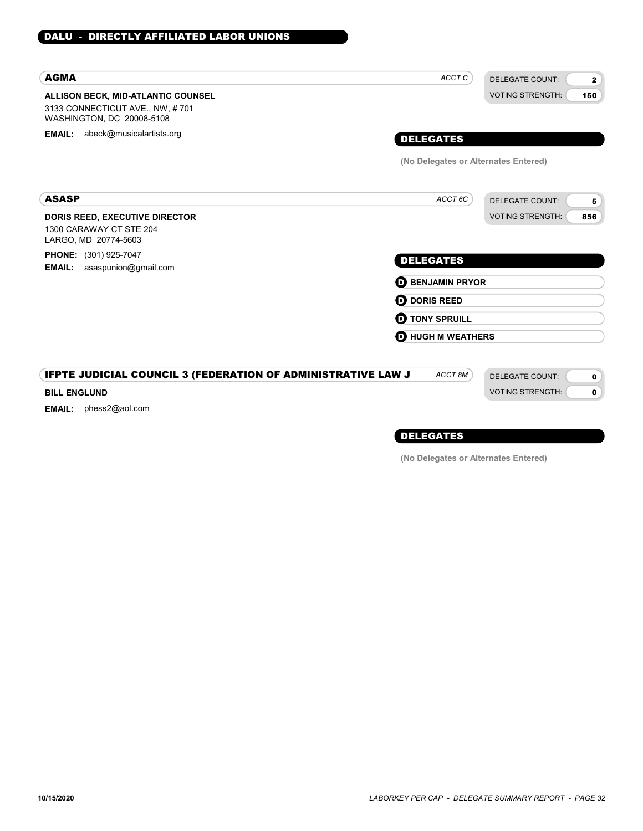DALU - DIRECTLY AFFILIATED LABOR UNIONS

## DELEGATES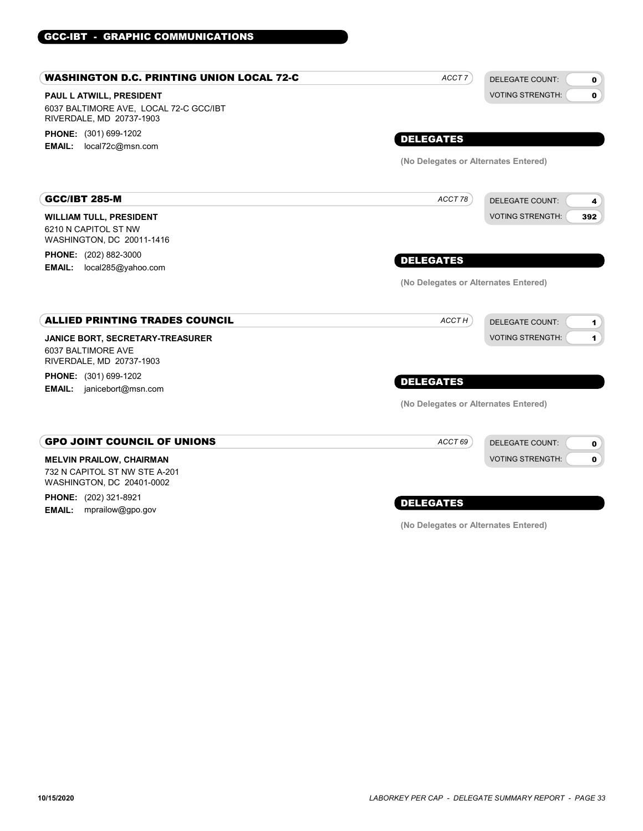#### PAUL L ATWILL, PRESIDENT WASHINGTON D.C. PRINTING UNION LOCAL 72-C 6037 BALTIMORE AVE, LOCAL 72-C GCC/IBT RIVERDALE, MD 20737-1903 PHONE: (301) 699-1202 EMAIL: local72c@msn.com DELEGATE COUNT: VOTING STRENGTH: 0  $\mathbf{0}$ DELEGATES ACCT<sub>7</sub> (No Delegates or Alternates Entered) WILLIAM TULL, PRESIDENT GCC/IBT 285-M 6210 N CAPITOL ST NW WASHINGTON, DC 20011-1416 PHONE: (202) 882-3000 EMAIL: local285@yahoo.com DELEGATE COUNT: VOTING STRENGTH: 4 392 DELEGATES ACCT 78 (No Delegates or Alternates Entered) JANICE BORT, SECRETARY-TREASURER ALLIED PRINTING TRADES COUNCIL 6037 BALTIMORE AVE RIVERDALE, MD 20737-1903 PHONE: (301) 699-1202 **EMAIL:** janicebort@msn.com DELEGATE COUNT: VOTING STRENGTH: 1 1 DELEGATES ACCT<sub>H</sub> (No Delegates or Alternates Entered) MELVIN PRAILOW, CHAIRMAN GPO JOINT COUNCIL OF UNIONS 732 N CAPITOL ST NW STE A-201 WASHINGTON, DC 20401-0002 PHONE: (202) 321-8921 **EMAIL:** mprailow@gpo.gov DELEGATE COUNT: VOTING STRENGTH: 0 0 DELEGATES ACCT 69

GCC-IBT - GRAPHIC COMMUNICATIONS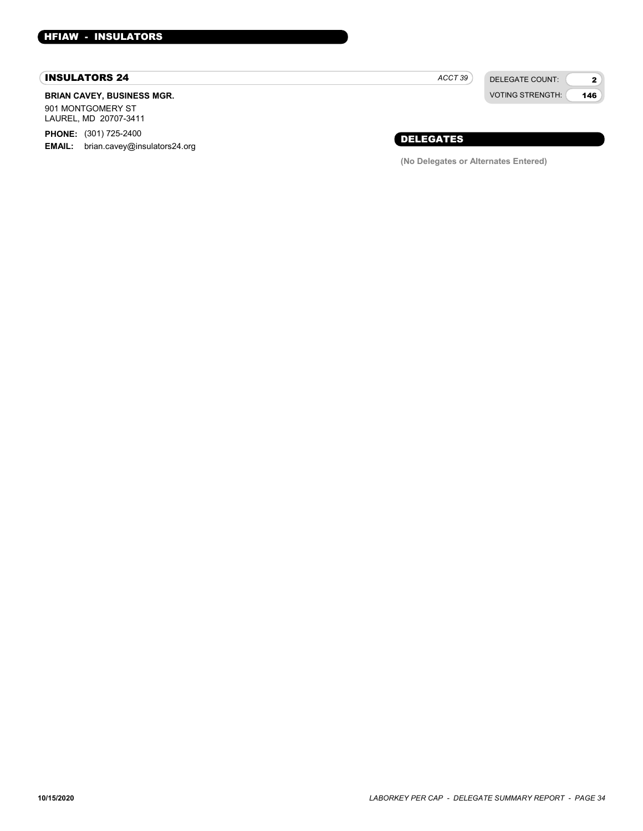#### INSULATORS 24

#### BRIAN CAVEY, BUSINESS MGR.

901 MONTGOMERY ST LAUREL, MD 20707-3411

PHONE: (301) 725-2400 **EMAIL:** brian.cavey@insulators24.org

DELEGATE COUNT:  $ACCT 39$ 

VOTING STRENGTH: 2 146

## DELEGATES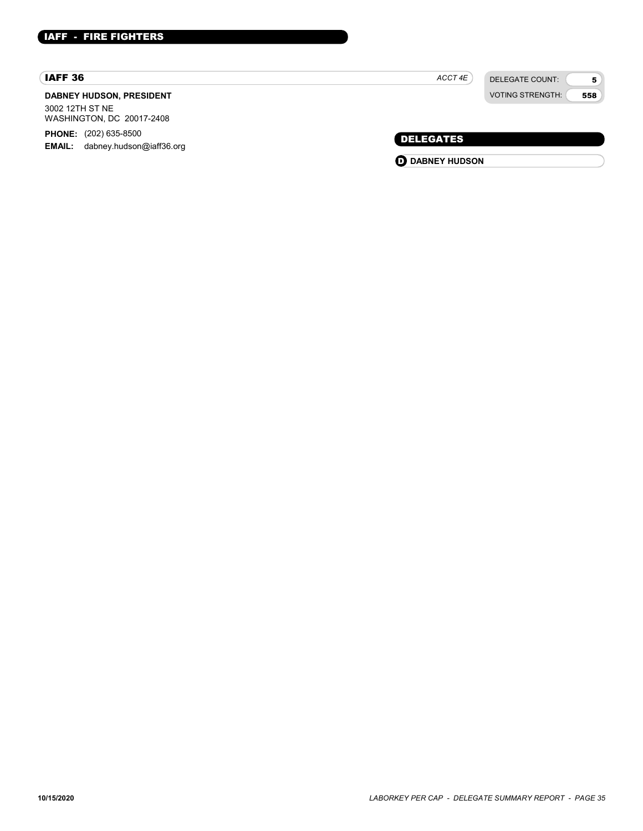#### IAFF 36

#### DABNEY HUDSON, PRESIDENT 3002 12TH ST NE

WASHINGTON, DC 20017-2408 PHONE: (202) 635-8500

EMAIL: dabney.hudson@iaff36.org

| <b>VOTING STRENGTH:</b> |
|-------------------------|
|                         |

 $ACCT 4E$ 

DELEGATE COUNT:

5 558

DELEGATES

**O** DABNEY HUDSON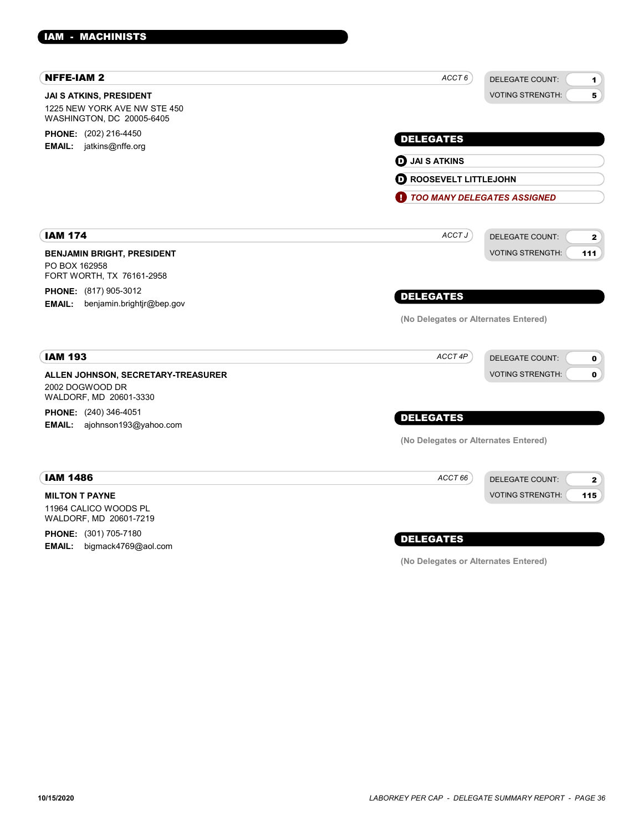| <b>NFFE-IAM 2</b>                                                                    | ACCT 6<br><b>DELEGATE COUNT:</b><br>1            |
|--------------------------------------------------------------------------------------|--------------------------------------------------|
| JAI S ATKINS, PRESIDENT<br>1225 NEW YORK AVE NW STE 450<br>WASHINGTON, DC 20005-6405 | <b>VOTING STRENGTH:</b><br>5                     |
| PHONE: (202) 216-4450                                                                | <b>DELEGATES</b>                                 |
| <b>EMAIL:</b> jatkins@nffe.org                                                       | <b>D</b> JAI S ATKINS                            |
|                                                                                      |                                                  |
|                                                                                      | <b>O ROOSEVELT LITTLEJOHN</b>                    |
|                                                                                      | O<br><b>TOO MANY DELEGATES ASSIGNED</b>          |
| <b>IAM 174</b>                                                                       | ACCT J<br><b>DELEGATE COUNT:</b><br>$\mathbf{2}$ |
| <b>BENJAMIN BRIGHT, PRESIDENT</b><br>PO BOX 162958<br>FORT WORTH, TX 76161-2958      | <b>VOTING STRENGTH:</b><br>111                   |
| <b>PHONE:</b> (817) 905-3012                                                         | <b>DELEGATES</b>                                 |
| EMAIL: benjamin.brightjr@bep.gov                                                     |                                                  |
|                                                                                      | (No Delegates or Alternates Entered)             |
| <b>IAM 193</b>                                                                       | ACCT 4P<br><b>DELEGATE COUNT:</b><br>0           |
| ALLEN JOHNSON, SECRETARY-TREASURER<br>2002 DOGWOOD DR<br>WALDORF, MD 20601-3330      | <b>VOTING STRENGTH:</b><br>$\mathbf 0$           |
| PHONE: (240) 346-4051                                                                |                                                  |
| EMAIL: ajohnson193@yahoo.com                                                         | <b>DELEGATES</b>                                 |
|                                                                                      | (No Delegates or Alternates Entered)             |
| <b>IAM 1486</b>                                                                      | ACCT 66<br><b>DELEGATE COUNT:</b><br>2           |
| <b>MILTON T PAYNE</b><br>11964 CALICO WOODS PL<br>WALDORF, MD 20601-7219             | <b>VOTING STRENGTH:</b><br>115                   |
| <b>PHONE:</b> (301) 705-7180<br><b>EMAIL:</b><br>bigmack4769@aol.com                 | <b>DELEGATES</b>                                 |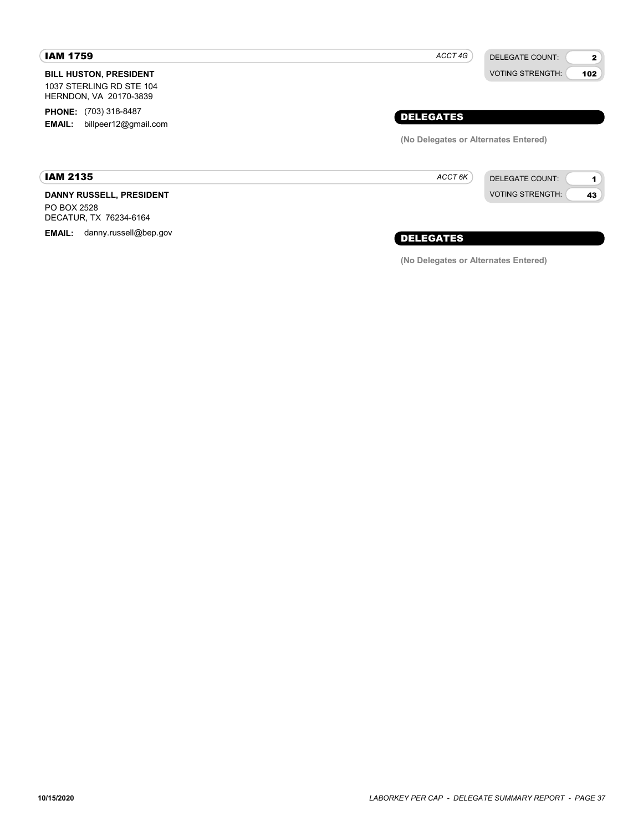#### IAM 1759

IAM 2135

BILL HUSTON, PRESIDENT 1037 STERLING RD STE 104 HERNDON, VA 20170-3839

PHONE: (703) 318-8487 EMAIL: billpeer12@gmail.com

## ACCT 4G

VOTING STRENGTH:

2 102

DELEGATE COUNT:

## DELEGATES

(No Delegates or Alternates Entered)

ACCT 6K



DANNY RUSSELL, PRESIDENT PO BOX 2528 DECATUR, TX 76234-6164

EMAIL: danny.russell@bep.gov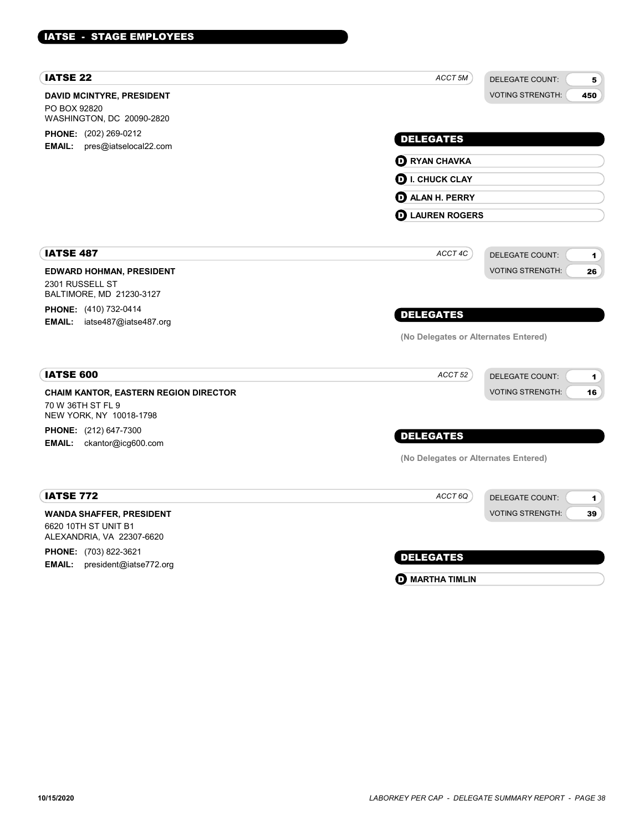| <b>IATSE 22</b>                                                                              | ACCT <sub>5M</sub>                   | <b>DELEGATE COUNT:</b><br>5    |
|----------------------------------------------------------------------------------------------|--------------------------------------|--------------------------------|
| <b>DAVID MCINTYRE, PRESIDENT</b><br>PO BOX 92820<br>WASHINGTON, DC 20090-2820                |                                      | <b>VOTING STRENGTH:</b><br>450 |
| PHONE: (202) 269-0212<br>pres@iatselocal22.com<br><b>EMAIL:</b>                              | <b>DELEGATES</b>                     |                                |
|                                                                                              | <b>D</b> RYAN CHAVKA                 |                                |
|                                                                                              | <b>D</b> I. CHUCK CLAY               |                                |
|                                                                                              | <b>D</b> ALAN H. PERRY               |                                |
|                                                                                              | <b>D</b> LAUREN ROGERS               |                                |
| <b>IATSE 487</b>                                                                             | ACCT 4C                              | <b>DELEGATE COUNT:</b><br>1    |
| <b>EDWARD HOHMAN, PRESIDENT</b><br>2301 RUSSELL ST<br>BALTIMORE, MD 21230-3127               |                                      | <b>VOTING STRENGTH:</b><br>26  |
| PHONE: (410) 732-0414<br>EMAIL: iatse487@iatse487.org                                        | <b>DELEGATES</b>                     |                                |
|                                                                                              | (No Delegates or Alternates Entered) |                                |
| <b>IATSE 600</b>                                                                             | ACCT <sub>52</sub>                   | DELEGATE COUNT:<br>1           |
| <b>CHAIM KANTOR, EASTERN REGION DIRECTOR</b><br>70 W 36TH ST FL 9<br>NEW YORK, NY 10018-1798 |                                      | <b>VOTING STRENGTH:</b><br>16  |
| PHONE: (212) 647-7300<br><b>EMAIL:</b><br>ckantor@icg600.com                                 | <b>DELEGATES</b>                     |                                |
|                                                                                              | (No Delegates or Alternates Entered) |                                |
| <b>IATSE 772</b>                                                                             | ACCT <sub>6Q</sub>                   | <b>DELEGATE COUNT:</b><br>1    |
| <b>WANDA SHAFFER, PRESIDENT</b><br>6620 10TH ST UNIT B1<br>ALEXANDRIA, VA 22307-6620         |                                      | <b>VOTING STRENGTH:</b><br>39  |
| PHONE: (703) 822-3621<br><b>EMAIL:</b><br>president@iatse772.org                             | <b>DELEGATES</b>                     |                                |

**O** MARTHA TIMLIN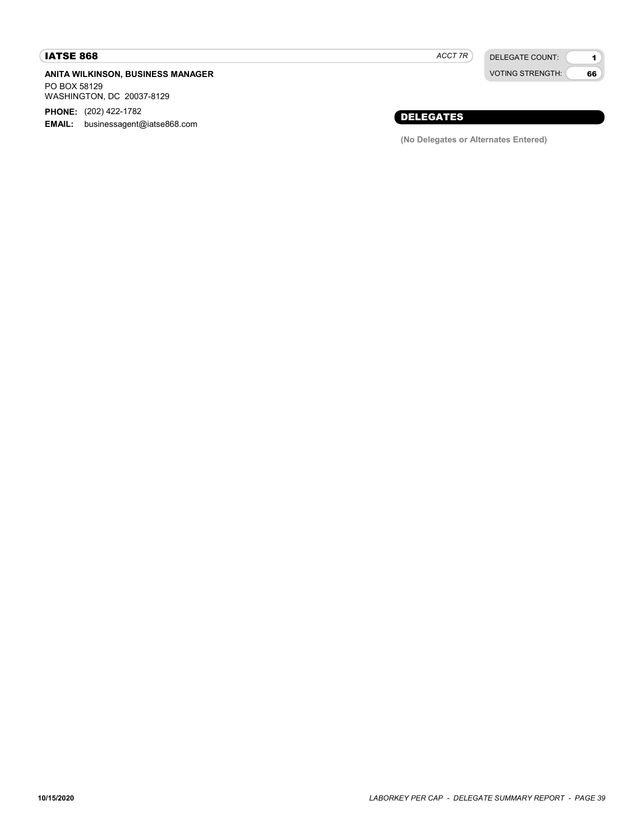### IATSE 868

#### ANITA WILKINSON, BUSINESS MANAGER PO BOX 58129 WASHINGTON, DC 20037-8129

PHONE: (202) 422-1782

EMAIL: businessagent@iatse868.com

ACCT 7R

DELEGATE COUNT: VOTING STRENGTH:

1 66

## DELEGATES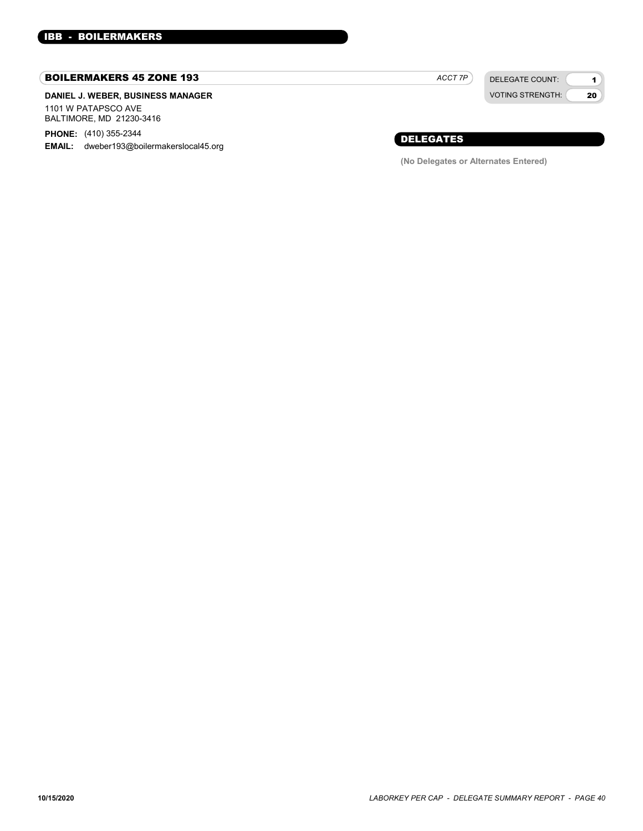#### BOILERMAKERS 45 ZONE 193

#### DANIEL J. WEBER, BUSINESS MANAGER 1101 W PATAPSCO AVE BALTIMORE, MD 21230-3416

PHONE: (410) 355-2344

EMAIL: dweber193@boilermakerslocal45.org

DELEGATE COUNT: ACCT 7P

VOTING STRENGTH:

1 20

## DELEGATES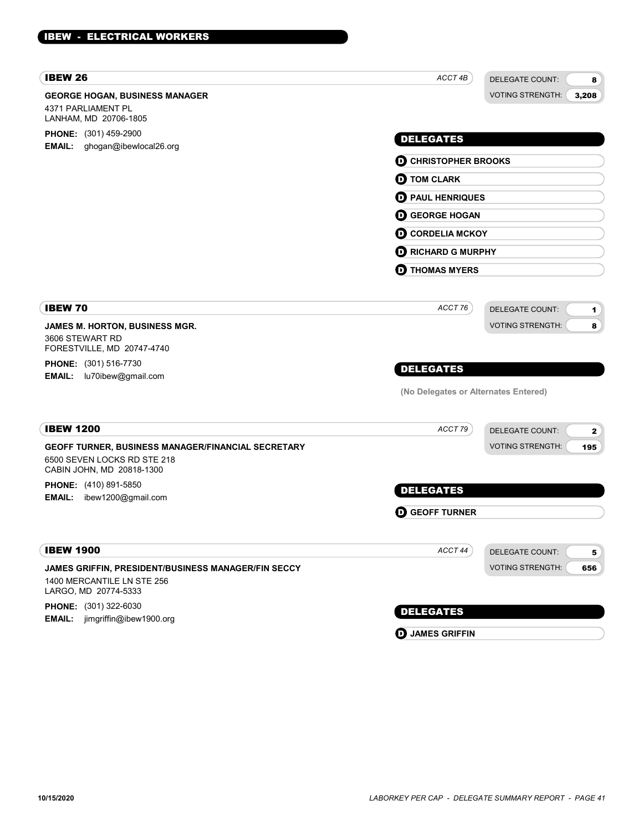| <b>IBEW 26</b>                                                                                                 | ACCT 4B                              | <b>DELEGATE COUNT:</b><br>8              |
|----------------------------------------------------------------------------------------------------------------|--------------------------------------|------------------------------------------|
| <b>GEORGE HOGAN, BUSINESS MANAGER</b><br>4371 PARLIAMENT PL<br>LANHAM, MD 20706-1805                           |                                      | <b>VOTING STRENGTH:</b><br>3,208         |
| <b>PHONE:</b> (301) 459-2900                                                                                   | <b>DELEGATES</b>                     |                                          |
| EMAIL: ghogan@ibewlocal26.org                                                                                  |                                      |                                          |
|                                                                                                                | <b>D</b> CHRISTOPHER BROOKS          |                                          |
|                                                                                                                | <b>D</b> TOM CLARK                   |                                          |
|                                                                                                                | <b>D</b> PAUL HENRIQUES              |                                          |
|                                                                                                                | <b>D</b> GEORGE HOGAN                |                                          |
|                                                                                                                | <b>O CORDELIA MCKOY</b>              |                                          |
|                                                                                                                | <b>D</b> RICHARD G MURPHY            |                                          |
|                                                                                                                | <b>THOMAS MYERS</b><br>O             |                                          |
| <b>IBEW 70</b>                                                                                                 | ACCT 76                              | <b>DELEGATE COUNT:</b><br>$\mathbf{1}$   |
| JAMES M. HORTON, BUSINESS MGR.                                                                                 |                                      | <b>VOTING STRENGTH:</b><br>8             |
| 3606 STEWART RD                                                                                                |                                      |                                          |
| FORESTVILLE, MD 20747-4740<br><b>PHONE:</b> (301) 516-7730                                                     |                                      |                                          |
| <b>EMAIL:</b><br>lu70ibew@gmail.com                                                                            | <b>DELEGATES</b>                     |                                          |
|                                                                                                                | (No Delegates or Alternates Entered) |                                          |
| <b>IBEW 1200</b>                                                                                               | ACCT 79                              | <b>DELEGATE COUNT:</b><br>$\mathbf{2}$   |
| GEOFF TURNER, BUSINESS MANAGER/FINANCIAL SECRETARY<br>6500 SEVEN LOCKS RD STE 218<br>CABIN JOHN, MD 20818-1300 |                                      | <b>VOTING STRENGTH:</b><br>195           |
| <b>PHONE:</b> (410) 891-5850                                                                                   | <b>DELEGATES</b>                     |                                          |
| ibew1200@gmail.com<br><b>EMAIL:</b>                                                                            |                                      |                                          |
|                                                                                                                | <b>GEOFF TURNER</b><br>D             |                                          |
| <b>IBEW 1900</b>                                                                                               | ACCT 44                              | <b>DELEGATE COUNT:</b><br>5 <sub>1</sub> |
| JAMES GRIFFIN, PRESIDENT/BUSINESS MANAGER/FIN SECCY<br>1400 MERCANTILE LN STE 256<br>LARGO, MD 20774-5333      |                                      | <b>VOTING STRENGTH:</b><br>656           |
| PHONE: (301) 322-6030<br>jimgriffin@ibew1900.org<br><b>EMAIL:</b>                                              | <b>DELEGATES</b>                     |                                          |

**D** JAMES GRIFFIN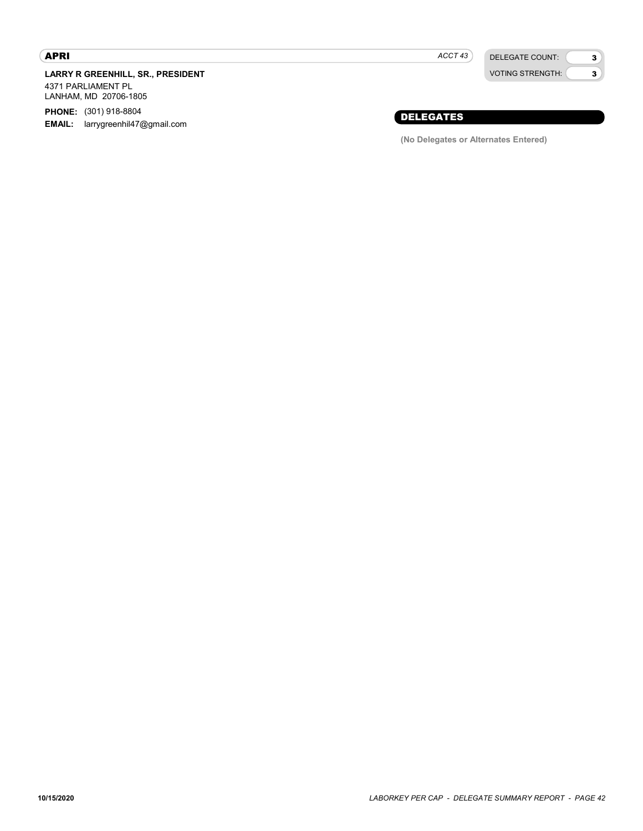#### APRI

LARRY R GREENHILL, SR., PRESIDENT

4371 PARLIAMENT PL LANHAM, MD 20706-1805

PHONE: (301) 918-8804

**EMAIL:** larrygreenhil47@gmail.com

 $ACCT 43$ 

DELEGATE COUNT: VOTING STRENGTH: 3 3

## DELEGATES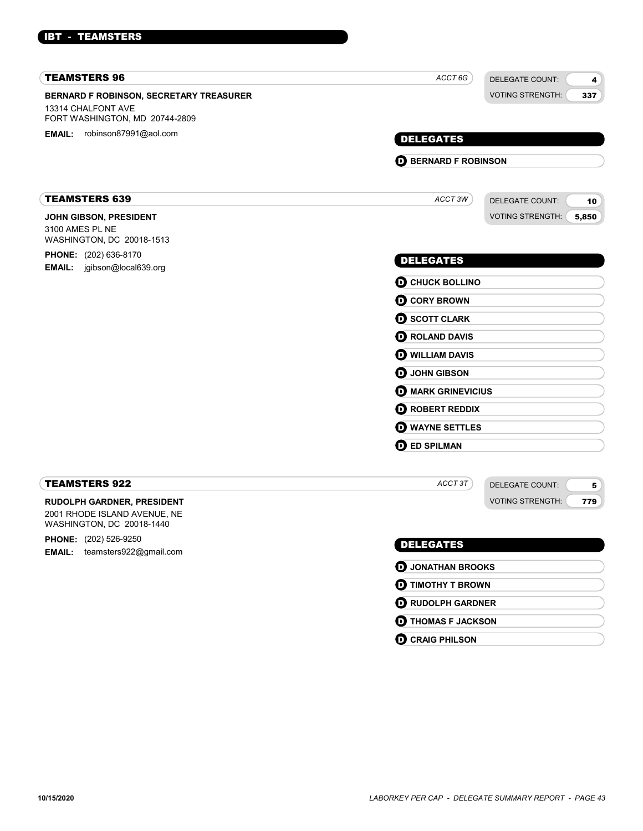#### IBT - TEAMSTERS

| <b>TEAMSTERS 96</b>                                                                             | ACCT 6G                     | <b>DELEGATE COUNT:</b>  | 4     |
|-------------------------------------------------------------------------------------------------|-----------------------------|-------------------------|-------|
| BERNARD F ROBINSON, SECRETARY TREASURER<br>13314 CHALFONT AVE<br>FORT WASHINGTON, MD 20744-2809 |                             | <b>VOTING STRENGTH:</b> | 337   |
| <b>EMAIL:</b> robinson87991@aol.com                                                             | <b>DELEGATES</b>            |                         |       |
|                                                                                                 | <b>D</b> BERNARD F ROBINSON |                         |       |
|                                                                                                 |                             |                         |       |
| <b>TEAMSTERS 639</b>                                                                            | ACCT3W                      | <b>DELEGATE COUNT:</b>  | 10    |
| JOHN GIBSON, PRESIDENT<br>3100 AMES PL NE<br>WASHINGTON, DC 20018-1513                          |                             | <b>VOTING STRENGTH:</b> | 5,850 |
| <b>PHONE:</b> (202) 636-8170<br>EMAIL: jgibson@local639.org                                     | <b>DELEGATES</b>            |                         |       |
|                                                                                                 | <b>O CHUCK BOLLINO</b>      |                         |       |
|                                                                                                 | <b>O</b> CORY BROWN         |                         |       |
|                                                                                                 | <b>O SCOTT CLARK</b>        |                         |       |
|                                                                                                 | <b>O ROLAND DAVIS</b>       |                         |       |
|                                                                                                 | <b>O WILLIAM DAVIS</b>      |                         |       |
|                                                                                                 | <b>O</b> JOHN GIBSON        |                         |       |
|                                                                                                 | <b>D</b> MARK GRINEVICIUS   |                         |       |
|                                                                                                 | <b>O</b> ROBERT REDDIX      |                         |       |
|                                                                                                 | <b>O</b> WAYNE SETTLES      |                         |       |
|                                                                                                 | <b>O</b> ED SPILMAN         |                         |       |
| <b>TEAMSTERS 922</b>                                                                            | ACCT3T                      | <b>DELEGATE COUNT:</b>  | 5     |
| <b>RUDOLPH GARDNER, PRESIDENT</b><br>2001 RHODE ISLAND AVENUE, NE<br>WASHINGTON, DC 20018-1440  |                             | <b>VOTING STRENGTH:</b> | 779   |
| <b>PHONE:</b> (202) 526-9250                                                                    | <b>DELEGATES</b>            |                         |       |
| teamsters922@gmail.com<br><b>EMAIL:</b>                                                         | <b>D</b> JONATHAN BROOKS    |                         |       |
|                                                                                                 | <b>O TIMOTHY T BROWN</b>    |                         |       |

**D** RUDOLPH GARDNER **O** THOMAS F JACKSON

**O** CRAIG PHILSON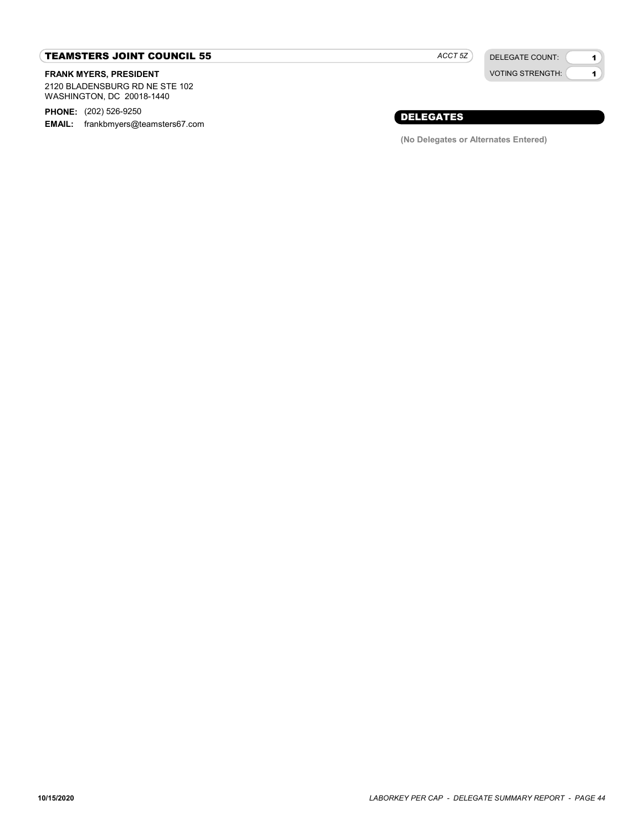#### TEAMSTERS JOINT COUNCIL 55

#### FRANK MYERS, PRESIDENT

2120 BLADENSBURG RD NE STE 102 WASHINGTON, DC 20018-1440

PHONE: (202) 526-9250

EMAIL: frankbmyers@teamsters67.com

ACCT 5Z

DELEGATE COUNT: VOTING STRENGTH:

1 1

## DELEGATES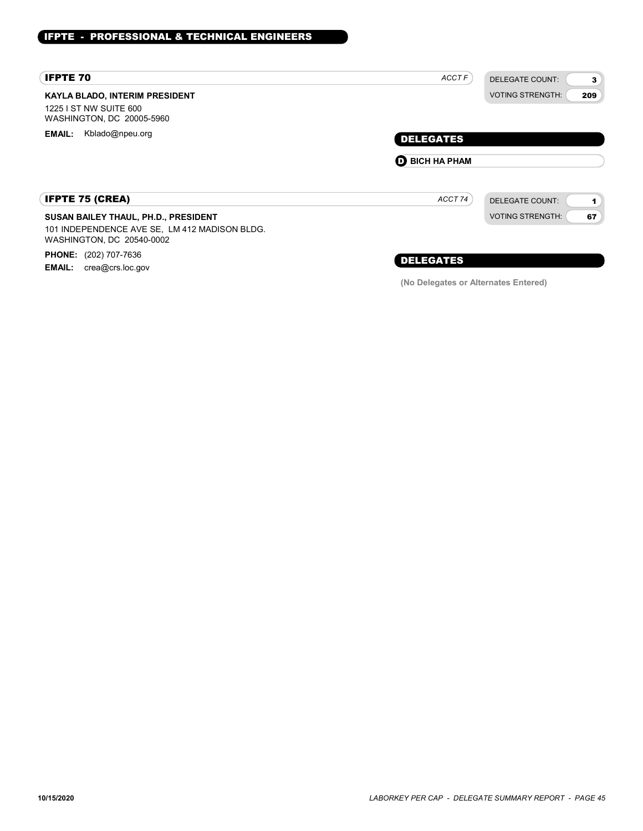| <b>IFPTE 70</b>                                                                              | <b>ACCTF</b>          | DELEGATE COUNT:<br>3           |
|----------------------------------------------------------------------------------------------|-----------------------|--------------------------------|
| <b>KAYLA BLADO, INTERIM PRESIDENT</b><br>1225 I ST NW SUITE 600<br>WASHINGTON, DC 20005-5960 |                       | <b>VOTING STRENGTH:</b><br>209 |
| Kblado@npeu.org<br><b>EMAIL:</b>                                                             | <b>DELEGATES</b>      |                                |
|                                                                                              | <b>O BICH HA PHAM</b> |                                |
| <b>IFPTE 75 (CREA)</b>                                                                       | ACCT 74               | <b>DELEGATE COUNT:</b>         |
| SUSAN BAILEY THAUL, PH.D., PRESIDENT                                                         |                       | <b>VOTING STRENGTH:</b><br>67  |
| 101 INDEPENDENCE AVE SE, LM 412 MADISON BLDG.<br>WASHINGTON, DC 20540-0002                   |                       |                                |
|                                                                                              |                       |                                |

PHONE: (202) 707-7636 **EMAIL:** crea@crs.loc.gov

## DELEGATES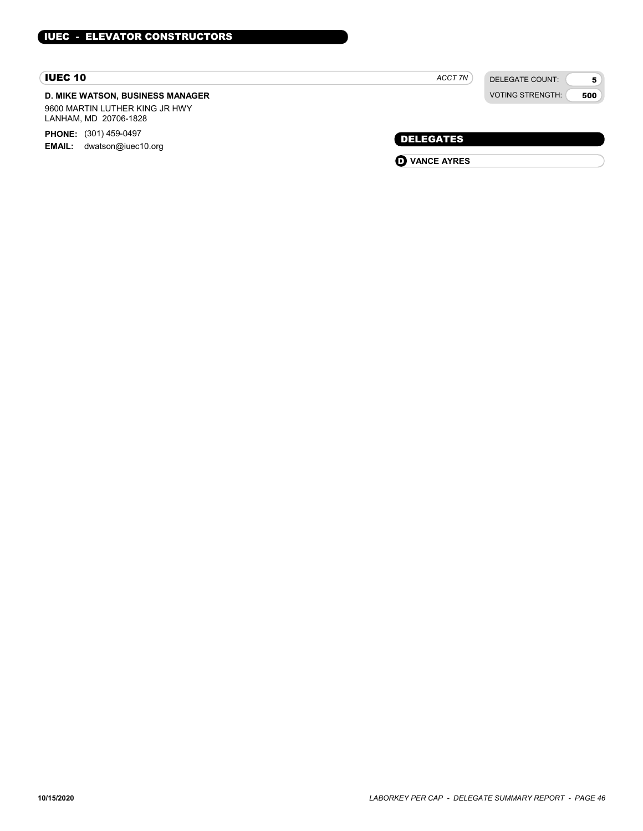#### IUEC 10

## D. MIKE WATSON, BUSINESS MANAGER

9600 MARTIN LUTHER KING JR HWY LANHAM, MD 20706-1828

PHONE: (301) 459-0497 EMAIL: dwatson@iuec10.org DELEGATES

ACCT 7N

DELEGATE COUNT: VOTING STRENGTH:

5 500

**O** VANCE AYRES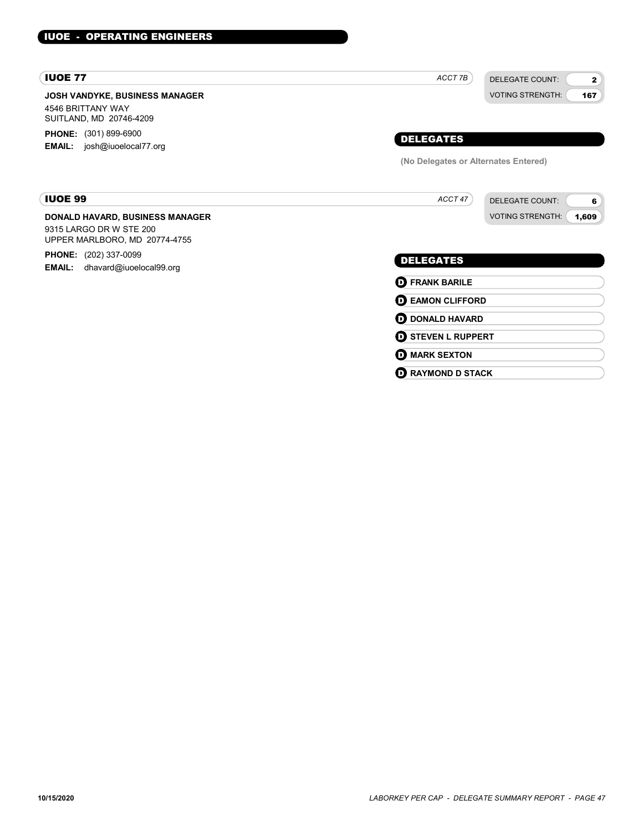#### IUOE - OPERATING ENGINEERS

#### IUOE 77

JOSH VANDYKE, BUSINESS MANAGER 4546 BRITTANY WAY SUITLAND, MD 20746-4209 **PHONE:** (301) 899-6900

EMAIL: josh@iuoelocal77.org

## VOTING STRENGTH: 167 DELEGATES (No Delegates or Alternates Entered)

ACCT 7B

ACCT 47

#### IUOE 99

#### DONALD HAVARD, BUSINESS MANAGER

9315 LARGO DR W STE 200 UPPER MARLBORO, MD 20774-4755

PHONE: (202) 337-0099 EMAIL: dhavard@iuoelocal99.org

## DELEGATES

**D** FRANK BARILE **D** EAMON CLIFFORD **D** DONALD HAVARD **D** STEVEN L RUPPERT **O** MARK SEXTON **D** RAYMOND D STACK

DELEGATE COUNT:

DELEGATE COUNT: VOTING STRENGTH: 2

6 1,609

10/15/2020 LABORKEY PER CAP - DELEGATE SUMMARY REPORT - PAGE 47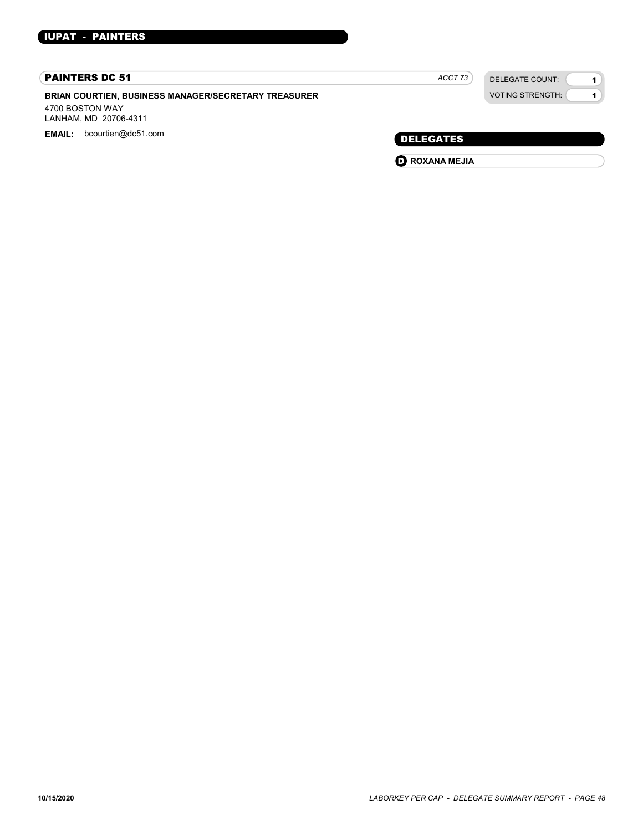#### PAINTERS DC 51

BRIAN COURTIEN, BUSINESS MANAGER/SECRETARY TREASURER

4700 BOSTON WAY LANHAM, MD 20706-4311

EMAIL: bcourtien@dc51.com example and the control of the control of the control of the DELEGATES

| ACC I |  |
|-------|--|
|       |  |

DELEGATE COUNT: VOTING STRENGTH:

1 1

**O** ROXANA MEJIA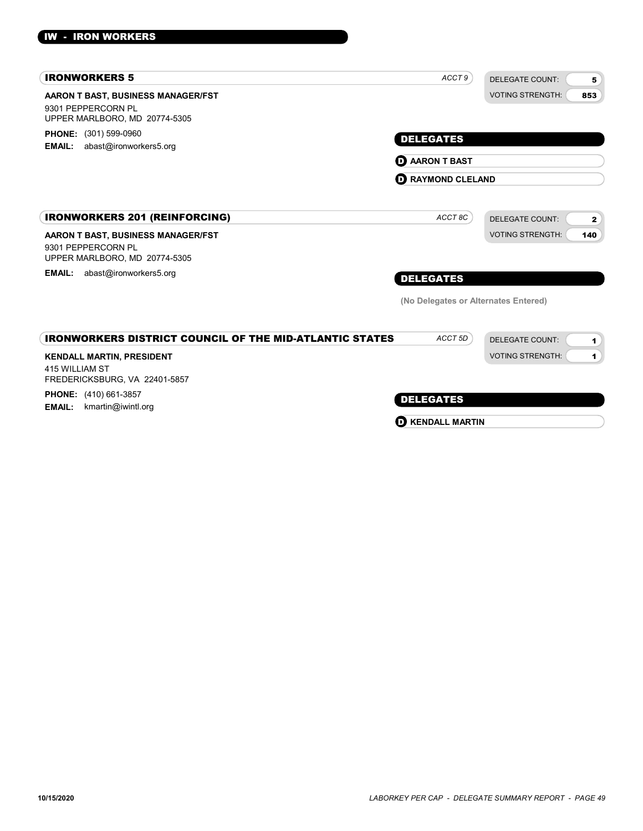| <b>IRONWORKERS 5</b>                                                                       | ACCT 9                               | <b>DELEGATE COUNT:</b><br>5                    |
|--------------------------------------------------------------------------------------------|--------------------------------------|------------------------------------------------|
| AARON T BAST, BUSINESS MANAGER/FST<br>9301 PEPPERCORN PL<br>UPPER MARLBORO, MD 20774-5305  |                                      | <b>VOTING STRENGTH:</b><br>853                 |
| PHONE: (301) 599-0960<br>abast@ironworkers5.org<br><b>EMAIL:</b>                           | <b>DELEGATES</b>                     |                                                |
|                                                                                            | <b>D</b> AARON T BAST                |                                                |
|                                                                                            | <b>D</b> RAYMOND CLELAND             |                                                |
| <b>IRONWORKERS 201 (REINFORCING)</b>                                                       | ACCT 8C                              | <b>DELEGATE COUNT:</b><br>$\mathbf{2}$         |
| AARON T BAST, BUSINESS MANAGER/FST<br>9301 PEPPERCORN PL<br>UPPER MARLBORO, MD 20774-5305  |                                      | <b>VOTING STRENGTH:</b><br>140                 |
| abast@ironworkers5.org<br><b>EMAIL:</b>                                                    | <b>DELEGATES</b>                     |                                                |
|                                                                                            | (No Delegates or Alternates Entered) |                                                |
| <b>IRONWORKERS DISTRICT COUNCIL OF THE MID-ATLANTIC STATES</b>                             | ACCT <sub>5D</sub>                   | <b>DELEGATE COUNT:</b><br>$\blacktriangleleft$ |
| <b>KENDALL MARTIN, PRESIDENT</b><br><b>415 WILLIAM ST</b><br>FREDERICKSBURG, VA 22401-5857 |                                      | <b>VOTING STRENGTH:</b><br>1.                  |
| <b>PHONE:</b> (410) 661-3857<br><b>EMAIL:</b><br>kmartin@iwintl.org                        | <b>DELEGATES</b>                     |                                                |
|                                                                                            | <b>D</b> KENDALL MARTIN              |                                                |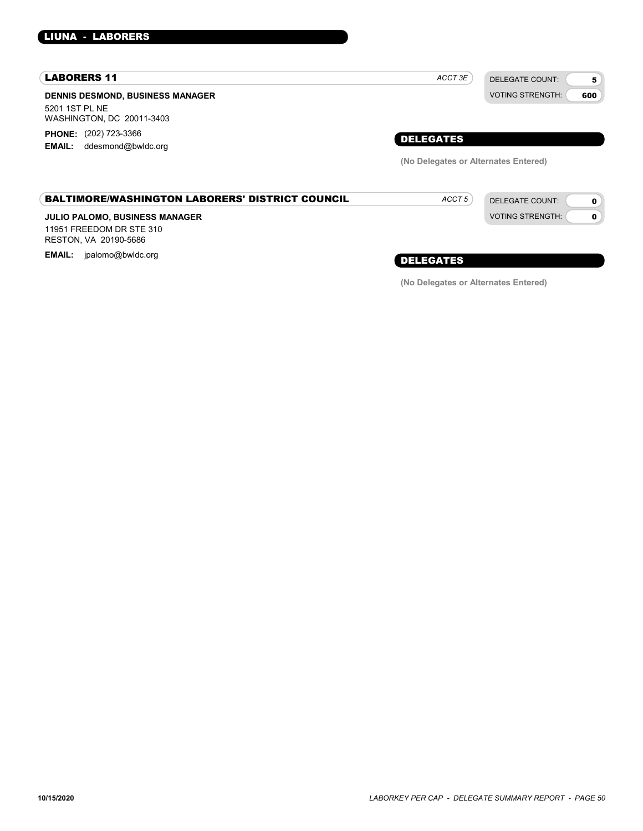#### LIUNA - LABORERS

#### LABORERS 11

DENNIS DESMOND, BUSINESS MANAGER 5201 1ST PL NE WASHINGTON, DC 20011-3403 PHONE: (202) 723-3366

EMAIL: ddesmond@bwldc.org

| DELEGATES |  |  |
|-----------|--|--|

 $ACCT 3E$ 

(No Delegates or Alternates Entered)

ACCT<sub>5</sub>

DELEGATE COUNT: VOTING STRENGTH:

DELEGATE COUNT: VOTING STRENGTH:

5 600

> $\mathbf{o}$ 0

#### BALTIMORE/WASHINGTON LABORERS' DISTRICT COUNCIL

#### JULIO PALOMO, BUSINESS MANAGER

11951 FREEDOM DR STE 310 RESTON, VA 20190-5686

EMAIL: jpalomo@bwldc.org **EMAIL: include the energy of the energy of the energy of the energy of the energy of the energy of the energy of**  $\bf \emph{DELEGATES}$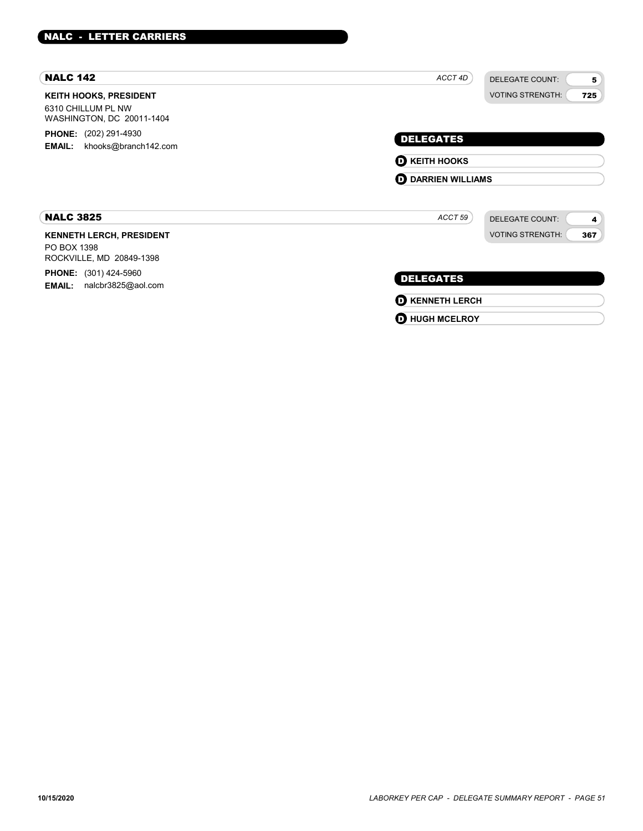| <b>NALC 142</b>                                                                  | ACCT 4D<br><b>DELEGATE COUNT:</b><br>5 |
|----------------------------------------------------------------------------------|----------------------------------------|
| <b>KEITH HOOKS, PRESIDENT</b><br>6310 CHILLUM PL NW<br>WASHINGTON, DC 20011-1404 | <b>VOTING STRENGTH:</b><br>725         |
| <b>PHONE:</b> (202) 291-4930                                                     | <b>DELEGATES</b>                       |
| khooks@branch142.com<br><b>EMAIL:</b>                                            | $\mathbf 0$ KEITH HOOKS                |
|                                                                                  | <b>D</b> DARRIEN WILLIAMS              |
| <b>NALC 3825</b>                                                                 | ACCT 59<br><b>DELEGATE COUNT:</b><br>4 |
| <b>KENNETH LERCH, PRESIDENT</b><br>PO BOX 1398<br>ROCKVILLE, MD 20849-1398       | <b>VOTING STRENGTH:</b><br>367         |
| <b>PHONE:</b> (301) 424-5960<br>nalcbr3825@aol.com<br><b>EMAIL:</b>              | <b>DELEGATES</b>                       |
|                                                                                  | <b>O KENNETH LERCH</b>                 |
|                                                                                  | <b>D</b> HUGH MCELROY                  |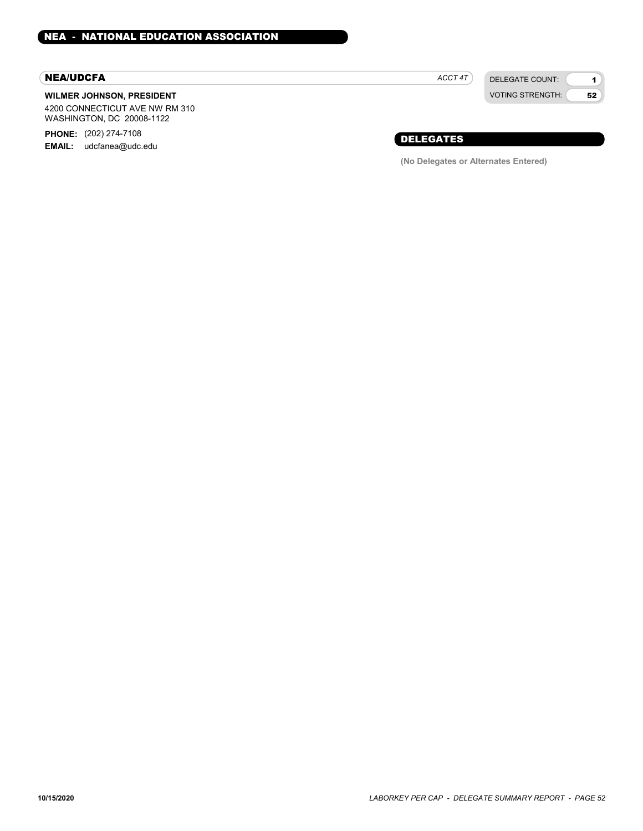#### NEA/UDCFA

#### WILMER JOHNSON, PRESIDENT

4200 CONNECTICUT AVE NW RM 310 WASHINGTON, DC 20008-1122

PHONE: (202) 274-7108

EMAIL: udcfanea@udc.edu

DELEGATE COUNT: ACCT 4T

VOTING STRENGTH: 1 52

## DELEGATES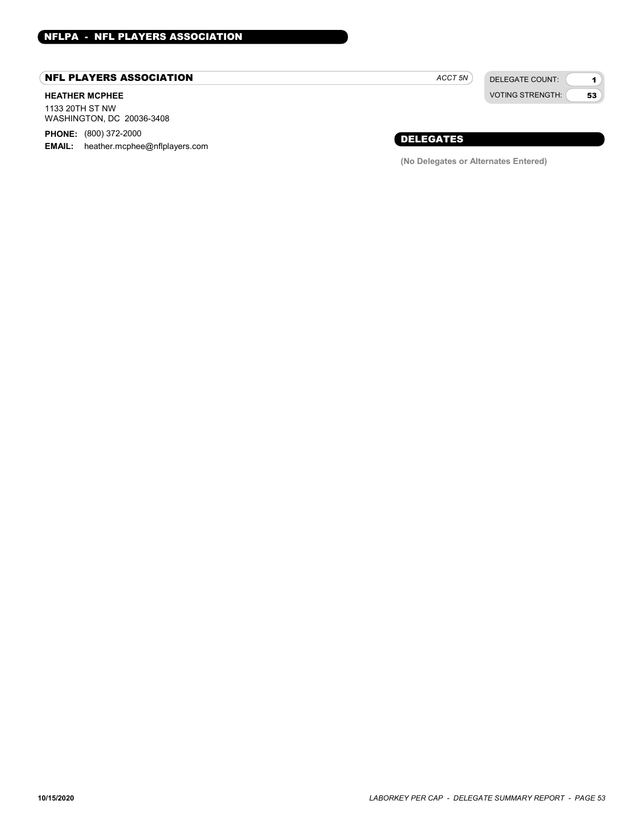## NFL PLAYERS ASSOCIATION

#### HEATHER MCPHEE

1133 20TH ST NW WASHINGTON, DC 20036-3408

PHONE: (800) 372-2000

**EMAIL:** heather.mcphee@nflplayers.com

DELEGATE COUNT: ACCT<sub>5N</sub>

VOTING STRENGTH:

1 53

## DELEGATES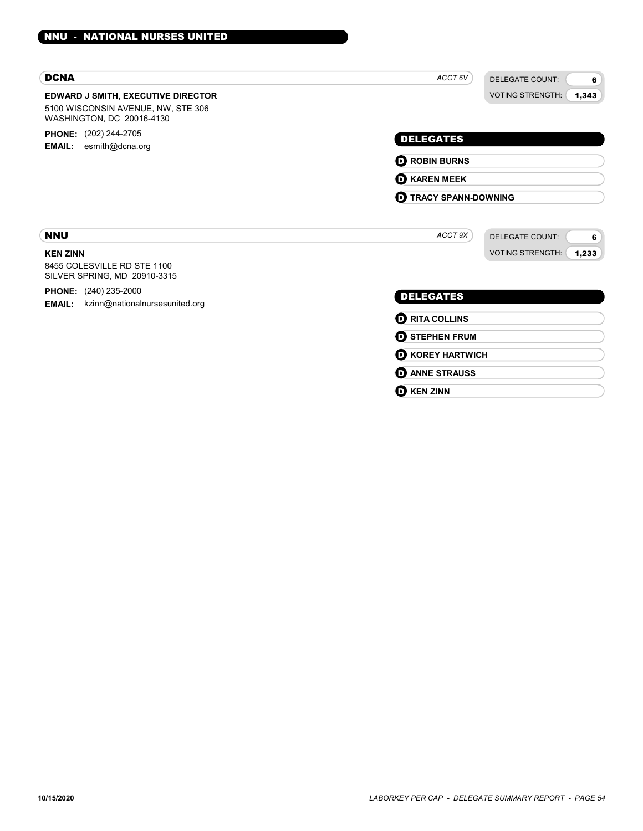| <b>DCNA</b>                                                                                                  | ACCT 6V<br><b>DELEGATE COUNT:</b><br>6                                     |
|--------------------------------------------------------------------------------------------------------------|----------------------------------------------------------------------------|
| <b>EDWARD J SMITH, EXECUTIVE DIRECTOR</b><br>5100 WISCONSIN AVENUE, NW, STE 306<br>WASHINGTON, DC 20016-4130 | <b>VOTING STRENGTH:</b><br>1,343                                           |
| <b>PHONE:</b> (202) 244-2705<br><b>EMAIL:</b> esmith@dcna.org                                                | <b>DELEGATES</b>                                                           |
|                                                                                                              | <b>O ROBIN BURNS</b>                                                       |
|                                                                                                              | <b>O KAREN MEEK</b>                                                        |
|                                                                                                              | <b>D</b> TRACY SPANN-DOWNING                                               |
| <b>NNU</b><br><b>KEN ZINN</b><br>8455 COLESVILLE RD STE 1100<br>SILVER SPRING, MD 20910-3315                 | ACCT 9X<br><b>DELEGATE COUNT:</b><br>6<br><b>VOTING STRENGTH:</b><br>1,233 |
| <b>PHONE:</b> (240) 235-2000<br><b>EMAIL:</b><br>kzinn@nationalnursesunited.org                              | <b>DELEGATES</b>                                                           |
|                                                                                                              | <b>O RITA COLLINS</b>                                                      |
|                                                                                                              | <b>O STEPHEN FRUM</b>                                                      |
|                                                                                                              | <b>O KOREY HARTWICH</b>                                                    |
|                                                                                                              | <b>D</b> ANNE STRAUSS                                                      |

## **D** KEN ZINN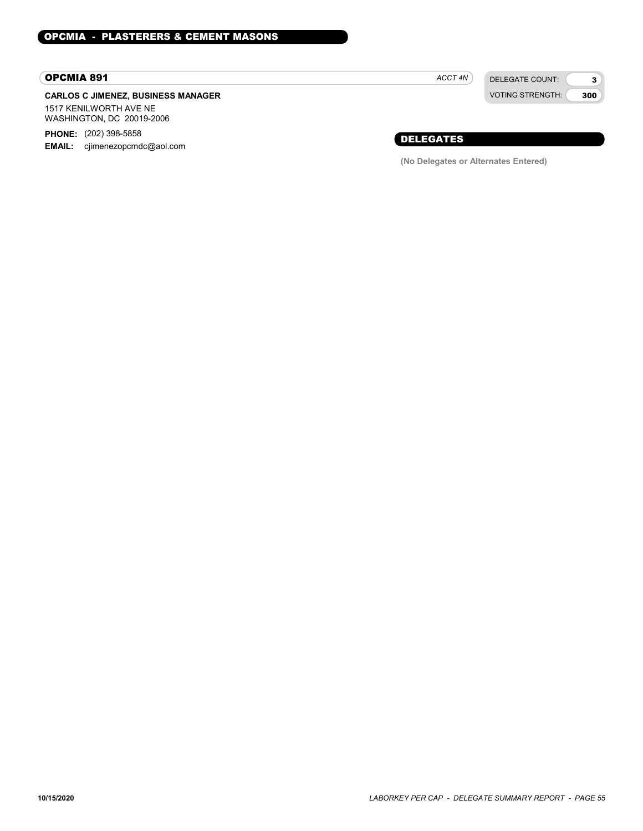#### OPCMIA 891

#### CARLOS C JIMENEZ, BUSINESS MANAGER 1517 KENILWORTH AVE NE

WASHINGTON, DC 20019-2006

PHONE: (202) 398-5858 EMAIL: cjimenezopcmdc@aol.com ACCT 4N

DELEGATE COUNT: VOTING STRENGTH:

3 300

## DELEGATES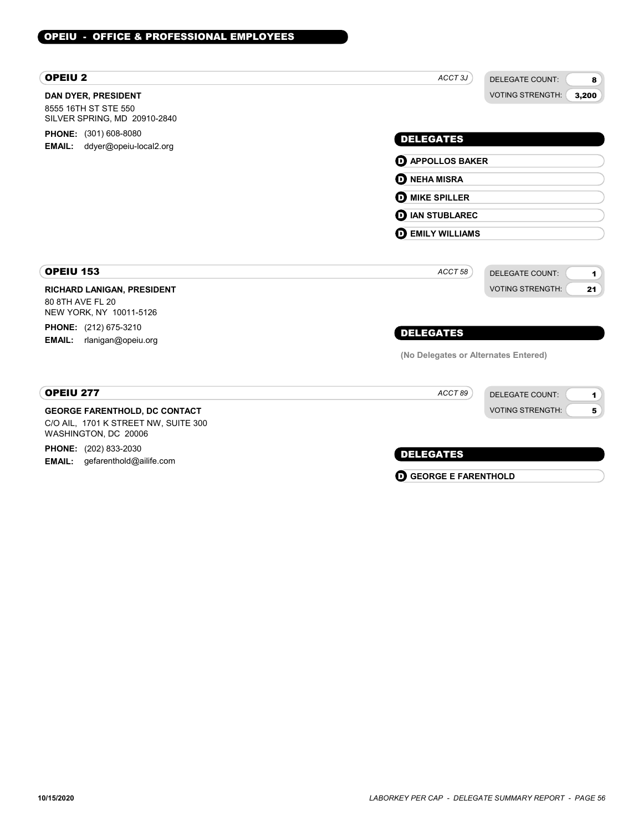| <b>OPEIU2</b>                                                                                        | ACCT <sub>3J</sub><br><b>DELEGATE COUNT:</b><br>8 |
|------------------------------------------------------------------------------------------------------|---------------------------------------------------|
| <b>DAN DYER, PRESIDENT</b><br>8555 16TH ST STE 550<br>SILVER SPRING, MD 20910-2840                   | <b>VOTING STRENGTH:</b><br>3,200                  |
| <b>PHONE:</b> (301) 608-8080<br><b>EMAIL:</b>                                                        | <b>DELEGATES</b>                                  |
| ddyer@opeiu-local2.org                                                                               | <b>D</b> APPOLLOS BAKER                           |
|                                                                                                      | <b>D</b> NEHA MISRA                               |
|                                                                                                      | <b>O MIKE SPILLER</b>                             |
|                                                                                                      | <b>IAN STUBLAREC</b><br>o                         |
|                                                                                                      | <b>DEMILY WILLIAMS</b>                            |
| <b>OPEIU 153</b>                                                                                     | ACCT 58<br><b>DELEGATE COUNT:</b><br>1            |
| RICHARD LANIGAN, PRESIDENT<br>80 8TH AVE FL 20<br>NEW YORK, NY 10011-5126                            | <b>VOTING STRENGTH:</b><br>21                     |
| <b>PHONE:</b> (212) 675-3210                                                                         | <b>DELEGATES</b>                                  |
| <b>EMAIL:</b><br>rlanigan@opeiu.org                                                                  | (No Delegates or Alternates Entered)              |
| OPEIU 277                                                                                            | ACCT89<br><b>DELEGATE COUNT:</b><br>1             |
| <b>GEORGE FARENTHOLD, DC CONTACT</b><br>C/O AIL, 1701 K STREET NW, SUITE 300<br>WASHINGTON, DC 20006 | <b>VOTING STRENGTH:</b><br>5                      |
| <b>PHONE:</b> (202) 833-2030                                                                         | <b>DELEGATES</b>                                  |
| gefarenthold@ailife.com<br><b>EMAIL:</b>                                                             | O<br><b>GEORGE E FARENTHOLD</b>                   |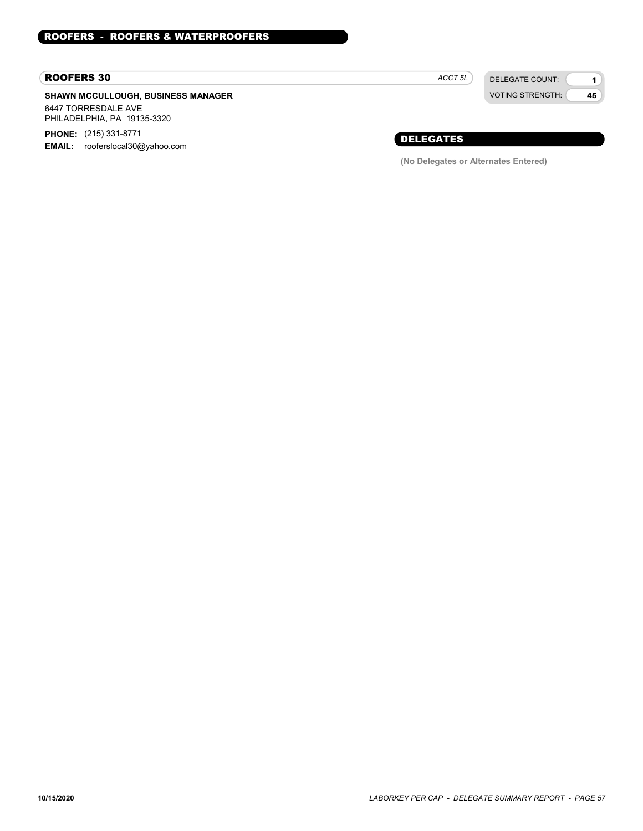#### ROOFERS 30

#### SHAWN MCCULLOUGH, BUSINESS MANAGER 6447 TORRESDALE AVE

PHILADELPHIA, PA 19135-3320 PHONE: (215) 331-8771

EMAIL: rooferslocal30@yahoo.com

DELEGATE COUNT: ACCT<sub>5L</sub>

VOTING STRENGTH:

1 45

## DELEGATES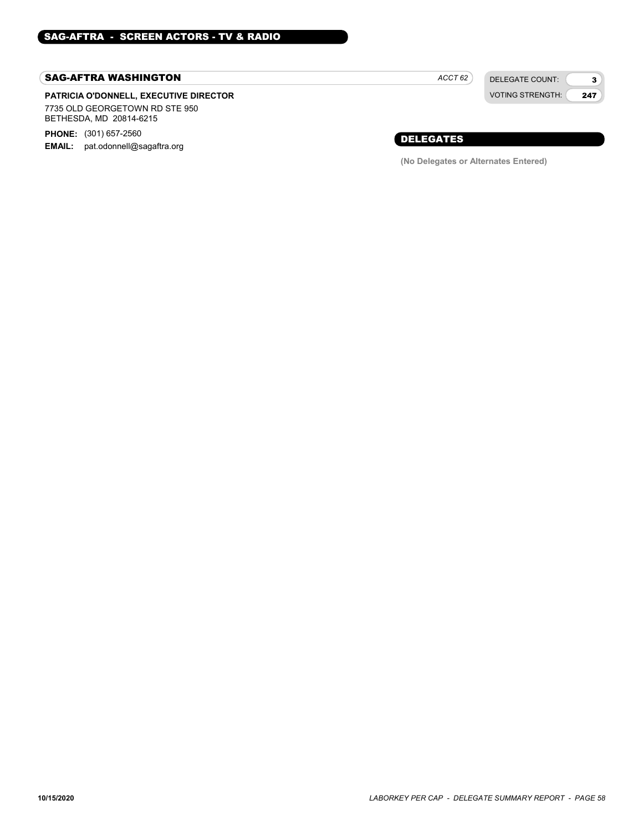#### SAG-AFTRA WASHINGTON

#### PATRICIA O'DONNELL, EXECUTIVE DIRECTOR 7735 OLD GEORGETOWN RD STE 950 BETHESDA, MD 20814-6215

**PHONE:** (301) 657-2560

EMAIL: pat.odonnell@sagaftra.org

 $ACCT 62$ 

DELEGATE COUNT: VOTING STRENGTH:

3 247

### DELEGATES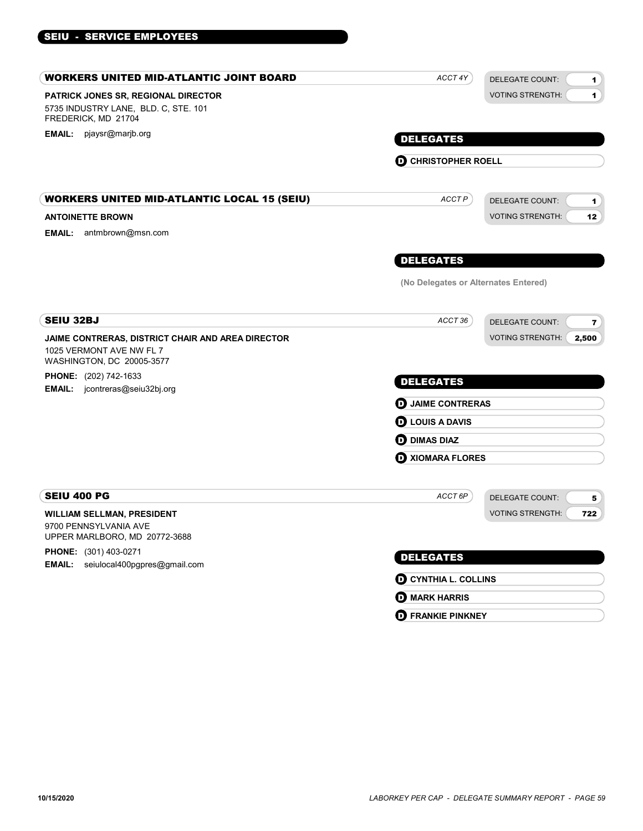| WORKERS UNITED MID-ATLANTIC JOINT BOARD                                                                    | ACCT 4Y                              | <b>DELEGATE COUNT:</b><br>1.                      |  |
|------------------------------------------------------------------------------------------------------------|--------------------------------------|---------------------------------------------------|--|
| PATRICK JONES SR, REGIONAL DIRECTOR<br>5735 INDUSTRY LANE, BLD. C, STE. 101<br>FREDERICK, MD 21704         |                                      | <b>VOTING STRENGTH:</b><br>$\blacktriangleleft$   |  |
| EMAIL: pjaysr@marjb.org                                                                                    | <b>DELEGATES</b>                     |                                                   |  |
|                                                                                                            | <b>D</b> CHRISTOPHER ROELL           |                                                   |  |
| WORKERS UNITED MID-ATLANTIC LOCAL 15 (SEIU)                                                                | ACCT P                               | <b>DELEGATE COUNT:</b><br>1                       |  |
| <b>ANTOINETTE BROWN</b><br><b>EMAIL:</b> antmbrown@msn.com                                                 |                                      | <b>VOTING STRENGTH:</b><br>12                     |  |
|                                                                                                            | <b>DELEGATES</b>                     |                                                   |  |
|                                                                                                            | (No Delegates or Alternates Entered) |                                                   |  |
| SEIU 32BJ                                                                                                  | ACCT 36                              | <b>DELEGATE COUNT:</b><br>$\overline{\mathbf{z}}$ |  |
| JAIME CONTRERAS, DISTRICT CHAIR AND AREA DIRECTOR<br>1025 VERMONT AVE NW FL 7<br>WASHINGTON, DC 20005-3577 |                                      | <b>VOTING STRENGTH:</b><br>2,500                  |  |
| <b>PHONE:</b> (202) 742-1633<br><b>EMAIL:</b> jcontreras@seiu32bj.org                                      | <b>DELEGATES</b>                     |                                                   |  |
|                                                                                                            | <b>D</b> JAIME CONTRERAS             |                                                   |  |
|                                                                                                            | <b>D</b> LOUIS A DAVIS               |                                                   |  |
|                                                                                                            | <b>OD</b> DIMAS DIAZ                 |                                                   |  |
|                                                                                                            | <b>O XIOMARA FLORES</b>              |                                                   |  |
| SEIU 400 PG                                                                                                | ACCT <sub>6P</sub>                   | <b>DELEGATE COUNT:</b><br>5                       |  |
| WILLIAM SELLMAN, PRESIDENT<br>9700 PENNSYLVANIA AVE<br>UPPER MARLBORO, MD 20772-3688                       |                                      | <b>VOTING STRENGTH:</b><br>722                    |  |
| <b>PHONE:</b> (301) 403-0271                                                                               | <b>DELEGATES</b>                     |                                                   |  |
| <b>EMAIL:</b> seiulocal400pgpres@gmail.com                                                                 | <b>O CYNTHIA L. COLLINS</b>          |                                                   |  |
|                                                                                                            | <b>O</b> MARK HARRIS                 |                                                   |  |

**D** FRANKIE PINKNEY

SEIU - SERVICE EMPLOYEES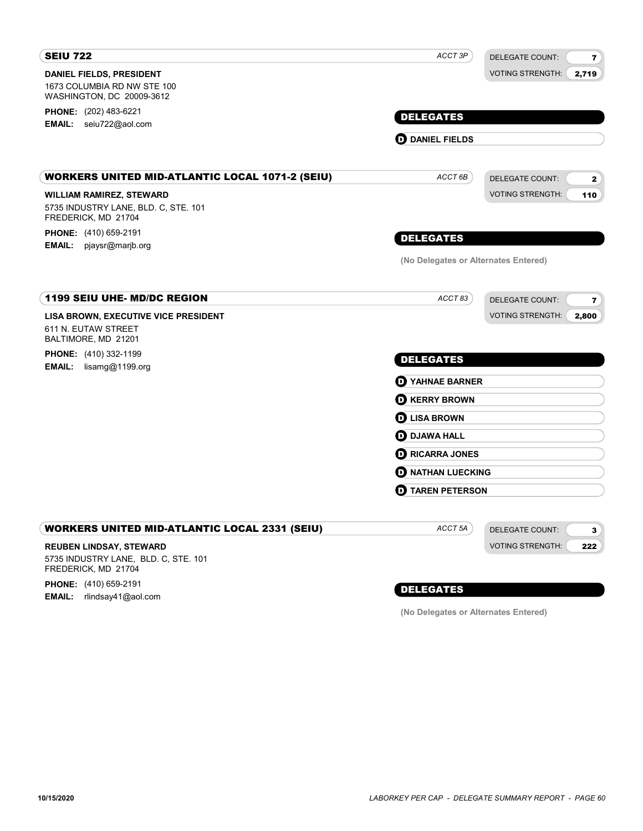| <b>SEIU 722</b>                                             | ACCT 3P                              | <b>DELEGATE COUNT:</b><br>$\overline{\mathbf{z}}$ |
|-------------------------------------------------------------|--------------------------------------|---------------------------------------------------|
| <b>DANIEL FIELDS, PRESIDENT</b>                             |                                      | <b>VOTING STRENGTH:</b><br>2,719                  |
| 1673 COLUMBIA RD NW STE 100<br>WASHINGTON, DC 20009-3612    |                                      |                                                   |
| PHONE: (202) 483-6221                                       | <b>DELEGATES</b>                     |                                                   |
| EMAIL: seiu722@aol.com                                      |                                      |                                                   |
|                                                             | <b>OD</b> DANIEL FIELDS              |                                                   |
| <b>WORKERS UNITED MID-ATLANTIC LOCAL 1071-2 (SEIU)</b>      | ACCT 6B                              | <b>DELEGATE COUNT:</b><br>$\mathbf{2}$            |
| <b>WILLIAM RAMIREZ, STEWARD</b>                             |                                      | <b>VOTING STRENGTH:</b><br>110                    |
| 5735 INDUSTRY LANE, BLD. C, STE. 101<br>FREDERICK, MD 21704 |                                      |                                                   |
| <b>PHONE:</b> (410) 659-2191                                | <b>DELEGATES</b>                     |                                                   |
| <b>EMAIL:</b> pjaysr@marjb.org                              | (No Delegates or Alternates Entered) |                                                   |
|                                                             |                                      |                                                   |
| <b>1199 SEIU UHE- MD/DC REGION</b>                          | ACCT 83                              | <b>DELEGATE COUNT:</b><br>$\bf 7$                 |
| LISA BROWN, EXECUTIVE VICE PRESIDENT                        |                                      | <b>VOTING STRENGTH:</b><br>2,800                  |
| 611 N. EUTAW STREET<br>BALTIMORE, MD 21201                  |                                      |                                                   |
| <b>PHONE:</b> (410) 332-1199                                | <b>DELEGATES</b>                     |                                                   |
| <b>EMAIL:</b> lisamg@1199.org                               | <b>O</b> YAHNAE BARNER               |                                                   |
|                                                             | <b>O</b> KERRY BROWN                 |                                                   |
|                                                             | <b>O LISA BROWN</b>                  |                                                   |
|                                                             | <b>O</b> DJAWA HALL                  |                                                   |
|                                                             | <b>O RICARRA JONES</b>               |                                                   |
|                                                             | <b>O NATHAN LUECKING</b>             |                                                   |
|                                                             | <b>D</b> TAREN PETERSON              |                                                   |
|                                                             |                                      |                                                   |
| <b>WORKERS UNITED MID-ATLANTIC LOCAL 2331 (SEIU)</b>        | ACCT <sub>5A</sub>                   | <b>DELEGATE COUNT:</b><br>3                       |
| <b>REUBEN LINDSAY, STEWARD</b>                              |                                      | <b>VOTING STRENGTH:</b><br>222                    |
| 5735 INDUSTRY LANE, BLD. C, STE. 101<br>FREDERICK, MD 21704 |                                      |                                                   |
| $\mathbf{B}$                                                |                                      |                                                   |

**PHONE:** (410) 659-2191 **EMAIL:** rlindsay41@aol.com

## DELEGATES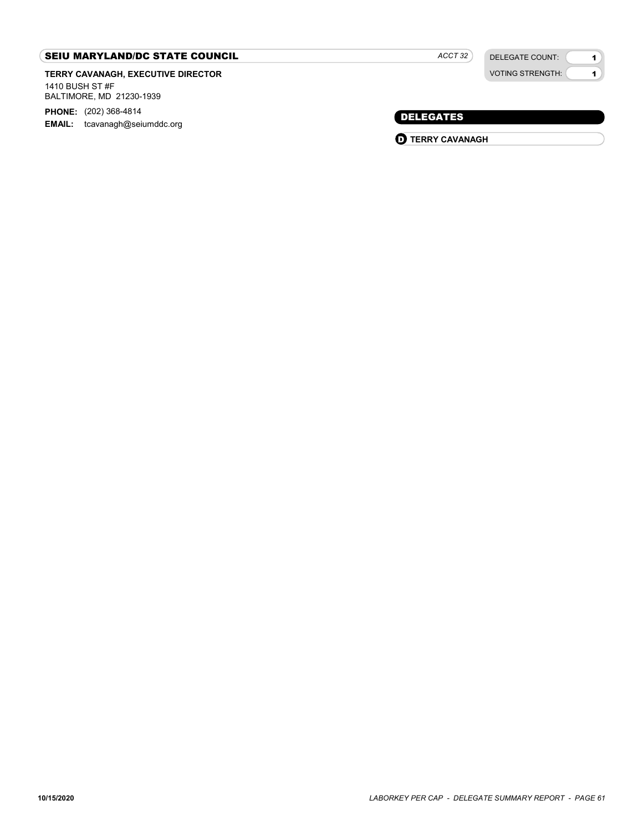### SEIU MARYLAND/DC STATE COUNCIL

TERRY CAVANAGH, EXECUTIVE DIRECTOR 1410 BUSH ST #F

BALTIMORE, MD 21230-1939

PHONE: (202) 368-4814 EMAIL: tcavanagh@seiumddc.org

DELEGATE COUNT: VOTING STRENGTH:

1 1

## DELEGATES

**D** TERRY CAVANAGH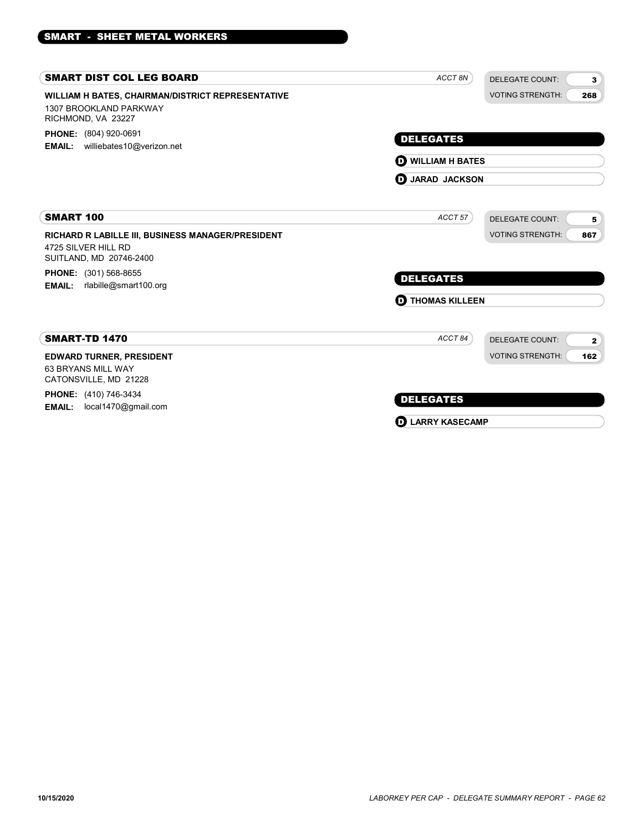| ACCT 8N                    | <b>DELEGATE COUNT:</b>  | 3                                                  |
|----------------------------|-------------------------|----------------------------------------------------|
|                            | <b>VOTING STRENGTH:</b> | 268                                                |
| <b>DELEGATES</b>           |                         |                                                    |
|                            |                         |                                                    |
| ACCT 57                    | <b>DELEGATE COUNT:</b>  | 5                                                  |
|                            | <b>VOTING STRENGTH:</b> | 867                                                |
|                            |                         |                                                    |
| <b>DELEGATES</b>           |                         |                                                    |
| <b>D</b> THOMAS KILLEEN    |                         |                                                    |
| ACCT84                     | DELEGATE COUNT:         | $\mathbf{2}$                                       |
|                            | <b>VOTING STRENGTH:</b> | 162                                                |
|                            |                         |                                                    |
| <b>DELEGATES</b>           |                         |                                                    |
| <b>LARRY KASECAMP</b><br>6 |                         |                                                    |
|                            |                         | <b>D</b> WILLIAM H BATES<br><b>D</b> JARAD JACKSON |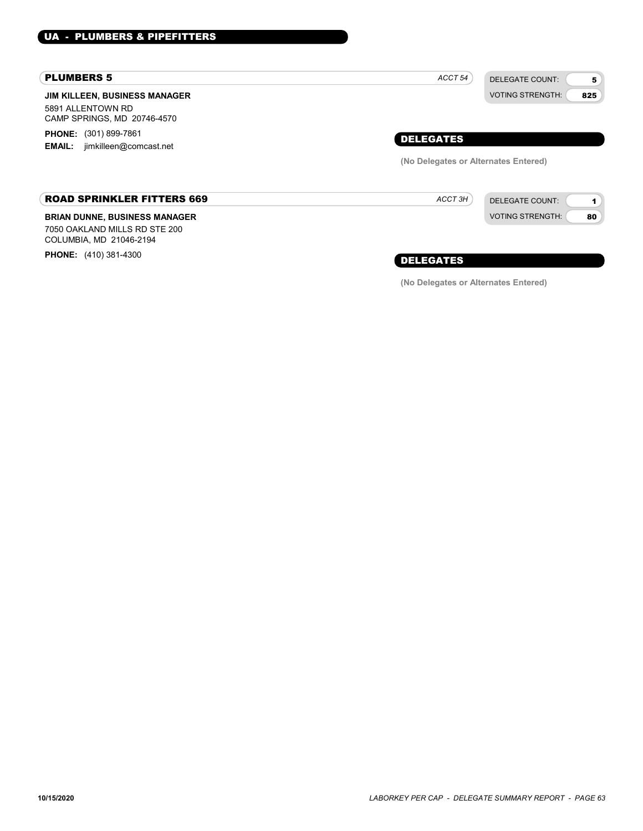#### PLUMBERS 5

JIM KILLEEN, BUSINESS MANAGER 5891 ALLENTOWN RD CAMP SPRINGS, MD 20746-4570

**PHONE:** (301) 899-7861 EMAIL: jimkilleen@comcast.net

#### ROAD SPRINKLER FITTERS 669

#### BRIAN DUNNE, BUSINESS MANAGER

7050 OAKLAND MILLS RD STE 200 COLUMBIA, MD 21046-2194

PHONE: (410) 381-4300



DELEGATE COUNT: VOTING STRENGTH:

1 80

DELEGATES

ACCT 3H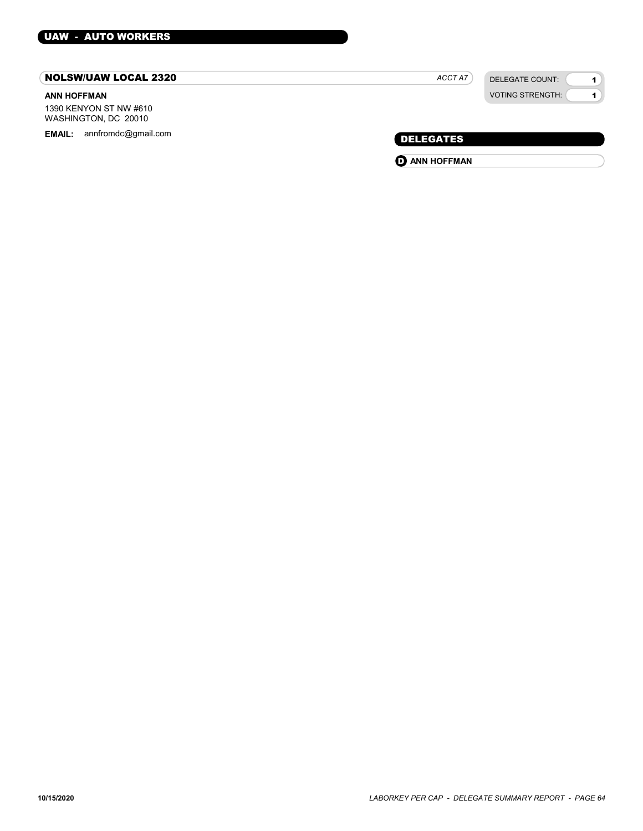#### NOLSW/UAW LOCAL 2320

#### ANN HOFFMAN

1390 KENYON ST NW #610 WASHINGTON, DC 20010

EMAIL: annfromdc@gmail.com example and the control of the control of the control of the DELEGATES

| <b>VOTING STRENGTH:</b> |
|-------------------------|
|                         |

DELEGATE COUNT:

1 1

ACCT A7

**O** ANN HOFFMAN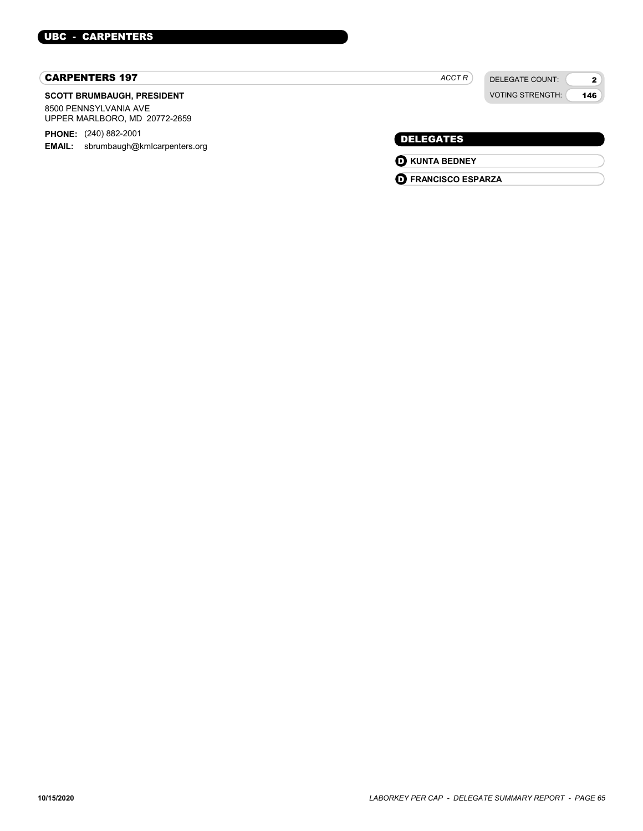#### CARPENTERS 197

#### SCOTT BRUMBAUGH, PRESIDENT

8500 PENNSYLVANIA AVE UPPER MARLBORO, MD 20772-2659

PHONE: (240) 882-2001 **EMAIL:** sbrumbaugh@kmlcarpenters.org

 $ACCTR$ 

DELEGATE COUNT: VOTING STRENGTH:

2 146

## DELEGATES

**O** KUNTA BEDNEY

O FRANCISCO ESPARZA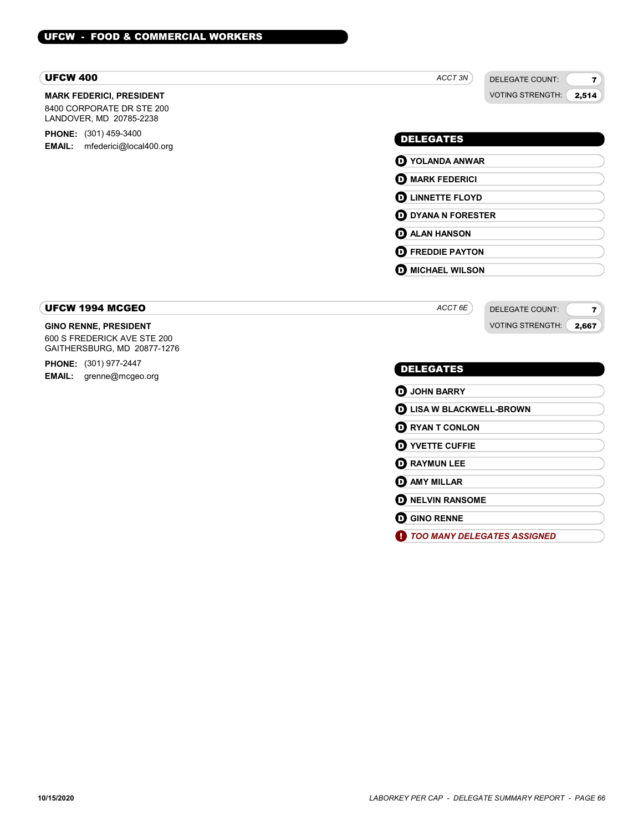#### UFCW 400

#### MARK FEDERICI, PRESIDENT

8400 CORPORATE DR STE 200 LANDOVER, MD 20785-2238

**PHONE:** (301) 459-3400 EMAIL: mfederici@local400.org

#### ACCT 3N

VOTING STRENGTH: 2,514

7

DELEGATE COUNT:

## DELEGATES

O YOLANDA ANWAR **O** MARK FEDERICI **O LINNETTE FLOYD D** DYANA N FORESTER **D** ALAN HANSON

**D** FREDDIE PAYTON **O** MICHAEL WILSON

#### UFCW 1994 MCGEO

#### GINO RENNE, PRESIDENT

600 S FREDERICK AVE STE 200 GAITHERSBURG, MD 20877-1276

PHONE: (301) 977-2447 EMAIL: grenne@mcgeo.org

#### ACCT 6E

DELEGATE COUNT: VOTING STRENGTH: 7 2,667

#### DELEGATES

| <b>O</b> JOHN BARRY     |                                 |  |
|-------------------------|---------------------------------|--|
|                         | <b>D</b> LISA W BLACKWELL-BROWN |  |
| <b>D</b> RYAN T CONLON  |                                 |  |
| <b>D</b> YVETTE CUFFIE  |                                 |  |
| <b>O RAYMUN LEE</b>     |                                 |  |
| <b>O AMY MILLAR</b>     |                                 |  |
| <b>D</b> NELVIN RANSOME |                                 |  |
| <b>O GINO RENNE</b>     |                                 |  |
|                         | TOO MANY DELEGATES ASSIGNED     |  |